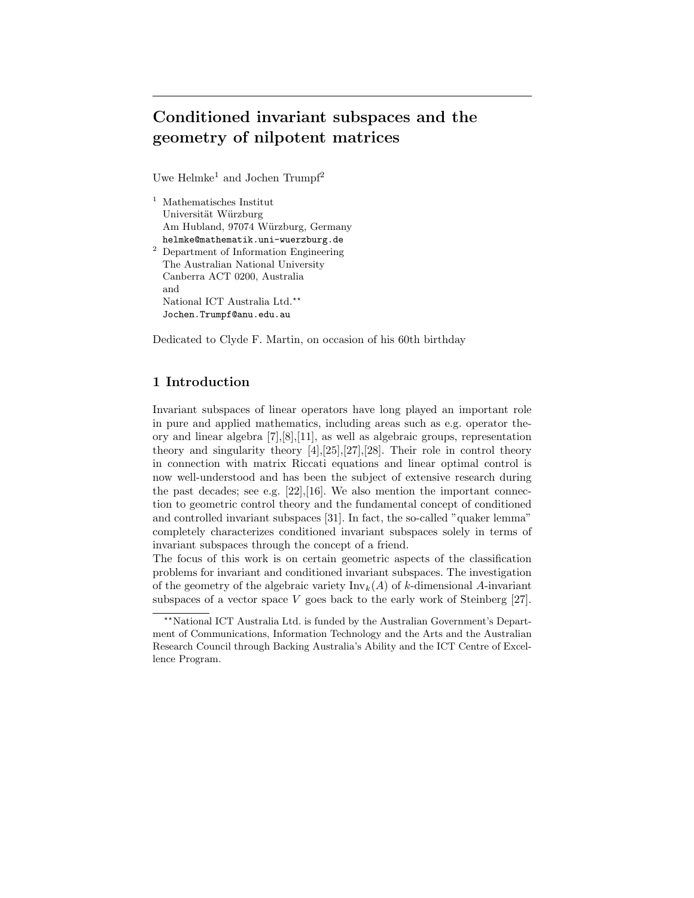# Conditioned invariant subspaces and the geometry of nilpotent matrices

Uwe Helmke<sup>1</sup> and Jochen Trumpf<sup>2</sup>

<sup>1</sup> Mathematisches Institut Universität Würzburg Am Hubland, 97074 Würzburg, Germany helmke@mathematik.uni-wuerzburg.de

 $^{\rm 2}$  Department of Information Engineering The Australian National University Canberra ACT 0200, Australia and National ICT Australia Ltd.  $^{\star\star}$ Jochen.Trumpf@anu.edu.au

Dedicated to Clyde F. Martin, on occasion of his 60th birthday

# 1 Introduction

Invariant subspaces of linear operators have long played an important role in pure and applied mathematics, including areas such as e.g. operator theory and linear algebra [7],[8],[11], as well as algebraic groups, representation theory and singularity theory [4],[25],[27],[28]. Their role in control theory in connection with matrix Riccati equations and linear optimal control is now well-understood and has been the subject of extensive research during the past decades; see e.g.  $[22], [16]$ . We also mention the important connection to geometric control theory and the fundamental concept of conditioned and controlled invariant subspaces [31]. In fact, the so-called "quaker lemma" completely characterizes conditioned invariant subspaces solely in terms of invariant subspaces through the concept of a friend.

The focus of this work is on certain geometric aspects of the classification problems for invariant and conditioned invariant subspaces. The investigation of the geometry of the algebraic variety  $\text{Inv}_k(A)$  of k-dimensional A-invariant subspaces of a vector space  $V$  goes back to the early work of Steinberg [27].

<sup>\*\*</sup>National ICT Australia Ltd. is funded by the Australian Government's Department of Communications, Information Technology and the Arts and the Australian Research Council through Backing Australia's Ability and the ICT Centre of Excellence Program.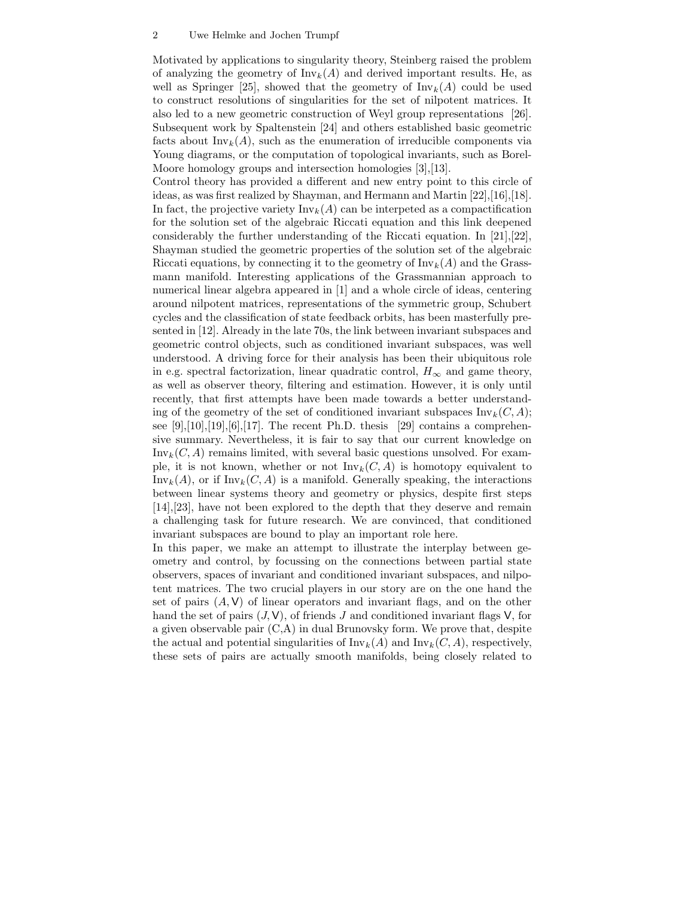Motivated by applications to singularity theory, Steinberg raised the problem of analyzing the geometry of  $\text{Inv}_k(A)$  and derived important results. He, as well as Springer [25], showed that the geometry of  $\text{Inv}_k(A)$  could be used to construct resolutions of singularities for the set of nilpotent matrices. It also led to a new geometric construction of Weyl group representations [26]. Subsequent work by Spaltenstein [24] and others established basic geometric facts about  $\text{Inv}_k(A)$ , such as the enumeration of irreducible components via Young diagrams, or the computation of topological invariants, such as Borel-Moore homology groups and intersection homologies [3],[13].

Control theory has provided a different and new entry point to this circle of ideas, as was first realized by Shayman, and Hermann and Martin [22],[16],[18]. In fact, the projective variety  $\text{Inv}_k(A)$  can be interpeted as a compactification for the solution set of the algebraic Riccati equation and this link deepened considerably the further understanding of the Riccati equation. In [21],[22], Shayman studied the geometric properties of the solution set of the algebraic Riccati equations, by connecting it to the geometry of  $\text{Inv}_k(A)$  and the Grassmann manifold. Interesting applications of the Grassmannian approach to numerical linear algebra appeared in [1] and a whole circle of ideas, centering around nilpotent matrices, representations of the symmetric group, Schubert cycles and the classification of state feedback orbits, has been masterfully presented in [12]. Already in the late 70s, the link between invariant subspaces and geometric control objects, such as conditioned invariant subspaces, was well understood. A driving force for their analysis has been their ubiquitous role in e.g. spectral factorization, linear quadratic control,  $H_{\infty}$  and game theory, as well as observer theory, filtering and estimation. However, it is only until recently, that first attempts have been made towards a better understanding of the geometry of the set of conditioned invariant subspaces  $\text{Inv}_k(C, A);$ see  $[9], [10], [19], [6], [17]$ . The recent Ph.D. thesis  $[29]$  contains a comprehensive summary. Nevertheless, it is fair to say that our current knowledge on  $\text{Inv}_k(C, A)$  remains limited, with several basic questions unsolved. For example, it is not known, whether or not  $\text{Inv}_k(C, A)$  is homotopy equivalent to  $\text{Inv}_k(A)$ , or if  $\text{Inv}_k(C, A)$  is a manifold. Generally speaking, the interactions between linear systems theory and geometry or physics, despite first steps [14],[23], have not been explored to the depth that they deserve and remain a challenging task for future research. We are convinced, that conditioned invariant subspaces are bound to play an important role here.

In this paper, we make an attempt to illustrate the interplay between geometry and control, by focussing on the connections between partial state observers, spaces of invariant and conditioned invariant subspaces, and nilpotent matrices. The two crucial players in our story are on the one hand the set of pairs  $(A, V)$  of linear operators and invariant flags, and on the other hand the set of pairs  $(J, V)$ , of friends J and conditioned invariant flags V, for a given observable pair (C,A) in dual Brunovsky form. We prove that, despite the actual and potential singularities of  $\text{Inv}_k(A)$  and  $\text{Inv}_k(C, A)$ , respectively, these sets of pairs are actually smooth manifolds, being closely related to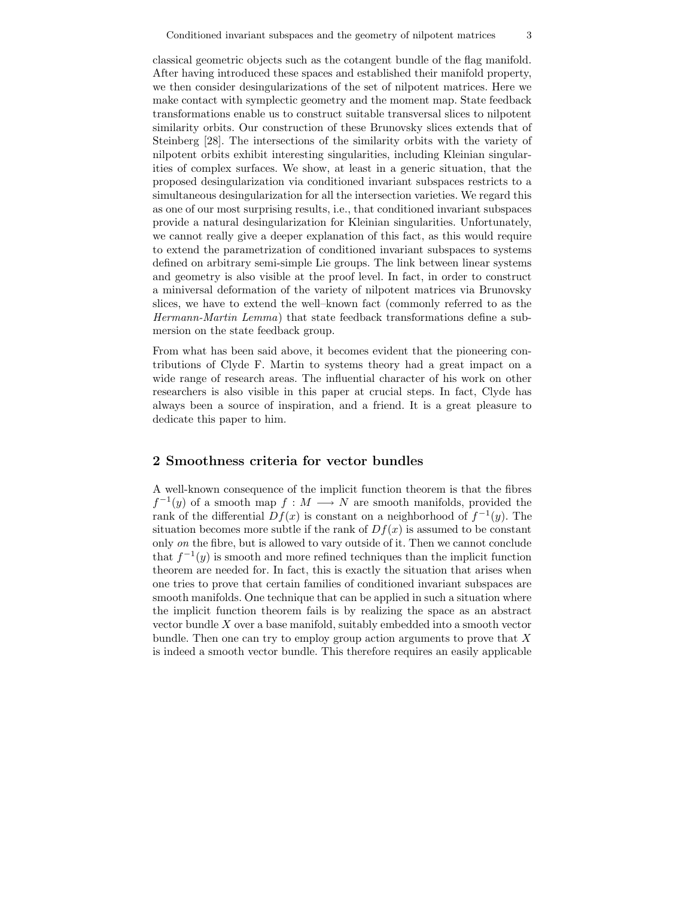classical geometric objects such as the cotangent bundle of the flag manifold. After having introduced these spaces and established their manifold property, we then consider desingularizations of the set of nilpotent matrices. Here we make contact with symplectic geometry and the moment map. State feedback transformations enable us to construct suitable transversal slices to nilpotent similarity orbits. Our construction of these Brunovsky slices extends that of Steinberg [28]. The intersections of the similarity orbits with the variety of nilpotent orbits exhibit interesting singularities, including Kleinian singularities of complex surfaces. We show, at least in a generic situation, that the proposed desingularization via conditioned invariant subspaces restricts to a simultaneous desingularization for all the intersection varieties. We regard this as one of our most surprising results, i.e., that conditioned invariant subspaces provide a natural desingularization for Kleinian singularities. Unfortunately, we cannot really give a deeper explanation of this fact, as this would require to extend the parametrization of conditioned invariant subspaces to systems defined on arbitrary semi-simple Lie groups. The link between linear systems and geometry is also visible at the proof level. In fact, in order to construct a miniversal deformation of the variety of nilpotent matrices via Brunovsky slices, we have to extend the well–known fact (commonly referred to as the Hermann-Martin Lemma) that state feedback transformations define a submersion on the state feedback group.

From what has been said above, it becomes evident that the pioneering contributions of Clyde F. Martin to systems theory had a great impact on a wide range of research areas. The influential character of his work on other researchers is also visible in this paper at crucial steps. In fact, Clyde has always been a source of inspiration, and a friend. It is a great pleasure to dedicate this paper to him.

# 2 Smoothness criteria for vector bundles

A well-known consequence of the implicit function theorem is that the fibres  $f^{-1}(y)$  of a smooth map  $f : M \longrightarrow N$  are smooth manifolds, provided the rank of the differential  $\tilde{D}f(x)$  is constant on a neighborhood of  $f^{-1}(y)$ . The situation becomes more subtle if the rank of  $Df(x)$  is assumed to be constant only on the fibre, but is allowed to vary outside of it. Then we cannot conclude that  $f^{-1}(y)$  is smooth and more refined techniques than the implicit function theorem are needed for. In fact, this is exactly the situation that arises when one tries to prove that certain families of conditioned invariant subspaces are smooth manifolds. One technique that can be applied in such a situation where the implicit function theorem fails is by realizing the space as an abstract vector bundle X over a base manifold, suitably embedded into a smooth vector bundle. Then one can try to employ group action arguments to prove that  $X$ is indeed a smooth vector bundle. This therefore requires an easily applicable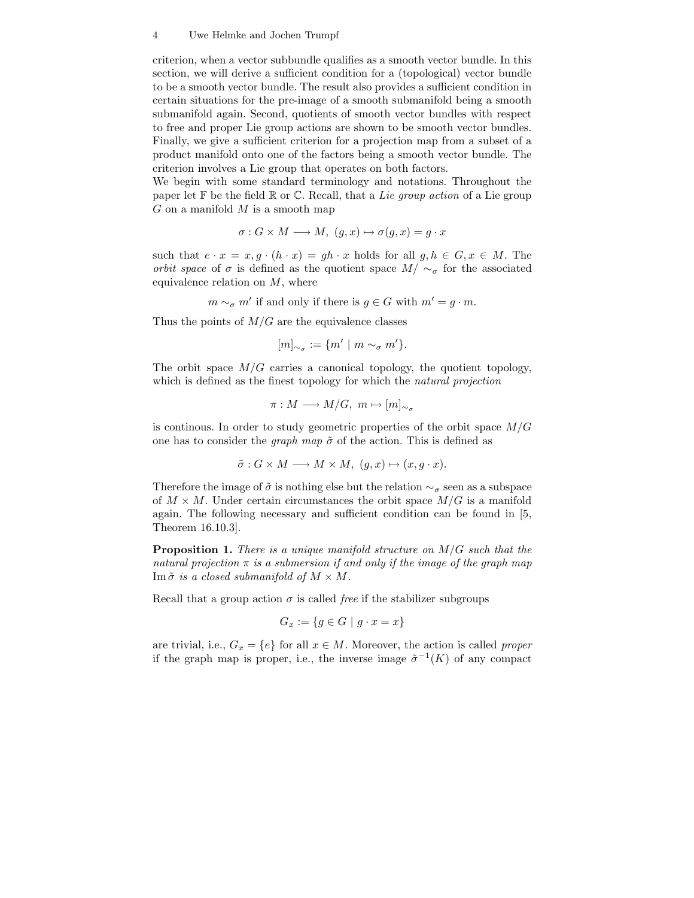criterion, when a vector subbundle qualifies as a smooth vector bundle. In this section, we will derive a sufficient condition for a (topological) vector bundle to be a smooth vector bundle. The result also provides a sufficient condition in certain situations for the pre-image of a smooth submanifold being a smooth submanifold again. Second, quotients of smooth vector bundles with respect to free and proper Lie group actions are shown to be smooth vector bundles. Finally, we give a sufficient criterion for a projection map from a subset of a product manifold onto one of the factors being a smooth vector bundle. The criterion involves a Lie group that operates on both factors.

We begin with some standard terminology and notations. Throughout the paper let  $\mathbb F$  be the field  $\mathbb R$  or  $\mathbb C$ . Recall, that a Lie group action of a Lie group  $G$  on a manifold  $M$  is a smooth map

$$
\sigma: G \times M \longrightarrow M, \ (g, x) \mapsto \sigma(g, x) = g \cdot x
$$

such that  $e \cdot x = x, g \cdot (h \cdot x) = gh \cdot x$  holds for all  $g, h \in G, x \in M$ . The orbit space of  $\sigma$  is defined as the quotient space  $M/\sim_{\sigma}$  for the associated equivalence relation on  $M$ , where

$$
m \sim_{\sigma} m'
$$
 if and only if there is  $g \in G$  with  $m' = g \cdot m$ .

Thus the points of  $M/G$  are the equivalence classes

$$
[m]_{\sim_{\sigma}} := \{m' \mid m \sim_{\sigma} m'\}.
$$

The orbit space  $M/G$  carries a canonical topology, the quotient topology, which is defined as the finest topology for which the *natural projection* 

$$
\pi: M \longrightarrow M/G, \ m \mapsto [m]_{\sim_{\sigma}}
$$

is continous. In order to study geometric properties of the orbit space  $M/G$ one has to consider the *graph* map  $\tilde{\sigma}$  of the action. This is defined as

$$
\tilde{\sigma}: G \times M \longrightarrow M \times M, \ (g, x) \mapsto (x, g \cdot x).
$$

Therefore the image of  $\tilde{\sigma}$  is nothing else but the relation  $\sim_{\sigma}$  seen as a subspace of  $M \times M$ . Under certain circumstances the orbit space  $M/G$  is a manifold again. The following necessary and sufficient condition can be found in [5, Theorem 16.10.3].

**Proposition 1.** There is a unique manifold structure on  $M/G$  such that the natural projection  $\pi$  is a submersion if and only if the image of the graph map  $\text{Im}\,\tilde{\sigma}$  is a closed submanifold of  $M \times M$ .

Recall that a group action  $\sigma$  is called *free* if the stabilizer subgroups

$$
G_x := \{ g \in G \mid g \cdot x = x \}
$$

are trivial, i.e.,  $G_x = \{e\}$  for all  $x \in M$ . Moreover, the action is called proper if the graph map is proper, i.e., the inverse image  $\tilde{\sigma}^{-1}(K)$  of any compact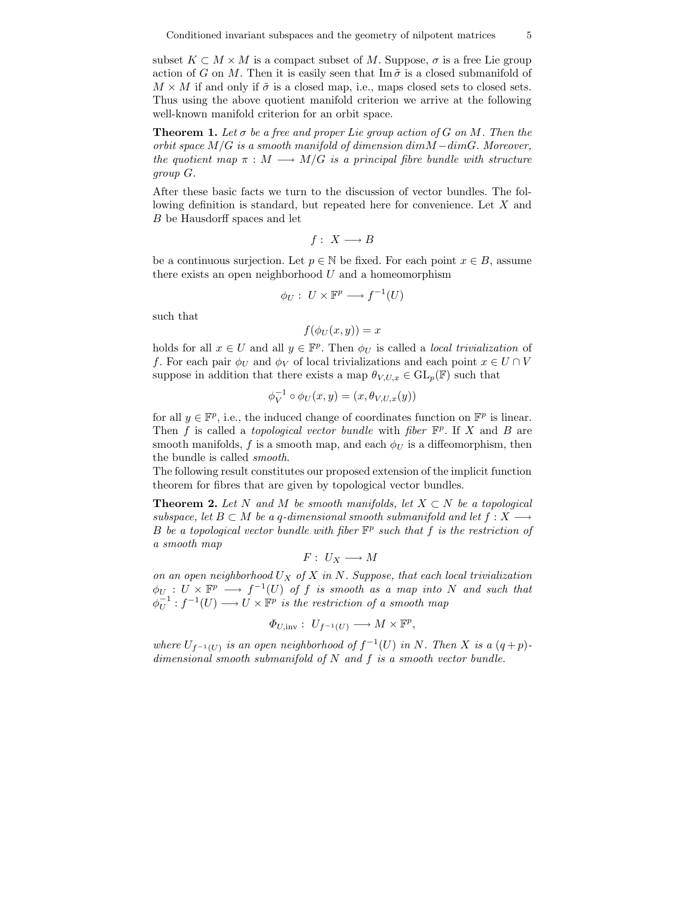subset  $K \subset M \times M$  is a compact subset of M. Suppose,  $\sigma$  is a free Lie group action of G on M. Then it is easily seen that  $\text{Im}\,\tilde{\sigma}$  is a closed submanifold of  $M \times M$  if and only if  $\tilde{\sigma}$  is a closed map, i.e., maps closed sets to closed sets. Thus using the above quotient manifold criterion we arrive at the following well-known manifold criterion for an orbit space.

**Theorem 1.** Let  $\sigma$  be a free and proper Lie group action of G on M. Then the orbit space  $M/G$  is a smooth manifold of dimension dim $M$  – dim $G$ . Moreover, the quotient map  $\pi : M \longrightarrow M/G$  is a principal fibre bundle with structure group G.

After these basic facts we turn to the discussion of vector bundles. The following definition is standard, but repeated here for convenience. Let  $X$  and B be Hausdorff spaces and let

$$
f: X \longrightarrow B
$$

be a continuous surjection. Let  $p \in \mathbb{N}$  be fixed. For each point  $x \in B$ , assume there exists an open neighborhood  $U$  and a homeomorphism

$$
\phi_U: U \times \mathbb{F}^p \longrightarrow f^{-1}(U)
$$

such that

$$
f(\phi_U(x,y)) = x
$$

holds for all  $x \in U$  and all  $y \in \mathbb{F}^p$ . Then  $\phi_U$  is called a *local trivialization* of f. For each pair  $\phi_U$  and  $\phi_V$  of local trivializations and each point  $x \in U \cap V$ suppose in addition that there exists a map  $\theta_{V,U,x} \in GL_p(\mathbb{F})$  such that

$$
\phi_V^{-1} \circ \phi_U(x, y) = (x, \theta_{V, U, x}(y))
$$

for all  $y \in \mathbb{F}^p$ , i.e., the induced change of coordinates function on  $\mathbb{F}^p$  is linear. Then f is called a topological vector bundle with fiber  $\mathbb{F}^p$ . If X and B are smooth manifolds, f is a smooth map, and each  $\phi_U$  is a diffeomorphism, then the bundle is called smooth.

The following result constitutes our proposed extension of the implicit function theorem for fibres that are given by topological vector bundles.

**Theorem 2.** Let N and M be smooth manifolds, let  $X \subset N$  be a topological subspace, let  $B \subset M$  be a q-dimensional smooth submanifold and let  $f : X \longrightarrow$ B be a topological vector bundle with fiber  $\mathbb{F}^p$  such that f is the restriction of a smooth map

$$
F: U_X \longrightarrow M
$$

on an open neighborhood  $U_X$  of  $X$  in  $N$ . Suppose, that each local trivialization  $\phi_U: U \times \mathbb{F}^p \longrightarrow f^{-1}(U)$  of f is smooth as a map into N and such that  $\phi_U^{-1}: f^{-1}(U) \longrightarrow U \times \mathbb{F}^p$  is the restriction of a smooth map

$$
\Phi_{U,\text{inv}}: U_{f^{-1}(U)} \longrightarrow M \times \mathbb{F}^p,
$$

where  $U_{f^{-1}(U)}$  is an open neighborhood of  $f^{-1}(U)$  in N. Then X is a  $(q+p)$ dimensional smooth submanifold of  $N$  and  $f$  is a smooth vector bundle.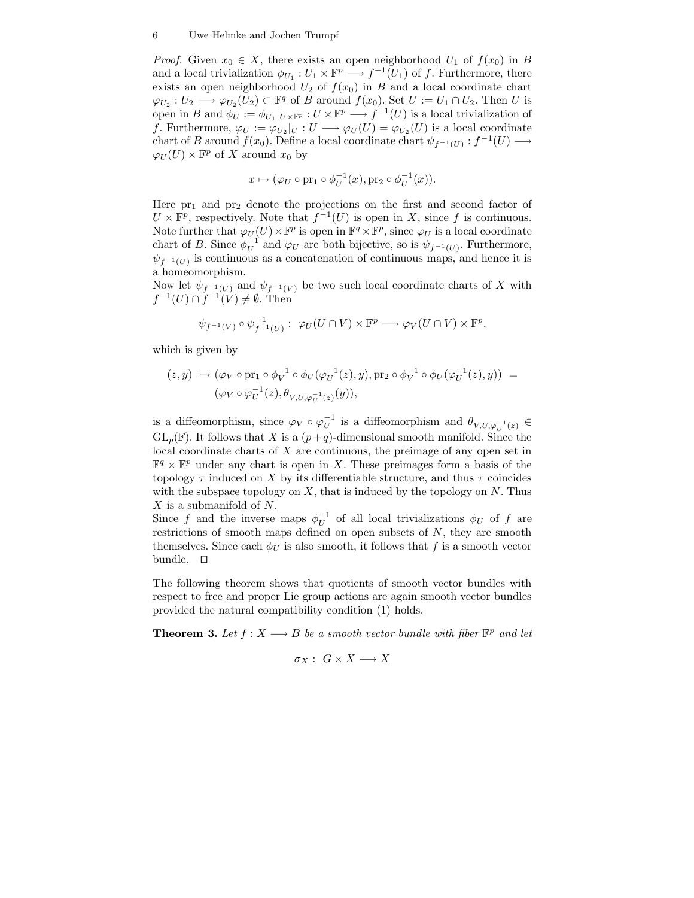*Proof.* Given  $x_0 \in X$ , there exists an open neighborhood  $U_1$  of  $f(x_0)$  in B and a local trivialization  $\phi_{U_1}: U_1 \times \mathbb{F}^p \longrightarrow f^{-1}(U_1)$  of f. Furthermore, there exists an open neighborhood  $U_2$  of  $f(x_0)$  in B and a local coordinate chart  $\varphi_{U_2}: U_2 \longrightarrow \varphi_{U_2}(U_2) \subset \mathbb{F}^q$  of B around  $f(x_0)$ . Set  $U := U_1 \cap U_2$ . Then U is open in B and  $\phi_U := \phi_{U_1}|_{U \times \mathbb{F}^p} : U \times \mathbb{F}^p \longrightarrow f^{-1}(U)$  is a local trivialization of f. Furthermore,  $\varphi_U := \varphi_{U_2}|_U : U \longrightarrow \varphi_U(U) = \varphi_{U_2}(U)$  is a local coordinate chart of B around  $f(x_0)$ . Define a local coordinate chart  $\psi_{f^{-1}(U)} : f^{-1}(U) \longrightarrow$  $\varphi_U(U) \times \mathbb{F}^p$  of X around  $x_0$  by

$$
x\mapsto (\varphi_U\circ\mathrm{pr}_1\circ\phi_U^{-1}(x),\mathrm{pr}_2\circ\phi_U^{-1}(x)).
$$

Here  $pr_1$  and  $pr_2$  denote the projections on the first and second factor of  $U \times \mathbb{F}^p$ , respectively. Note that  $f^{-1}(U)$  is open in X, since f is continuous. Note further that  $\varphi_U(U) \times \mathbb{F}^p$  is open in  $\mathbb{F}^q \times \mathbb{F}^p$ , since  $\varphi_U$  is a local coordinate chart of B. Since  $\phi_U^{-1}$  and  $\varphi_U$  are both bijective, so is  $\psi_{f^{-1}(U)}$ . Furthermore,  $\psi_{f^{-1}(U)}$  is continuous as a concatenation of continuous maps, and hence it is a homeomorphism.

Now let  $\psi_{f^{-1}(U)}$  and  $\psi_{f^{-1}(V)}$  be two such local coordinate charts of X with  $f^{-1}(U) \cap f^{-1}(V) \neq \emptyset$ . Then

$$
\psi_{f^{-1}(V)} \circ \psi_{f^{-1}(U)}^{-1} : \ \varphi_U(U \cap V) \times \mathbb{F}^p \longrightarrow \varphi_V(U \cap V) \times \mathbb{F}^p,
$$

which is given by

$$
\begin{array}{lll}(z,y)&\mapsto (\varphi_V\circ\mathrm{pr}_1\circ\phi_V^{-1}\circ\phi_U(\varphi_U^{-1}(z),y),\mathrm{pr}_2\circ\phi_V^{-1}\circ\phi_U(\varphi_U^{-1}(z),y))&=\\&(\varphi_V\circ\varphi_U^{-1}(z),\theta_{V,U,\varphi_U^{-1}(z)}(y)),\end{array}
$$

is a diffeomorphism, since  $\varphi_V \circ \varphi_U^{-1}$  is a diffeomorphism and  $\theta_{V,U,\varphi_U^{-1}(z)} \in$  $GL_p(\mathbb{F})$ . It follows that X is a  $(p+q)$ -dimensional smooth manifold. Since the local coordinate charts of X are continuous, the preimage of any open set in  $\mathbb{F}^q \times \mathbb{F}^p$  under any chart is open in X. These preimages form a basis of the topology  $\tau$  induced on X by its differentiable structure, and thus  $\tau$  coincides with the subspace topology on  $X$ , that is induced by the topology on  $N$ . Thus X is a submanifold of N.

Since f and the inverse maps  $\phi_U^{-1}$  of all local trivializations  $\phi_U$  of f are restrictions of smooth maps defined on open subsets of  $N$ , they are smooth themselves. Since each  $\phi_U$  is also smooth, it follows that f is a smooth vector bundle.  $\square$ 

The following theorem shows that quotients of smooth vector bundles with respect to free and proper Lie group actions are again smooth vector bundles provided the natural compatibility condition (1) holds.

**Theorem 3.** Let  $f: X \longrightarrow B$  be a smooth vector bundle with fiber  $\mathbb{F}^p$  and let

$$
\sigma_X: G \times X \longrightarrow X
$$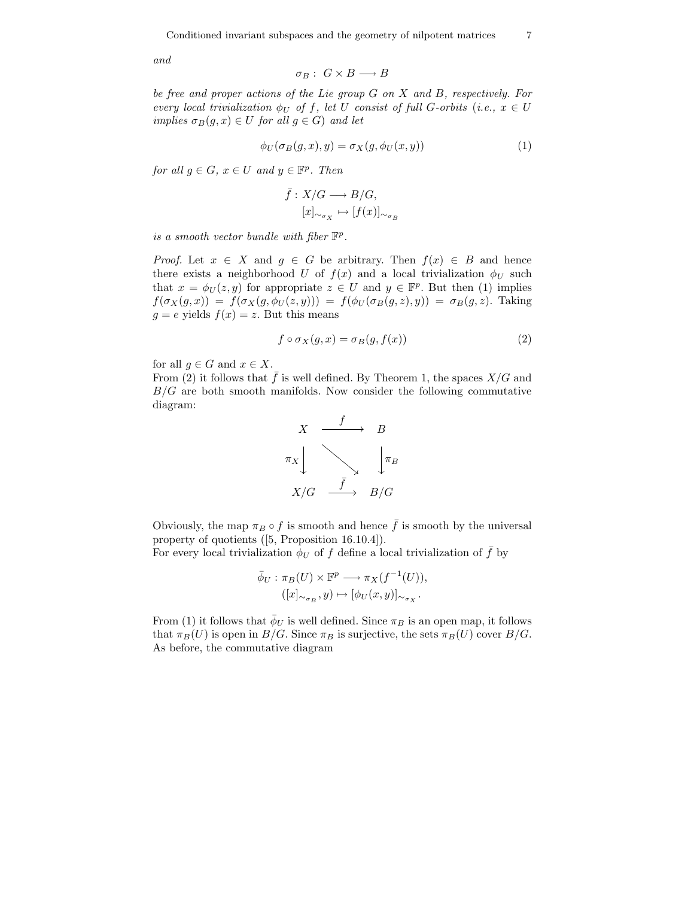and

$$
\sigma_B: G \times B \longrightarrow B
$$

be free and proper actions of the Lie group  $G$  on  $X$  and  $B$ , respectively. For every local trivialization  $\phi_U$  of f, let U consist of full G-orbits (i.e.,  $x \in U$ implies  $\sigma_B(q, x) \in U$  for all  $q \in G$ ) and let

$$
\phi_U(\sigma_B(g, x), y) = \sigma_X(g, \phi_U(x, y))\tag{1}
$$

for all  $g \in G$ ,  $x \in U$  and  $y \in \mathbb{F}^p$ . Then

$$
\bar{f}: X/G \longrightarrow B/G,
$$

$$
[x]_{\sim_{\sigma_X}} \mapsto [f(x)]_{\sim_{\sigma_B}}
$$

is a smooth vector bundle with fiber  $\mathbb{F}^p$ .

*Proof.* Let  $x \in X$  and  $g \in G$  be arbitrary. Then  $f(x) \in B$  and hence there exists a neighborhood U of  $f(x)$  and a local trivialization  $\phi_U$  such that  $x = \phi_U(z, y)$  for appropriate  $z \in U$  and  $y \in \mathbb{F}^p$ . But then (1) implies  $f(\sigma_X(g, x)) = f(\sigma_X(g, \phi_U(z, y))) = f(\phi_U(\sigma_B(g, z), y)) = \sigma_B(g, z)$ . Taking  $g = e$  yields  $f(x) = z$ . But this means

$$
f \circ \sigma_X(g, x) = \sigma_B(g, f(x)) \tag{2}
$$

for all  $g \in G$  and  $x \in X$ .

From (2) it follows that  $\bar{f}$  is well defined. By Theorem 1, the spaces  $X/G$  and  $B/G$  are both smooth manifolds. Now consider the following commutative diagram:



Obviously, the map  $\pi_B \circ f$  is smooth and hence  $\bar{f}$  is smooth by the universal property of quotients ([5, Proposition 16.10.4]).

For every local trivialization  $\phi_U$  of f define a local trivialization of f by

$$
\bar{\phi}_U : \pi_B(U) \times \mathbb{F}^p \longrightarrow \pi_X(f^{-1}(U)),
$$

$$
([x]_{\sim_{\sigma_B}}, y) \mapsto [\phi_U(x, y)]_{\sim_{\sigma_X}}.
$$

From (1) it follows that  $\bar{\phi}_U$  is well defined. Since  $\pi_B$  is an open map, it follows that  $\pi_B(U)$  is open in  $B/G$ . Since  $\pi_B$  is surjective, the sets  $\pi_B(U)$  cover  $B/G$ . As before, the commutative diagram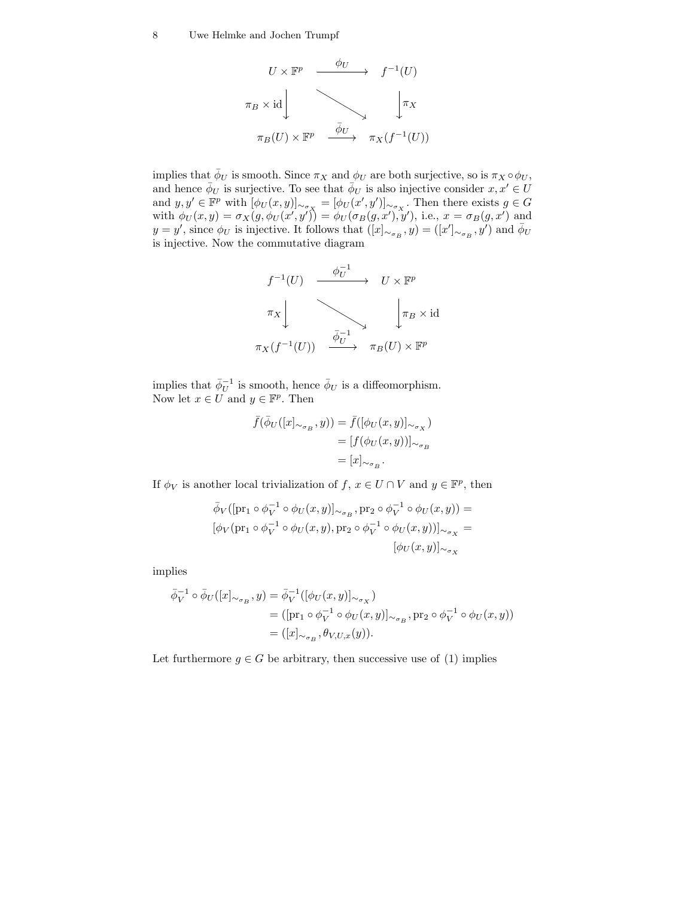8 Uwe Helmke and Jochen Trumpf



implies that  $\bar{\phi}_U$  is smooth. Since  $\pi_X$  and  $\phi_U$  are both surjective, so is  $\pi_X \circ \phi_U$ , and hence  $\bar{\phi}_U$  is surjective. To see that  $\bar{\phi}_U$  is also injective consider  $x, x' \in U$ and  $y, y' \in \mathbb{F}^p$  with  $[\phi_U(x, y)]_{\sim_{\sigma_X}} = [\phi_U(x', y')]_{\sim_{\sigma_X}}$ . Then there exists  $g \in G$ with  $\phi_U(x,y) = \sigma_X(g, \phi_U(x', y')) = \phi_U(\sigma_B(g, x'), y')$ , i.e.,  $x = \sigma_B(g, x')$  and  $y = y'$ , since  $\phi_U$  is injective. It follows that  $([x]_{\sim_{\sigma_B}}, y) = ([x']_{\sim_{\sigma_B}}, y')$  and  $\bar{\phi}_U$ is injective. Now the commutative diagram



implies that  $\bar{\phi}_U^{-1}$  is smooth, hence  $\bar{\phi}_U$  is a diffeomorphism. Now let  $x \in U$  and  $y \in \mathbb{F}^p$ . Then

$$
\bar{f}(\bar{\phi}_U([x]_{\sim_{\sigma_B}}, y)) = \bar{f}([\phi_U(x, y)]_{\sim_{\sigma_X}})
$$

$$
= [f(\phi_U(x, y))]_{\sim_{\sigma_B}}
$$

$$
= [x]_{\sim_{\sigma_B}}.
$$

If  $\phi_V$  is another local trivialization of  $f, x \in U \cap V$  and  $y \in \mathbb{F}^p$ , then

$$
\bar{\phi}_V([\text{pr}_1 \circ \phi_V^{-1} \circ \phi_U(x, y)]_{\sim \sigma_B}, \text{pr}_2 \circ \phi_V^{-1} \circ \phi_U(x, y)) =
$$
  

$$
[\phi_V(\text{pr}_1 \circ \phi_V^{-1} \circ \phi_U(x, y), \text{pr}_2 \circ \phi_V^{-1} \circ \phi_U(x, y))]_{\sim \sigma_X} =
$$
  

$$
[\phi_U(x, y)]_{\sim \sigma_X}
$$

implies

$$
\bar{\phi}_V^{-1} \circ \bar{\phi}_U([x]_{\sim_{\sigma_B}}, y) = \bar{\phi}_V^{-1}([\phi_U(x, y)]_{\sim_{\sigma_X}})
$$
  
= 
$$
([\text{pr}_1 \circ \phi_V^{-1} \circ \phi_U(x, y)]_{\sim_{\sigma_B}}, \text{pr}_2 \circ \phi_V^{-1} \circ \phi_U(x, y))
$$
  
= 
$$
([x]_{\sim_{\sigma_B}}, \theta_{V,U,x}(y)).
$$

Let furthermore  $g \in G$  be arbitrary, then successive use of (1) implies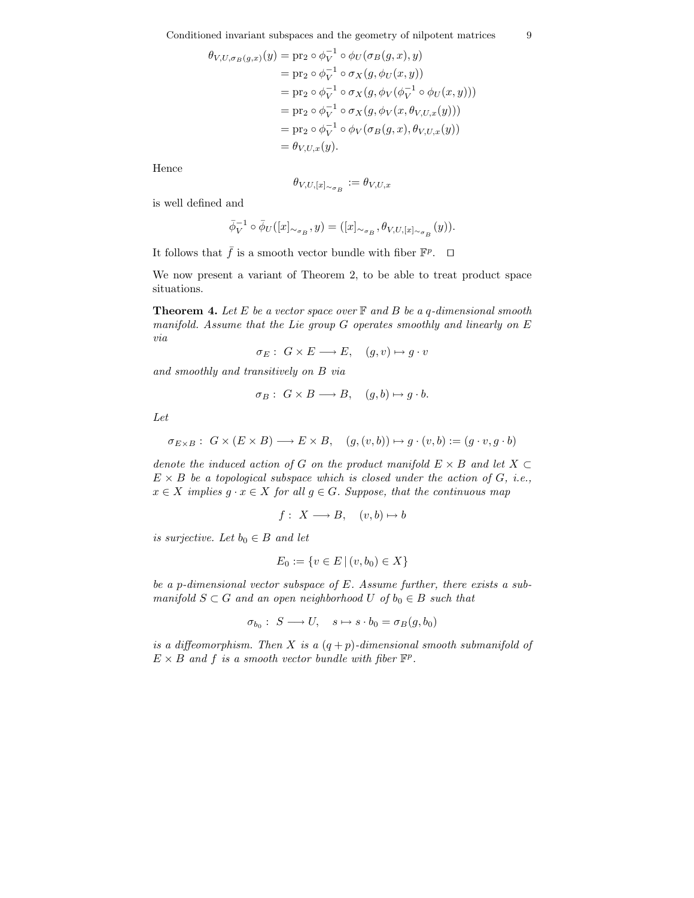Conditioned invariant subspaces and the geometry of nilpotent matrices 9

$$
\theta_{V,U,\sigma_B(g,x)}(y) = \text{pr}_2 \circ \phi_V^{-1} \circ \phi_U(\sigma_B(g,x), y)
$$
  
\n
$$
= \text{pr}_2 \circ \phi_V^{-1} \circ \sigma_X(g, \phi_U(x, y))
$$
  
\n
$$
= \text{pr}_2 \circ \phi_V^{-1} \circ \sigma_X(g, \phi_V(\phi_V^{-1} \circ \phi_U(x, y)))
$$
  
\n
$$
= \text{pr}_2 \circ \phi_V^{-1} \circ \sigma_X(g, \phi_V(x, \theta_{V,U,x}(y)))
$$
  
\n
$$
= \text{pr}_2 \circ \phi_V^{-1} \circ \phi_V(\sigma_B(g, x), \theta_{V,U,x}(y))
$$
  
\n
$$
= \theta_{V,U,x}(y).
$$

Hence

$$
\theta_{V,U,[x]_{\sim \sigma_B}}:=\theta_{V,U,x}
$$

is well defined and

$$
\bar{\phi}_V^{-1}\circ \bar{\phi}_U([x]_{\sim_{\sigma_B}},y)=([x]_{\sim_{\sigma_B}},\theta_{V,U,[x]_{\sim_{\sigma_B}}}(y)).
$$

It follows that  $\bar{f}$  is a smooth vector bundle with fiber  $\mathbb{F}^p$ .  $\Box$ 

We now present a variant of Theorem 2, to be able to treat product space situations.

**Theorem 4.** Let E be a vector space over  $\mathbb F$  and B be a q-dimensional smooth manifold. Assume that the Lie group G operates smoothly and linearly on E via

$$
\sigma_E: G \times E \longrightarrow E, \quad (g, v) \mapsto g \cdot v
$$

and smoothly and transitively on B via

$$
\sigma_B: G \times B \longrightarrow B, \quad (g, b) \mapsto g \cdot b.
$$

Let

$$
\sigma_{E \times B} : G \times (E \times B) \longrightarrow E \times B, \quad (g, (v, b)) \mapsto g \cdot (v, b) := (g \cdot v, g \cdot b)
$$

denote the induced action of G on the product manifold  $E \times B$  and let  $X \subset$  $E \times B$  be a topological subspace which is closed under the action of G, i.e.,  $x \in X$  implies  $g \cdot x \in X$  for all  $g \in G$ . Suppose, that the continuous map

$$
f: X \longrightarrow B, \quad (v, b) \mapsto b
$$

is surjective. Let  $b_0 \in B$  and let

$$
E_0 := \{ v \in E \, | \, (v, b_0) \in X \}
$$

be a p-dimensional vector subspace of E. Assume further, there exists a submanifold  $S \subset G$  and an open neighborhood U of  $b_0 \in B$  such that

$$
\sigma_{b_0}: S \longrightarrow U, \quad s \mapsto s \cdot b_0 = \sigma_B(g, b_0)
$$

is a diffeomorphism. Then X is a  $(q + p)$ -dimensional smooth submanifold of  $E \times B$  and f is a smooth vector bundle with fiber  $\mathbb{F}^p$ .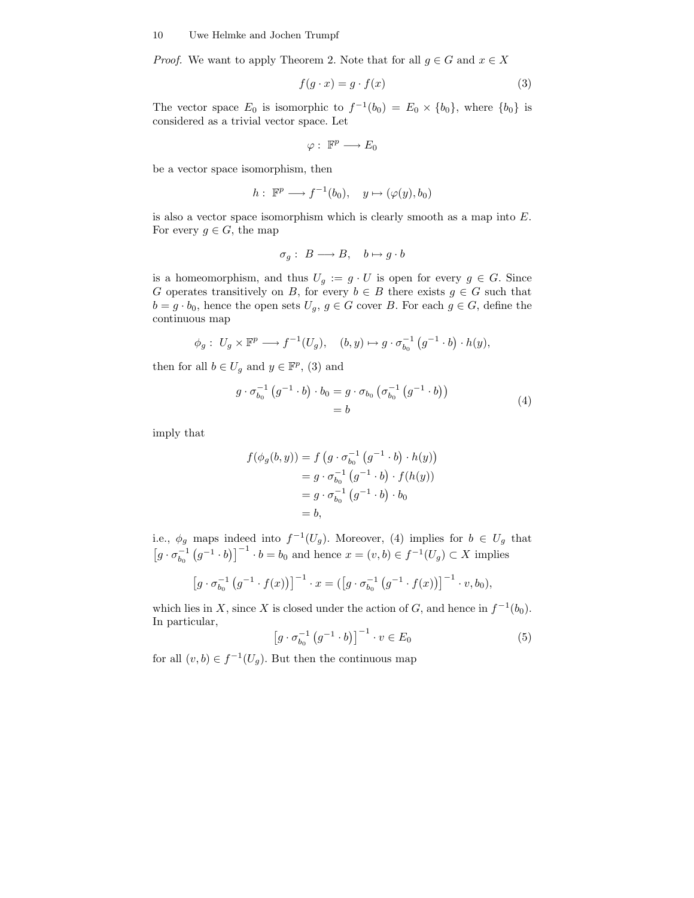*Proof.* We want to apply Theorem 2. Note that for all  $g \in G$  and  $x \in X$ 

$$
f(g \cdot x) = g \cdot f(x) \tag{3}
$$

The vector space  $E_0$  is isomorphic to  $f^{-1}(b_0) = E_0 \times \{b_0\}$ , where  $\{b_0\}$  is considered as a trivial vector space. Let

$$
\varphi:\ \mathbb{F}^p\longrightarrow E_0
$$

be a vector space isomorphism, then

$$
h: \ \mathbb{F}^p \longrightarrow f^{-1}(b_0), \quad y \mapsto (\varphi(y), b_0)
$$

is also a vector space isomorphism which is clearly smooth as a map into  $E$ . For every  $g \in G$ , the map

$$
\sigma_g:\ B\longrightarrow B,\quad b\mapsto g\cdot b
$$

is a homeomorphism, and thus  $U_g := g \cdot U$  is open for every  $g \in G$ . Since G operates transitively on B, for every  $b \in B$  there exists  $g \in G$  such that  $b = g \cdot b_0$ , hence the open sets  $U_q$ ,  $g \in G$  cover B. For each  $g \in G$ , define the continuous map

$$
\phi_g: U_g \times \mathbb{F}^p \longrightarrow f^{-1}(U_g), \quad (b, y) \mapsto g \cdot \sigma_{b_0}^{-1} (g^{-1} \cdot b) \cdot h(y),
$$

then for all  $b \in U_g$  and  $y \in \mathbb{F}^p$ , (3) and

$$
g \cdot \sigma_{b_0}^{-1} \left( g^{-1} \cdot b \right) \cdot b_0 = g \cdot \sigma_{b_0} \left( \sigma_{b_0}^{-1} \left( g^{-1} \cdot b \right) \right)
$$
  
= b (4)

imply that

$$
f(\phi_g(b, y)) = f(g \cdot \sigma_{b_0}^{-1} (g^{-1} \cdot b) \cdot h(y))
$$
  
=  $g \cdot \sigma_{b_0}^{-1} (g^{-1} \cdot b) \cdot f(h(y))$   
=  $g \cdot \sigma_{b_0}^{-1} (g^{-1} \cdot b) \cdot b_0$   
=  $b$ ,

i.e.,  $\phi_g$  maps indeed into  $f^{-1}(U_g)$ . Moreover, (4) implies for  $b \in U_g$  that  $[g \cdot \sigma_{b_0}^{-1} (g^{-1} \cdot b)]^{-1} \cdot b = b_0$  and hence  $x = (v, b) \in f^{-1}(U_g) \subset X$  implies

$$
\left[g \cdot \sigma_{b_0}^{-1} \left(g^{-1} \cdot f(x)\right)\right]^{-1} \cdot x = \left(\left[g \cdot \sigma_{b_0}^{-1} \left(g^{-1} \cdot f(x)\right)\right]\right)^{-1} \cdot v, b_0\right),
$$

which lies in X, since X is closed under the action of G, and hence in  $f^{-1}(b_0)$ . In particular,

$$
\left[g \cdot \sigma_{b_0}^{-1} \left(g^{-1} \cdot b\right)\right]^{-1} \cdot v \in E_0 \tag{5}
$$

for all  $(v, b) \in f^{-1}(U_g)$ . But then the continuous map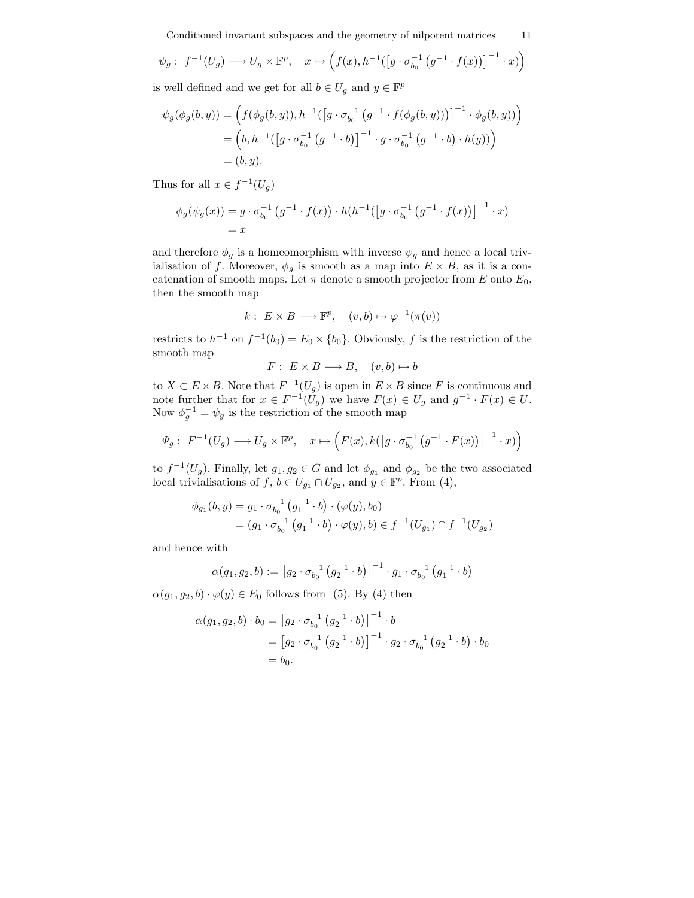Conditioned invariant subspaces and the geometry of nilpotent matrices 11

$$
\psi_g: f^{-1}(U_g) \longrightarrow U_g \times \mathbb{F}^p, \quad x \mapsto \left(f(x), h^{-1}([g \cdot \sigma_{b_0}^{-1} (g^{-1} \cdot f(x))]^{-1} \cdot x)\right)
$$

is well defined and we get for all  $b \in U_g$  and  $y \in \mathbb{F}^p$ 

$$
\psi_g(\phi_g(b, y)) = \left( f(\phi_g(b, y)), h^{-1}([g \cdot \sigma_{b_0}^{-1} (g^{-1} \cdot f(\phi_g(b, y)))]^{-1} \cdot \phi_g(b, y)) \right)
$$
  
= 
$$
\left( b, h^{-1}([g \cdot \sigma_{b_0}^{-1} (g^{-1} \cdot b)]^{-1} \cdot g \cdot \sigma_{b_0}^{-1} (g^{-1} \cdot b) \cdot h(y)) \right)
$$
  
= 
$$
(b, y).
$$

Thus for all  $x \in f^{-1}(U_g)$ 

$$
\phi_g(\psi_g(x)) = g \cdot \sigma_{b_0}^{-1} (g^{-1} \cdot f(x)) \cdot h(h^{-1}([g \cdot \sigma_{b_0}^{-1} (g^{-1} \cdot f(x))]^{-1} \cdot x)
$$
  
= x

and therefore  $\phi_g$  is a homeomorphism with inverse  $\psi_g$  and hence a local trivialisation of f. Moreover,  $\phi_g$  is smooth as a map into  $E \times B$ , as it is a concatenation of smooth maps. Let  $\pi$  denote a smooth projector from  $E$  onto  $E_0$ , then the smooth map

$$
k: E \times B \longrightarrow \mathbb{F}^p, \quad (v, b) \mapsto \varphi^{-1}(\pi(v))
$$

restricts to  $h^{-1}$  on  $f^{-1}(b_0) = E_0 \times \{b_0\}$ . Obviously, f is the restriction of the smooth map

$$
F: E \times B \longrightarrow B, \quad (v, b) \mapsto b
$$

to  $X \subset E \times B$ . Note that  $F^{-1}(U_g)$  is open in  $E \times B$  since F is continuous and note further that for  $x \in F^{-1}(\tilde{U}_g)$  we have  $F(x) \in U_g$  and  $g^{-1} \cdot F(x) \in U$ . Now  $\phi_g^{-1} = \psi_g$  is the restriction of the smooth map

$$
\varPsi_g:\ F^{-1}(U_g)\longrightarrow U_g\times \mathbb{F}^p,\quad x\mapsto \Bigl(F(x),k\bigl(\bigl[g\cdot\sigma_{b_0}^{-1}\left(g^{-1}\cdot F(x)\right)\bigr]^{-1}\cdot x)\Bigr)
$$

to  $f^{-1}(U_g)$ . Finally, let  $g_1, g_2 \in G$  and let  $\phi_{g_1}$  and  $\phi_{g_2}$  be the two associated local trivialisations of  $f, b \in U_{g_1} \cap U_{g_2}$ , and  $y \in \mathbb{F}^p$ . From (4),

$$
\phi_{g_1}(b, y) = g_1 \cdot \sigma_{b_0}^{-1} (g_1^{-1} \cdot b) \cdot (\varphi(y), b_0)
$$
  
=  $(g_1 \cdot \sigma_{b_0}^{-1} (g_1^{-1} \cdot b) \cdot \varphi(y), b) \in f^{-1}(U_{g_1}) \cap f^{-1}(U_{g_2})$ 

and hence with

$$
\alpha(g_1, g_2, b) := [g_2 \cdot \sigma_{b_0}^{-1} (g_2^{-1} \cdot b)]^{-1} \cdot g_1 \cdot \sigma_{b_0}^{-1} (g_1^{-1} \cdot b)
$$

 $\alpha(g_1, g_2, b) \cdot \varphi(y) \in E_0$  follows from (5). By (4) then

$$
\alpha(g_1, g_2, b) \cdot b_0 = [g_2 \cdot \sigma_{b_0}^{-1} (g_2^{-1} \cdot b)]^{-1} \cdot b
$$
  
=  $[g_2 \cdot \sigma_{b_0}^{-1} (g_2^{-1} \cdot b)]^{-1} \cdot g_2 \cdot \sigma_{b_0}^{-1} (g_2^{-1} \cdot b) \cdot b_0$   
=  $b_0$ .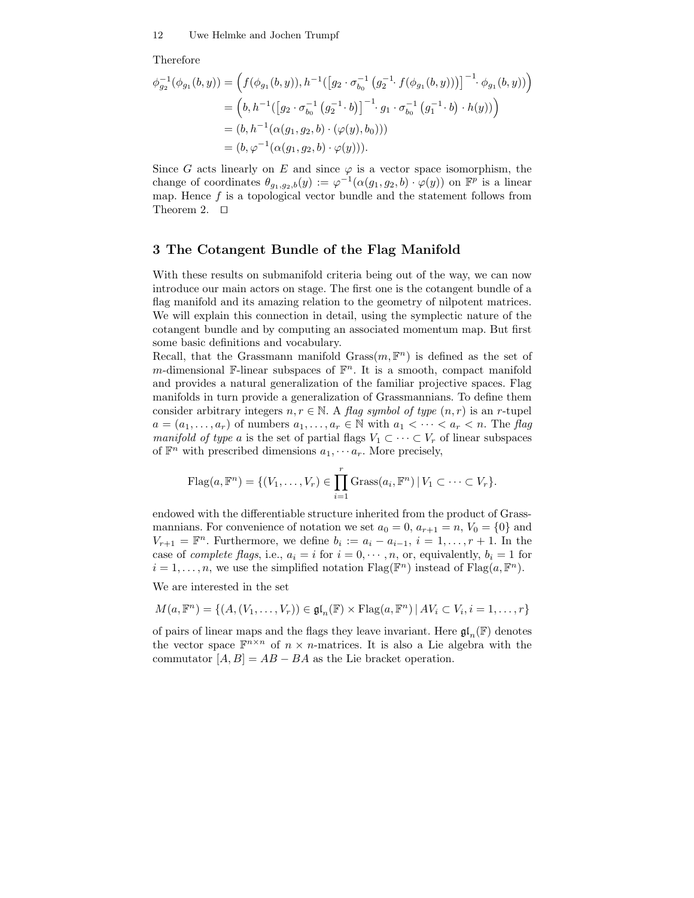Therefore

$$
\begin{split} \phi_{g_2}^{-1}(\phi_{g_1}(b,y)) &= \left( f(\phi_{g_1}(b,y)), h^{-1}(\left[g_2 \cdot \sigma_{b_0}^{-1} \left(g_2^{-1} \cdot f(\phi_{g_1}(b,y))\right)\right]^{-1} \cdot \phi_{g_1}(b,y)) \right) \\ &= \left( b, h^{-1}(\left[g_2 \cdot \sigma_{b_0}^{-1} \left(g_2^{-1} \cdot b\right)\right]^{-1} \cdot g_1 \cdot \sigma_{b_0}^{-1} \left(g_1^{-1} \cdot b\right) \cdot h(y)) \right) \\ &= (b, h^{-1}(\alpha(g_1, g_2, b) \cdot (\varphi(y), b_0))) \\ &= (b, \varphi^{-1}(\alpha(g_1, g_2, b) \cdot \varphi(y))). \end{split}
$$

Since G acts linearly on E and since  $\varphi$  is a vector space isomorphism, the change of coordinates  $\theta_{g_1,g_2,b}(y) := \varphi^{-1}(\alpha(g_1,g_2,b)\cdot\varphi(y))$  on  $\mathbb{F}^p$  is a linear map. Hence  $f$  is a topological vector bundle and the statement follows from Theorem 2.  $\square$ 

# 3 The Cotangent Bundle of the Flag Manifold

With these results on submanifold criteria being out of the way, we can now introduce our main actors on stage. The first one is the cotangent bundle of a flag manifold and its amazing relation to the geometry of nilpotent matrices. We will explain this connection in detail, using the symplectic nature of the cotangent bundle and by computing an associated momentum map. But first some basic definitions and vocabulary.

Recall, that the Grassmann manifold  $Gras(m, \mathbb{F}^n)$  is defined as the set of m-dimensional F-linear subspaces of  $\mathbb{F}^n$ . It is a smooth, compact manifold and provides a natural generalization of the familiar projective spaces. Flag manifolds in turn provide a generalization of Grassmannians. To define them consider arbitrary integers  $n, r \in \mathbb{N}$ . A flag symbol of type  $(n, r)$  is an r-tupel  $a = (a_1, \ldots, a_r)$  of numbers  $a_1, \ldots, a_r \in \mathbb{N}$  with  $a_1 < \cdots < a_r < n$ . The flag manifold of type a is the set of partial flags  $V_1 \subset \cdots \subset V_r$  of linear subspaces of  $\mathbb{F}^n$  with prescribed dimensions  $a_1, \cdots a_r$ . More precisely,

$$
\operatorname{Flag}(a, \mathbb{F}^n) = \{ (V_1, \dots, V_r) \in \prod_{i=1}^r \operatorname{Grass}(a_i, \mathbb{F}^n) \, | \, V_1 \subset \dots \subset V_r \}.
$$

endowed with the differentiable structure inherited from the product of Grassmannians. For convenience of notation we set  $a_0 = 0$ ,  $a_{r+1} = n$ ,  $V_0 = \{0\}$  and  $V_{r+1} = \mathbb{F}^n$ . Furthermore, we define  $b_i := a_i - a_{i-1}, i = 1, \ldots, r+1$ . In the case of *complete flags*, i.e.,  $a_i = i$  for  $i = 0, \dots, n$ , or, equivalently,  $b_i = 1$  for  $i = 1, \ldots, n$ , we use the simplified notation  $\text{Flag}(\mathbb{F}^n)$  instead of  $\text{Flag}(a, \mathbb{F}^n)$ .

We are interested in the set

$$
M(a,\mathbb{F}^n) = \{ (A,(V_1,\ldots,V_r)) \in \mathfrak{gl}_n(\mathbb{F}) \times \text{Flag}(a,\mathbb{F}^n) \mid AV_i \subset V_i, i = 1,\ldots,r \}
$$

of pairs of linear maps and the flags they leave invariant. Here  $\mathfrak{gl}_n(\mathbb{F})$  denotes the vector space  $\mathbb{F}^{n \times n}$  of  $n \times n$ -matrices. It is also a Lie algebra with the commutator  $[A, B] = AB - BA$  as the Lie bracket operation.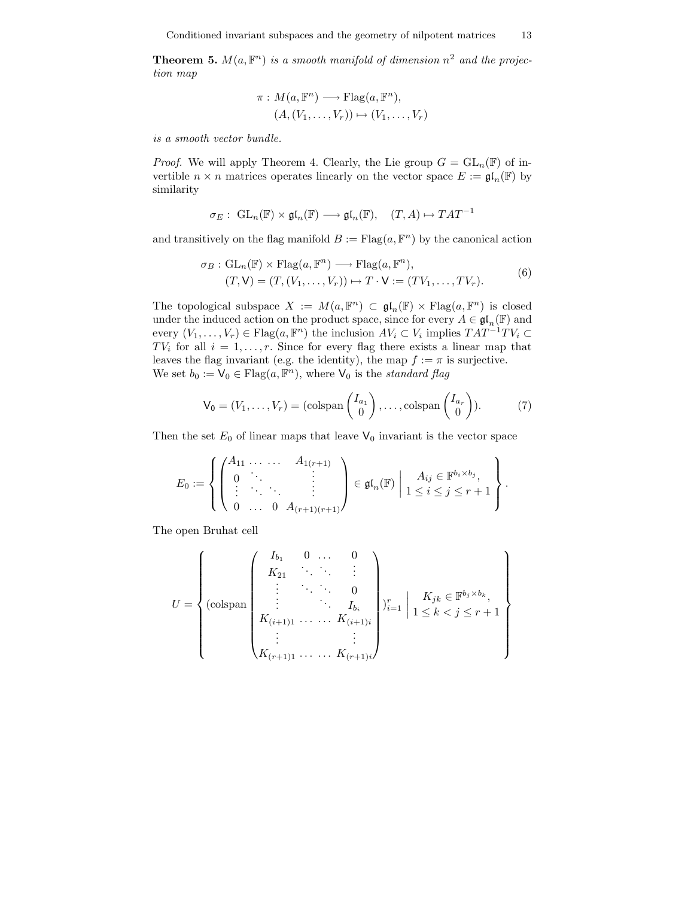**Theorem 5.**  $M(a, \mathbb{F}^n)$  is a smooth manifold of dimension  $n^2$  and the projection map

$$
\pi: M(a, \mathbb{F}^n) \longrightarrow \text{Flag}(a, \mathbb{F}^n), (A, (V_1, \dots, V_r)) \mapsto (V_1, \dots, V_r)
$$

is a smooth vector bundle.

*Proof.* We will apply Theorem 4. Clearly, the Lie group  $G = GL_n(\mathbb{F})$  of invertible  $n \times n$  matrices operates linearly on the vector space  $E := \mathfrak{gl}_n(\mathbb{F})$  by similarity

$$
\sigma_E:\ {\rm GL}_n({\mathbb F})\times {\mathfrak g}{\mathfrak l}_n({\mathbb F})\longrightarrow {\mathfrak g}{\mathfrak l}_n({\mathbb F}),\quad (T,A)\mapsto TAT^{-1}
$$

and transitively on the flag manifold  $B := \text{Flag}(a, \mathbb{F}^n)$  by the canonical action

$$
\sigma_B: GL_n(\mathbb{F}) \times \text{Flag}(a, \mathbb{F}^n) \longrightarrow \text{Flag}(a, \mathbb{F}^n),(T, V) = (T, (V_1, \dots, V_r)) \mapsto T \cdot V := (TV_1, \dots, TV_r).
$$
(6)

The topological subspace  $X := M(a, \mathbb{F}^n) \subset \mathfrak{gl}_n(\mathbb{F}) \times \text{Flag}(a, \mathbb{F}^n)$  is closed under the induced action on the product space, since for every  $A \in \mathfrak{gl}_n(\mathbb{F})$  and every  $(V_1, \ldots, V_r) \in \text{Flag}(a, \mathbb{F}^n)$  the inclusion  $AV_i \subset V_i$  implies  $TAT^{-1}TV_i \subset$  $TV_i$  for all  $i = 1, \ldots, r$ . Since for every flag there exists a linear map that leaves the flag invariant (e.g. the identity), the map  $f := \pi$  is surjective. We set  $b_0 := \mathsf{V}_0 \in \mathrm{Flag}(a, \mathbb{F}^n)$ , where  $\mathsf{V}_0$  is the *standard flag* 

$$
\mathsf{V}_0 = (V_1, \dots, V_r) = (\text{colspan}\begin{pmatrix} I_{a_1} \\ 0 \end{pmatrix}, \dots, \text{colspan}\begin{pmatrix} I_{a_r} \\ 0 \end{pmatrix}).\tag{7}
$$

Then the set  $E_0$  of linear maps that leave  $V_0$  invariant is the vector space

$$
E_0 := \left\{ \left( \begin{matrix} A_{11} & \ldots & \ldots & A_{1(r+1)} \\ 0 & \ddots & \vdots & \vdots \\ \vdots & \ddots & \ddots & \vdots \\ 0 & \ldots & 0 & A_{(r+1)(r+1)} \end{matrix} \right) \in \mathfrak{gl}_n(\mathbb{F}) \; \middle| \; \begin{matrix} A_{ij} \in \mathbb{F}^{b_i \times b_j}, \\ 1 \leq i \leq j \leq r+1 \end{matrix} \right\}.
$$

The open Bruhat cell

$$
U = \left\{ (\text{colspan}\begin{pmatrix} I_{b_1} & 0 & \dots & 0 \\ K_{21} & \ddots & \ddots & \vdots \\ \vdots & \ddots & \ddots & 0 \\ \vdots & & \ddots & I_{b_i} \\ K_{(i+1)1} & \dots & K_{(i+1)i} \\ \vdots & & \vdots \\ K_{(r+1)1} & \dots & K_{(r+1)i} \end{pmatrix} \right\}_{i=1}^r \begin{pmatrix} K_{jk} \in \mathbb{F}^{b_j \times b_k}, \\ 1 \le k < j \le r+1 \\ 1 \le k < j \le r+1 \\ \vdots \\ K_{(r+1)1} & \dots & K_{(r+1)i} \end{pmatrix} \right\}
$$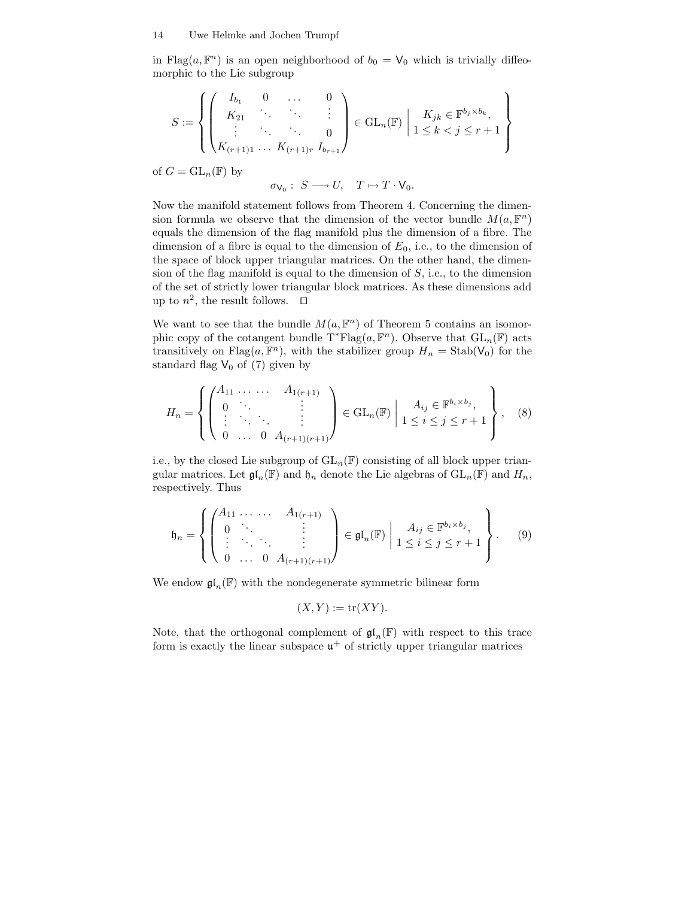in Flag(a,  $\mathbb{F}^n$ ) is an open neighborhood of  $b_0 = V_0$  which is trivially diffeomorphic to the Lie subgroup

$$
S := \left\{ \begin{pmatrix} I_{b_1} & 0 & \dots & 0 \\ K_{21} & \ddots & \ddots & \vdots \\ \vdots & \ddots & \ddots & 0 \\ K_{(r+1)1} & \dots & K_{(r+1)r} & I_{b_{r+1}} \end{pmatrix} \in \text{GL}_n(\mathbb{F}) \middle| \begin{matrix} K_{jk} \in \mathbb{F}^{b_j \times b_k}, \\ 1 \leq k < j \leq r+1 \\ 1 \leq k < j \leq r+1 \end{matrix} \right\}
$$
\nof  $G = \text{GL}_n(\mathbb{F})$  by

\n
$$
\sigma_{\mathsf{V}_0} : S \longrightarrow U, \quad T \longmapsto T \cdot \mathsf{V}_0.
$$

Now the manifold statement follows from Theorem 4. Concerning the dimension formula we observe that the dimension of the vector bundle  $M(a, \mathbb{F}^n)$ equals the dimension of the flag manifold plus the dimension of a fibre. The dimension of a fibre is equal to the dimension of  $E_0$ , i.e., to the dimension of the space of block upper triangular matrices. On the other hand, the dimension of the flag manifold is equal to the dimension of  $S$ , i.e., to the dimension of the set of strictly lower triangular block matrices. As these dimensions add up to  $n^2$ , the result follows.  $\Box$ 

We want to see that the bundle  $M(a, \mathbb{F}^n)$  of Theorem 5 contains an isomorphic copy of the cotangent bundle  $T^*Flag(a, \mathbb{F}^n)$ . Observe that  $GL_n(\mathbb{F})$  acts transitively on Flag(a,  $\mathbb{F}^n$ ), with the stabilizer group  $H_n = \text{Stab}(\mathsf{V}_0)$  for the standard flag  $V_0$  of (7) given by

$$
H_n = \left\{ \begin{pmatrix} A_{11} & \dots & A_{1(r+1)} \\ 0 & \ddots & \vdots \\ \vdots & \ddots & \ddots & \vdots \\ 0 & \dots & 0 & A_{(r+1)(r+1)} \end{pmatrix} \in GL_n(\mathbb{F}) \; \middle| \; A_{ij} \in \mathbb{F}^{b_i \times b_j}, \quad (8)
$$

i.e., by the closed Lie subgroup of  $GL_n(\mathbb{F})$  consisting of all block upper triangular matrices. Let  $\mathfrak{gl}_n(\mathbb{F})$  and  $\mathfrak{h}_n$  denote the Lie algebras of  $\mathrm{GL}_n(\mathbb{F})$  and  $H_n$ , respectively. Thus

$$
\mathfrak{h}_n = \left\{ \left( \begin{array}{ccc} A_{11} & \ldots & \ldots & A_{1(r+1)} \\ 0 & \ddots & \vdots & \vdots \\ \vdots & \ddots & \ddots & \vdots \\ 0 & \ldots & 0 & A_{(r+1)(r+1)} \end{array} \right) \in \mathfrak{gl}_n(\mathbb{F}) \; \middle| \; \mathbf{1} \leq i \leq j \leq r+1 \right\} . \tag{9}
$$

We endow  $\mathfrak{gl}_n(\mathbb{F})$  with the nondegenerate symmetric bilinear form

$$
(X,Y) := \operatorname{tr}(XY).
$$

Note, that the orthogonal complement of  $\mathfrak{gl}_n(\mathbb{F})$  with respect to this trace form is exactly the linear subspace  $\mathfrak{u}^+$  of strictly upper triangular matrices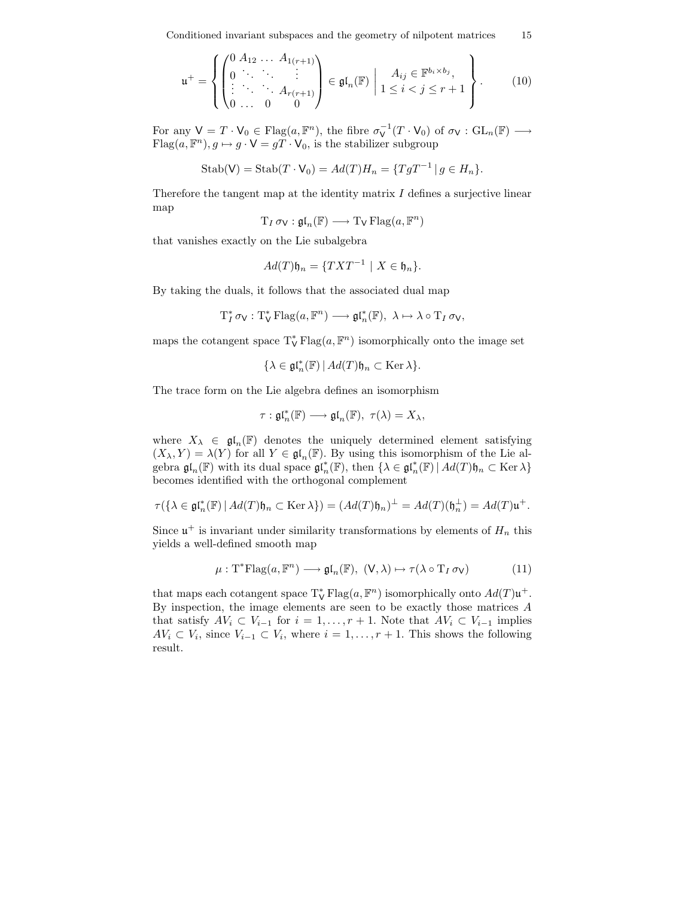Conditioned invariant subspaces and the geometry of nilpotent matrices 15

$$
\mathfrak{u}^+ = \left\{ \begin{pmatrix} 0 & A_{12} & \dots & A_{1(r+1)} \\ 0 & \ddots & \ddots & \vdots \\ \vdots & \ddots & \ddots & A_{r(r+1)} \\ 0 & \dots & 0 & 0 \end{pmatrix} \in \mathfrak{gl}_n(\mathbb{F}) \mid \begin{matrix} A_{ij} \in \mathbb{F}^{b_i \times b_j}, \\ 1 \leq i < j \leq r+1 \end{matrix} \right\}.
$$
 (10)

For any  $V = T \cdot V_0 \in Flag(a, \mathbb{F}^n)$ , the fibre  $\sigma_V^{-1}(T \cdot V_0)$  of  $\sigma_V : GL_n(\mathbb{F}) \longrightarrow$  $\text{Flag}(a, \mathbb{F}^n), g \mapsto g \cdot \mathsf{V} = g\overline{T} \cdot \mathsf{V}_0$ , is the stabilizer subgroup

$$
Stab(\mathsf{V}) = Stab(T \cdot \mathsf{V}_0) = Ad(T)H_n = \{TgT^{-1} \mid g \in H_n\}.
$$

Therefore the tangent map at the identity matrix  $I$  defines a surjective linear map

$$
\mathrm{T}_I\,\sigma_\mathsf{V}:\mathfrak{gl}_n(\mathbb{F})\longrightarrow \mathrm{T}_\mathsf{V}\,\mathrm{Flag}(a,\mathbb{F}^n)
$$

that vanishes exactly on the Lie subalgebra

$$
Ad(T)\mathfrak{h}_n = \{TXT^{-1} \mid X \in \mathfrak{h}_n\}.
$$

By taking the duals, it follows that the associated dual map

$$
T_I^* \sigma_V : T_V^* \mathrm{Flag}(a, \mathbb{F}^n) \longrightarrow \mathfrak{gl}_n^*(\mathbb{F}), \ \lambda \mapsto \lambda \circ T_I \sigma_V,
$$

maps the cotangent space  $\mathrm{T}_{\mathsf{V}}^* \mathrm{Flag}(a, \mathbb{F}^n)$  isomorphically onto the image set

$$
\{\lambda\in\mathfrak{gl}_n^*(\mathbb{F})\,|\,Ad(T)\mathfrak{h}_n\subset{\rm Ker}\,\lambda\}.
$$

The trace form on the Lie algebra defines an isomorphism

$$
\tau: \mathfrak{gl}_n^*(\mathbb{F}) \longrightarrow \mathfrak{gl}_n(\mathbb{F}), \ \tau(\lambda) = X_{\lambda},
$$

where  $X_{\lambda} \in \mathfrak{gl}_n(\mathbb{F})$  denotes the uniquely determined element satisfying  $(X_\lambda, Y) = \lambda(Y)$  for all  $Y \in \mathfrak{gl}_n(\mathbb{F})$ . By using this isomorphism of the Lie algebra  $\mathfrak{gl}_n(\mathbb{F})$  with its dual space  $\mathfrak{gl}_n^*(\mathbb{F})$ , then  $\{\lambda \in \mathfrak{gl}_n^*(\mathbb{F}) \mid Ad(T)\mathfrak{h}_n \subset \text{Ker }\lambda\}$ becomes identified with the orthogonal complement

$$
\tau(\{\lambda \in \mathfrak{gl}_n^*(\mathbb{F}) \mid Ad(T)\mathfrak{h}_n \subset \text{Ker }\lambda\}) = (Ad(T)\mathfrak{h}_n)^{\perp} = Ad(T)(\mathfrak{h}_n^{\perp}) = Ad(T)\mathfrak{u}^+.
$$

Since  $\mathfrak{u}^+$  is invariant under similarity transformations by elements of  $H_n$  this yields a well-defined smooth map

$$
\mu: \mathrm{T}^* \mathrm{Flag}(a, \mathbb{F}^n) \longrightarrow \mathfrak{gl}_n(\mathbb{F}), \ (\mathsf{V}, \lambda) \mapsto \tau(\lambda \circ \mathrm{T}_I \, \sigma_{\mathsf{V}}) \tag{11}
$$

that maps each cotangent space  $T_V^*$  Flag $(a, \mathbb{F}^n)$  isomorphically onto  $Ad(T)\mathfrak{u}^+$ . By inspection, the image elements are seen to be exactly those matrices A that satisfy  $AV_i \subset V_{i-1}$  for  $i = 1, \ldots, r+1$ . Note that  $AV_i \subset V_{i-1}$  implies  $AV_i \subset V_i$ , since  $V_{i-1} \subset V_i$ , where  $i = 1, \ldots, r+1$ . This shows the following result.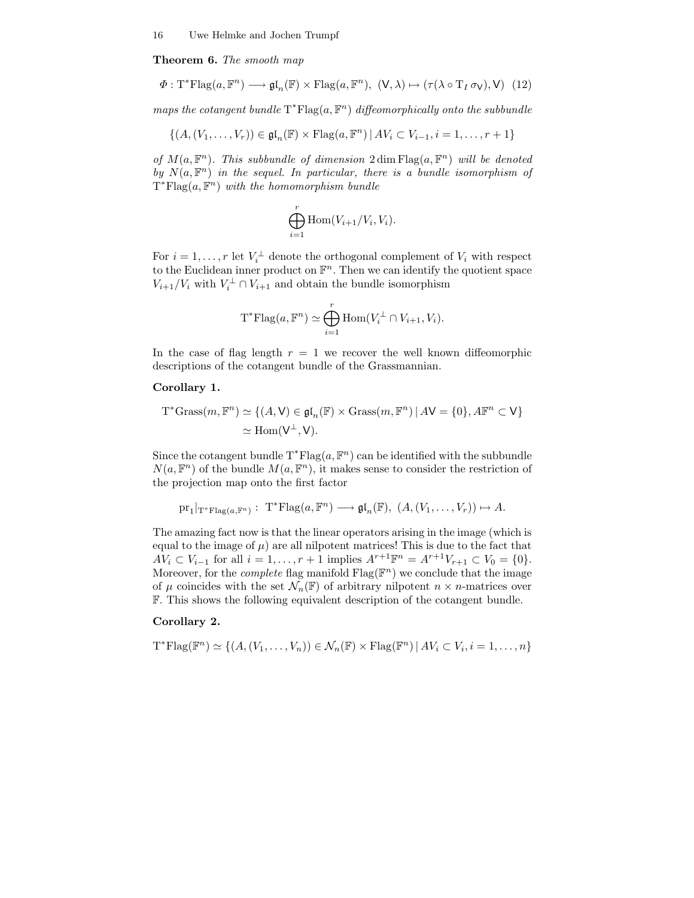### Theorem 6. The smooth map

$$
\Phi: \mathrm{T}^* \mathrm{Flag}(a, \mathbb{F}^n) \longrightarrow \mathfrak{gl}_n(\mathbb{F}) \times \mathrm{Flag}(a, \mathbb{F}^n), \ (\mathsf{V}, \lambda) \mapsto (\tau(\lambda \circ \mathrm{T}_I \sigma_{\mathsf{V}}), \mathsf{V}) \tag{12}
$$

maps the cotangent bundle  $\mathrm{T}^*\mathrm{Flag}(a,\mathbb{F}^n)$  diffeomorphically onto the subbundle

$$
\{(A, (V_1, \ldots, V_r)) \in \mathfrak{gl}_n(\mathbb{F}) \times \mathrm{Flag}(a, \mathbb{F}^n) \mid AV_i \subset V_{i-1}, i = 1, \ldots, r+1\}
$$

of  $M(a, \mathbb{F}^n)$ . This subbundle of dimension  $2 \dim \mathrm{Flag}(a, \mathbb{F}^n)$  will be denoted by  $N(a, \mathbb{F}^n)$  in the sequel. In particular, there is a bundle isomorphism of  $T^*\text{Flag}(a,\mathbb{F}^n)$  with the homomorphism bundle

$$
\bigoplus_{i=1}^r \text{Hom}(V_{i+1}/V_i, V_i).
$$

For  $i = 1, \ldots, r$  let  $V_i^{\perp}$  denote the orthogonal complement of  $V_i$  with respect to the Euclidean inner product on  $\mathbb{F}^n$ . Then we can identify the quotient space  $V_{i+1}/V_i$  with  $V_i^{\perp} \cap V_{i+1}$  and obtain the bundle isomorphism

$$
\mathrm{T}^*\mathrm{Flag}(a,\mathbb{F}^n)\simeq \bigoplus_{i=1}^r \mathrm{Hom}(V_i^{\perp} \cap V_{i+1},V_i).
$$

In the case of flag length  $r = 1$  we recover the well known diffeomorphic descriptions of the cotangent bundle of the Grassmannian.

## Corollary 1.

$$
T^*Grass(m, \mathbb{F}^n) \simeq \{(A, V) \in \mathfrak{gl}_n(\mathbb{F}) \times Grass(m, \mathbb{F}^n) \mid AV = \{0\}, A\mathbb{F}^n \subset V\}
$$

$$
\simeq Hom(V^{\perp}, V).
$$

Since the cotangent bundle  $T^*Flag(a, \mathbb{F}^n)$  can be identified with the subbundle  $N(a, \mathbb{F}^n)$  of the bundle  $M(a, \mathbb{F}^n)$ , it makes sense to consider the restriction of the projection map onto the first factor

$$
\mathrm{pr}_1|_{T^*\mathrm{Flag}(a,\mathbb{F}^n)}:\;T^*\mathrm{Flag}(a,\mathbb{F}^n)\longrightarrow \mathfrak{gl}_n(\mathbb{F}),\;(A,(V_1,\ldots,V_r))\mapsto A.
$$

The amazing fact now is that the linear operators arising in the image (which is equal to the image of  $\mu$ ) are all nilpotent matrices! This is due to the fact that  $AV_i \subset V_{i-1}$  for all  $i = 1, ..., r+1$  implies  $A^{r+1} \mathbb{F}^n = A^{r+1} V_{r+1} \subset V_0 = \{0\}.$ Moreover, for the *complete* flag manifold  $Flag(\mathbb{F}^n)$  we conclude that the image of  $\mu$  coincides with the set  $\mathcal{N}_n(\mathbb{F})$  of arbitrary nilpotent  $n \times n$ -matrices over F. This shows the following equivalent description of the cotangent bundle.

#### Corollary 2.

$$
T^*\mathrm{Flag}(\mathbb{F}^n) \simeq \{ (A, (V_1, \ldots, V_n)) \in \mathcal{N}_n(\mathbb{F}) \times \mathrm{Flag}(\mathbb{F}^n) \mid AV_i \subset V_i, i = 1, \ldots, n \}
$$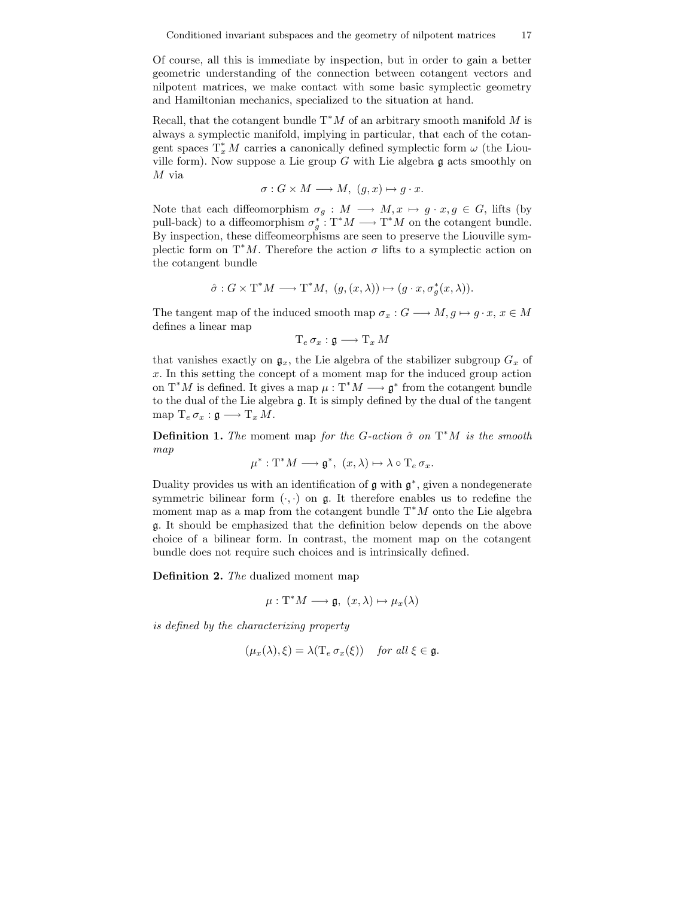Of course, all this is immediate by inspection, but in order to gain a better geometric understanding of the connection between cotangent vectors and nilpotent matrices, we make contact with some basic symplectic geometry and Hamiltonian mechanics, specialized to the situation at hand.

Recall, that the cotangent bundle  $\mathrm{T}^*M$  of an arbitrary smooth manifold M is always a symplectic manifold, implying in particular, that each of the cotangent spaces  $T_x^* M$  carries a canonically defined symplectic form  $\omega$  (the Liouville form). Now suppose a Lie group  $G$  with Lie algebra  $\mathfrak g$  acts smoothly on  $\cal M$  via

$$
\sigma: G \times M \longrightarrow M, \ (g, x) \mapsto g \cdot x.
$$

Note that each diffeomorphism  $\sigma_g : M \longrightarrow M, x \mapsto g \cdot x, g \in G$ , lifts (by pull-back) to a diffeomorphism  $\sigma_g^* \colon T^*M \longrightarrow T^*M$  on the cotangent bundle. By inspection, these diffeomeorphisms are seen to preserve the Liouville symplectic form on  $T^*M$ . Therefore the action  $\sigma$  lifts to a symplectic action on the cotangent bundle

$$
\hat{\sigma}: G \times \mathrm{T}^* M \longrightarrow \mathrm{T}^* M, \ (g, (x, \lambda)) \mapsto (g \cdot x, \sigma_g^*(x, \lambda)).
$$

The tangent map of the induced smooth map  $\sigma_x : G \longrightarrow M, g \mapsto g \cdot x, x \in M$ defines a linear map

$$
T_e \sigma_x : \mathfrak{g} \longrightarrow T_x M
$$

that vanishes exactly on  $\mathfrak{g}_x$ , the Lie algebra of the stabilizer subgroup  $G_x$  of x. In this setting the concept of a moment map for the induced group action on T<sup>\*</sup>M is defined. It gives a map  $\mu : T^*M \longrightarrow \mathfrak{g}^*$  from the cotangent bundle to the dual of the Lie algebra g. It is simply defined by the dual of the tangent map  $T_e \sigma_x : \mathfrak{g} \longrightarrow T_x M$ .

**Definition 1.** The moment map for the G-action  $\hat{\sigma}$  on  $T^*M$  is the smooth map

$$
\mu^*: \mathrm{T}^*M \longrightarrow \mathfrak{g}^*, \ (x,\lambda) \mapsto \lambda \circ \mathrm{T}_e \, \sigma_x.
$$

Duality provides us with an identification of  $\mathfrak g$  with  $\mathfrak g^*$ , given a nondegenerate symmetric bilinear form  $(\cdot, \cdot)$  on  $\mathfrak{g}$ . It therefore enables us to redefine the moment map as a map from the cotangent bundle  $T^*M$  onto the Lie algebra g. It should be emphasized that the definition below depends on the above choice of a bilinear form. In contrast, the moment map on the cotangent bundle does not require such choices and is intrinsically defined.

**Definition 2.** The dualized moment map

$$
\mu: \mathrm{T}^*M \longrightarrow \mathfrak{g}, \ (x,\lambda) \mapsto \mu_x(\lambda)
$$

is defined by the characterizing property

$$
(\mu_x(\lambda), \xi) = \lambda(\mathrm{T}_e \,\sigma_x(\xi)) \quad \text{for all } \xi \in \mathfrak{g}.
$$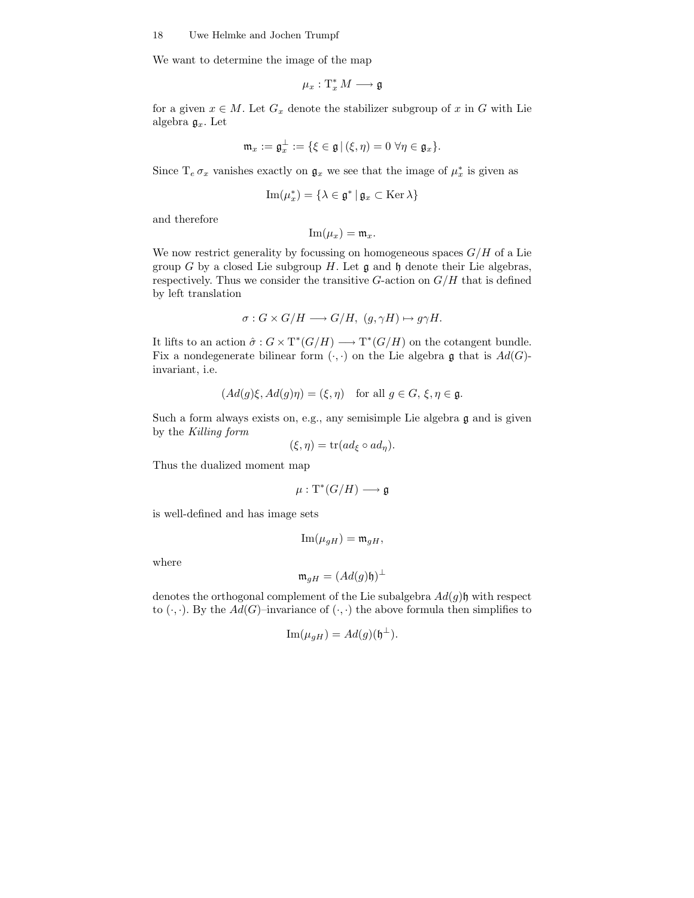We want to determine the image of the map

$$
\mu_x:\mathbf{T}^*_x\,M\longrightarrow\mathfrak{g}
$$

for a given  $x \in M$ . Let  $G_x$  denote the stabilizer subgroup of x in G with Lie algebra  $\mathfrak{g}_x$ . Let

$$
\mathfrak{m}_x:=\mathfrak{g}_x^{\perp}:=\{\xi\in\mathfrak{g}\,|\,(\xi,\eta)=0\,\,\forall \eta\in\mathfrak{g}_x\}.
$$

Since  $T_e \sigma_x$  vanishes exactly on  $\mathfrak{g}_x$  we see that the image of  $\mu_x^*$  is given as

$$
\mathrm{Im}(\mu_x^*)=\{\lambda\in\mathfrak{g}^*\,|\,\mathfrak{g}_x\subset\mathrm{Ker}\,\lambda\}
$$

and therefore

 $\text{Im}(\mu_x) = \mathfrak{m}_x.$ 

We now restrict generality by focussing on homogeneous spaces  $G/H$  of a Lie group  $G$  by a closed Lie subgroup  $H$ . Let  $\mathfrak g$  and  $\mathfrak h$  denote their Lie algebras, respectively. Thus we consider the transitive  $G$ -action on  $G/H$  that is defined by left translation

$$
\sigma: G \times G/H \longrightarrow G/H, \ (g, \gamma H) \mapsto g\gamma H.
$$

It lifts to an action  $\hat{\sigma}: G \times T^*(G/H) \longrightarrow T^*(G/H)$  on the cotangent bundle. Fix a nondegenerate bilinear form  $(\cdot, \cdot)$  on the Lie algebra g that is  $Ad(G)$ invariant, i.e.

$$
(Ad(g)\xi, Ad(g)\eta) = (\xi, \eta) \quad \text{for all } g \in G, \, \xi, \eta \in \mathfrak{g}.
$$

Such a form always exists on, e.g., any semisimple Lie algebra g and is given by the Killing form

$$
(\xi, \eta) = \operatorname{tr}(ad_{\xi} \circ ad_{\eta}).
$$

Thus the dualized moment map

$$
\mu: \mathrm{T}^*(G/H) \longrightarrow \mathfrak{g}
$$

is well-defined and has image sets

$$
\operatorname{Im}(\mu_{gH}) = \mathfrak{m}_{gH},
$$

where

$$
\mathfrak{m}_{gH}=(Ad(g)\mathfrak{h})^{\perp}
$$

denotes the orthogonal complement of the Lie subalgebra  $Ad(g)$ <sup>h</sup> with respect to  $(\cdot, \cdot)$ . By the  $Ad(G)$ –invariance of  $(\cdot, \cdot)$  the above formula then simplifies to

$$
\operatorname{Im}(\mu_{gH}) = Ad(g)(\mathfrak{h}^{\perp}).
$$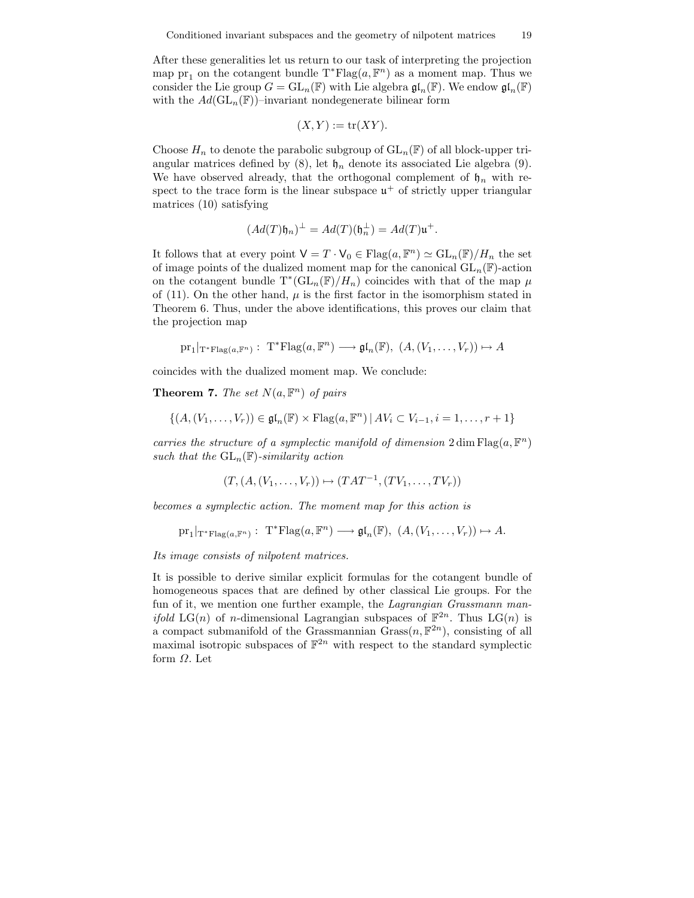After these generalities let us return to our task of interpreting the projection map pr<sub>1</sub> on the cotangent bundle T<sup>\*</sup>Flag( $a, \mathbb{F}^n$ ) as a moment map. Thus we consider the Lie group  $G = GL_n(\mathbb{F})$  with Lie algebra  $\mathfrak{gl}_n(\mathbb{F})$ . We endow  $\mathfrak{gl}_n(\mathbb{F})$ with the  $Ad(GL_n(\mathbb{F}))$ –invariant nondegenerate bilinear form

$$
(X,Y) := \operatorname{tr}(XY).
$$

Choose  $H_n$  to denote the parabolic subgroup of  $\operatorname{GL}_n(\mathbb{F})$  of all block-upper triangular matrices defined by (8), let  $\mathfrak{h}_n$  denote its associated Lie algebra (9). We have observed already, that the orthogonal complement of  $\mathfrak{h}_n$  with respect to the trace form is the linear subspace  $\mathfrak{u}^+$  of strictly upper triangular matrices (10) satisfying

$$
(Ad(T)\mathfrak{h}_n)^{\perp} = Ad(T)(\mathfrak{h}_n^{\perp}) = Ad(T)\mathfrak{u}^+.
$$

It follows that at every point  $\mathsf{V} = T \cdot \mathsf{V}_0 \in \text{Flag}(a, \mathbb{F}^n) \simeq \text{GL}_n(\mathbb{F})/H_n$  the set of image points of the dualized moment map for the canonical  $\mathrm{GL}_n(\mathbb{F})$ -action on the cotangent bundle  $T^*(\mathrm{GL}_n(\mathbb{F})/H_n)$  coincides with that of the map  $\mu$ of (11). On the other hand,  $\mu$  is the first factor in the isomorphism stated in Theorem 6. Thus, under the above identifications, this proves our claim that the projection map

$$
\mathrm{pr}_1|_{\mathrm{T}^*\mathrm{Flag}(a,\mathbb{F}^n)}:\ \mathrm{T}^*\mathrm{Flag}(a,\mathbb{F}^n)\longrightarrow \mathfrak{gl}_n(\mathbb{F}),\ (A,(V_1,\ldots,V_r))\mapsto A
$$

coincides with the dualized moment map. We conclude:

**Theorem 7.** The set  $N(a, \mathbb{F}^n)$  of pairs

$$
\{(A, (V_1, \ldots, V_r)) \in \mathfrak{gl}_n(\mathbb{F}) \times \mathrm{Flag}(a, \mathbb{F}^n) \mid AV_i \subset V_{i-1}, i = 1, \ldots, r+1\}
$$

carries the structure of a symplectic manifold of dimension  $2 \dim \text{Flag}(a, \mathbb{F}^n)$ such that the  $GL_n(\mathbb{F})$ -similarity action

$$
(T, (A, (V_1, \ldots, V_r)) \mapsto (TAT^{-1}, (TV_1, \ldots, TV_r))
$$

becomes a symplectic action. The moment map for this action is

$$
\mathrm{pr}_1|_{T^*\mathrm{Flag}(a,\mathbb{F}^n)}:\;T^*\mathrm{Flag}(a,\mathbb{F}^n)\longrightarrow \mathfrak{gl}_n(\mathbb{F}),\;(A,(V_1,\ldots,V_r))\mapsto A.
$$

Its image consists of nilpotent matrices.

It is possible to derive similar explicit formulas for the cotangent bundle of homogeneous spaces that are defined by other classical Lie groups. For the fun of it, we mention one further example, the Lagrangian Grassmann man*ifold* LG(n) of n-dimensional Lagrangian subspaces of  $\mathbb{F}^{2n}$ . Thus LG(n) is a compact submanifold of the Grassmannian Grass $(n, \mathbb{F}^{2n})$ , consisting of all maximal isotropic subspaces of  $\mathbb{F}^{2n}$  with respect to the standard symplectic form Ω. Let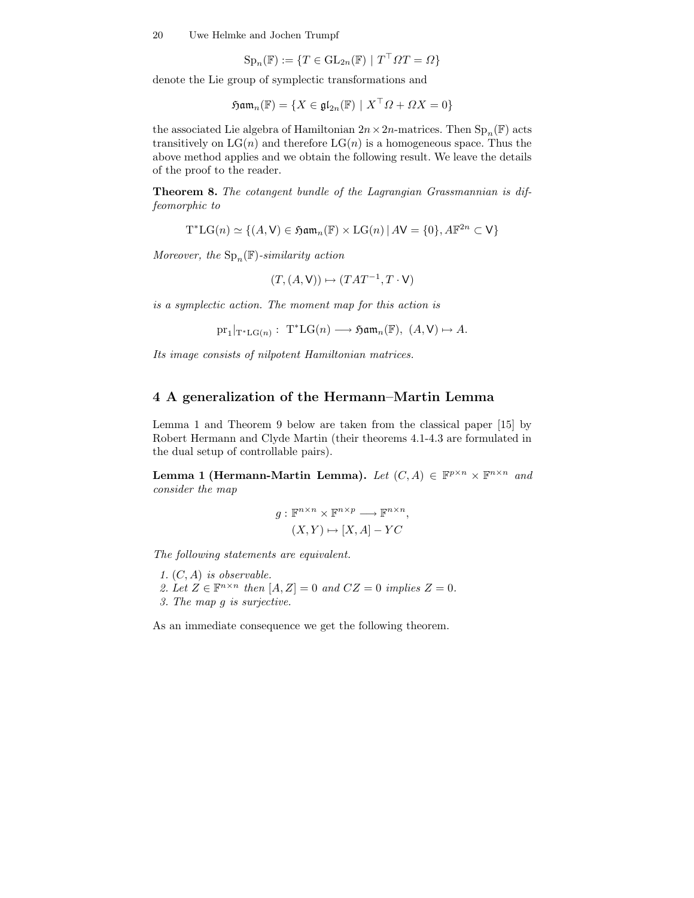$$
\mathrm{Sp}_n(\mathbb{F}) := \{ T \in \mathrm{GL}_{2n}(\mathbb{F}) \mid T^\top \Omega T = \Omega \}
$$

denote the Lie group of symplectic transformations and

$$
\mathfrak{Ham}_n(\mathbb{F})=\{X\in\mathfrak{gl}_{2n}(\mathbb{F})\mid X^\top\varOmega+\varOmega X=0\}
$$

the associated Lie algebra of Hamiltonian  $2n \times 2n$ -matrices. Then  $\text{Sp}_n(\mathbb{F})$  acts transitively on  $LG(n)$  and therefore  $LG(n)$  is a homogeneous space. Thus the above method applies and we obtain the following result. We leave the details of the proof to the reader.

Theorem 8. The cotangent bundle of the Lagrangian Grassmannian is diffeomorphic to

$$
T^*LG(n)\simeq \{(A,V)\in \mathfrak{Ham}_n(\mathbb{F})\times LG(n)\,|\, AV=\{0\}, A\mathbb{F}^{2n}\subset V\}
$$

Moreover, the  $\text{Sp}_n(\mathbb{F})$ -similarity action

$$
(T, (A, V)) \mapsto (TAT^{-1}, T \cdot V)
$$

is a symplectic action. The moment map for this action is

 $\mathrm{pr}_1|_{\mathrm{T}^*\mathrm{LG}(n)}:\ \mathrm{T}^*\mathrm{LG}(n)\longrightarrow \mathfrak{Ham}_n(\mathbb{F}),\ (A,\mathsf{V})\mapsto A.$ 

Its image consists of nilpotent Hamiltonian matrices.

# 4 A generalization of the Hermann–Martin Lemma

Lemma 1 and Theorem 9 below are taken from the classical paper [15] by Robert Hermann and Clyde Martin (their theorems 4.1-4.3 are formulated in the dual setup of controllable pairs).

Lemma 1 (Hermann-Martin Lemma). Let  $(C, A) \in \mathbb{F}^{p \times n} \times \mathbb{F}^{n \times n}$  and consider the map

$$
g: \mathbb{F}^{n \times n} \times \mathbb{F}^{n \times p} \longrightarrow \mathbb{F}^{n \times n},
$$

$$
(X, Y) \mapsto [X, A] - YC
$$

The following statements are equivalent.

- 1.  $(C, A)$  is observable.
- 2. Let  $Z \in \mathbb{F}^{n \times n}$  then  $[A, Z] = 0$  and  $CZ = 0$  implies  $Z = 0$ . 3. The map g is surjective.

As an immediate consequence we get the following theorem.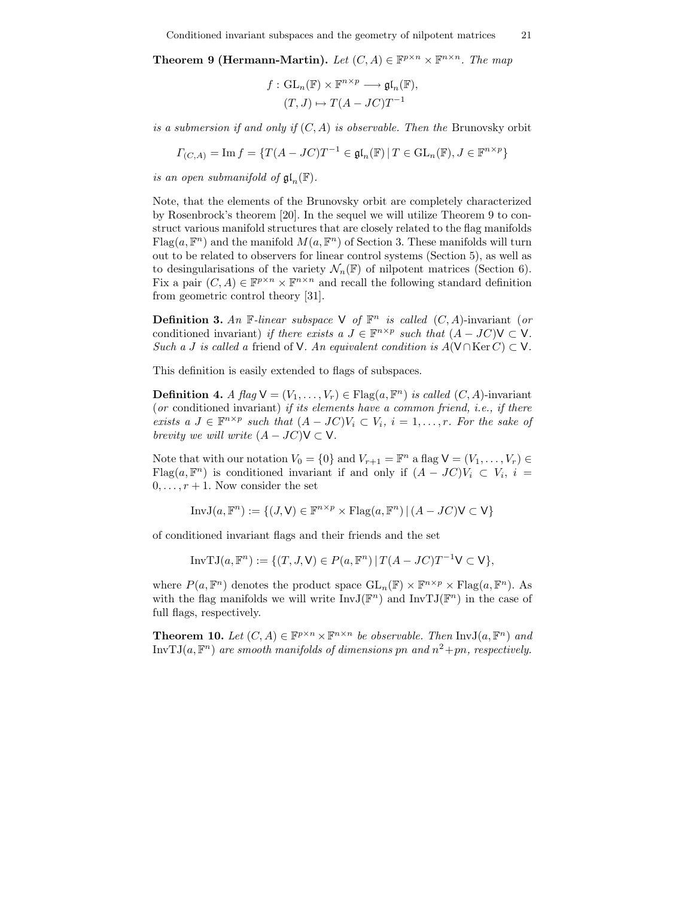**Theorem 9 (Hermann-Martin).** Let  $(C, A) \in \mathbb{F}^{p \times n} \times \mathbb{F}^{n \times n}$ . The map

$$
f: GL_n(\mathbb{F}) \times \mathbb{F}^{n \times p} \longrightarrow \mathfrak{gl}_n(\mathbb{F}),
$$

$$
(T, J) \mapsto T(A - JC)T^{-1}
$$

is a submersion if and only if  $(C, A)$  is observable. Then the Brunovsky orbit

$$
\Gamma_{(C,A)} = \text{Im} f = \{ T(A - JC)T^{-1} \in \mathfrak{gl}_n(\mathbb{F}) \, | \, T \in \text{GL}_n(\mathbb{F}), J \in \mathbb{F}^{n \times p} \}
$$

is an open submanifold of  $\mathfrak{gl}_n(\mathbb{F})$ .

Note, that the elements of the Brunovsky orbit are completely characterized by Rosenbrock's theorem [20]. In the sequel we will utilize Theorem 9 to construct various manifold structures that are closely related to the flag manifolds  $Flag(a, \mathbb{F}^n)$  and the manifold  $M(a, \mathbb{F}^n)$  of Section 3. These manifolds will turn out to be related to observers for linear control systems (Section 5), as well as to desingularisations of the variety  $\mathcal{N}_n(\mathbb{F})$  of nilpotent matrices (Section 6). Fix a pair  $(C, A) \in \mathbb{F}^{p \times n} \times \mathbb{F}^{n \times n}$  and recall the following standard definition from geometric control theory [31].

**Definition 3.** An F-linear subspace  $\vee$  of  $\mathbb{F}^n$  is called  $(C, A)$ -invariant (or conditioned invariant) if there exists a  $J \in \mathbb{F}^{n \times p}$  such that  $(A - JC)V \subset V$ . Such a J is called a friend of V. An equivalent condition is  $A(V \cap \text{Ker } C) \subset V$ .

This definition is easily extended to flags of subspaces.

**Definition 4.** A flag  $V = (V_1, \ldots, V_r) \in Flag(a, \mathbb{F}^n)$  is called  $(C, A)$ -invariant  $(or$  conditioned invariant) if its elements have a common friend, i.e., if there exists a  $J \in \mathbb{F}^{n \times p}$  such that  $(A - JC)V_i \subset V_i$ ,  $i = 1, \ldots, r$ . For the sake of brevity we will write  $(A - JC)\vee \subset \vee$ .

Note that with our notation  $V_0 = \{0\}$  and  $V_{r+1} = \mathbb{F}^n$  a flag  $\mathsf{V} = (V_1, \ldots, V_r) \in$ Flag $(a, \mathbb{F}^n)$  is conditioned invariant if and only if  $(A - JC)V_i \subset V_i$ ,  $i =$  $0, \ldots, r+1$ . Now consider the set

$$
InvJ(a, \mathbb{F}^n) := \{ (J, V) \in \mathbb{F}^{n \times p} \times Flag(a, \mathbb{F}^n) | (A - JC)V \subset V \}
$$

of conditioned invariant flags and their friends and the set

$$
InvTJ(a, \mathbb{F}^n) := \{ (T, J, V) \in P(a, \mathbb{F}^n) | T(A - JC)T^{-1}V \subset V \},\
$$

where  $P(a, \mathbb{F}^n)$  denotes the product space  $GL_n(\mathbb{F}) \times \mathbb{F}^{n \times p} \times Flag(a, \mathbb{F}^n)$ . As with the flag manifolds we will write  $InvJ(\mathbb{F}^n)$  and  $InvTJ(\mathbb{F}^n)$  in the case of full flags, respectively.

**Theorem 10.** Let  $(C, A) \in \mathbb{F}^{p \times n} \times \mathbb{F}^{n \times n}$  be observable. Then  $InvJ(a, \mathbb{F}^n)$  and InvTJ( $a, \mathbb{F}^n$ ) are smooth manifolds of dimensions pn and  $n^2 + pn$ , respectively.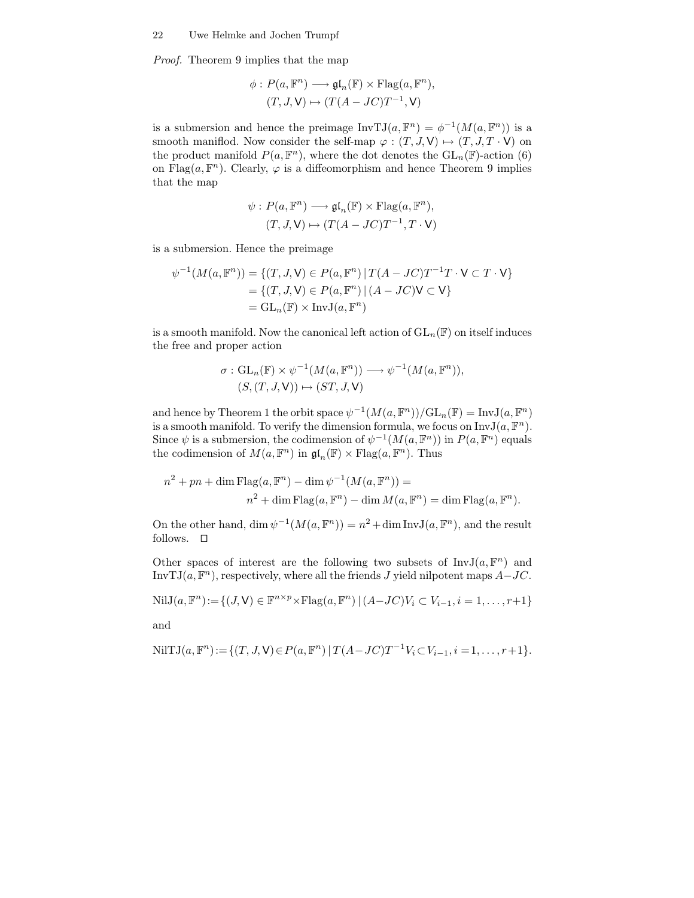Proof. Theorem 9 implies that the map

$$
\phi: P(a, \mathbb{F}^n) \longrightarrow \mathfrak{gl}_n(\mathbb{F}) \times \text{Flag}(a, \mathbb{F}^n),
$$

$$
(T, J, V) \mapsto (T(A - JC)T^{-1}, V)
$$

is a submersion and hence the preimage  $InvTJ(a, \mathbb{F}^n) = \phi^{-1}(M(a, \mathbb{F}^n))$  is a smooth maniflod. Now consider the self-map  $\varphi : (T, J, V) \mapsto (T, J, T \cdot V)$  on the product manifold  $P(a, \mathbb{F}^n)$ , where the dot denotes the  $GL_n(\mathbb{F})$ -action (6) on Flag( $a, \mathbb{F}^n$ ). Clearly,  $\varphi$  is a diffeomorphism and hence Theorem 9 implies that the map

$$
\psi: P(a, \mathbb{F}^n) \longrightarrow \mathfrak{gl}_n(\mathbb{F}) \times \text{Flag}(a, \mathbb{F}^n),
$$

$$
(T, J, V) \mapsto (T(A - JC)T^{-1}, T \cdot V)
$$

is a submersion. Hence the preimage

$$
\psi^{-1}(M(a, \mathbb{F}^n)) = \{(T, J, \mathsf{V}) \in P(a, \mathbb{F}^n) | T(A - JC)T^{-1}T \cdot \mathsf{V} \subset T \cdot \mathsf{V} \}
$$

$$
= \{(T, J, \mathsf{V}) \in P(a, \mathbb{F}^n) | (A - JC)\mathsf{V} \subset \mathsf{V} \}
$$

$$
= GL_n(\mathbb{F}) \times InvJ(a, \mathbb{F}^n)
$$

is a smooth manifold. Now the canonical left action of  $GL_n(\mathbb{F})$  on itself induces the free and proper action

$$
\sigma: GL_n(\mathbb{F}) \times \psi^{-1}(M(a, \mathbb{F}^n)) \longrightarrow \psi^{-1}(M(a, \mathbb{F}^n)),
$$
  

$$
(S, (T, J, V)) \mapsto (ST, J, V)
$$

and hence by Theorem 1 the orbit space  $\psi^{-1}(M(a, \mathbb{F}^n))/\mathrm{GL}_n(\mathbb{F}) = \text{InvJ}(a, \mathbb{F}^n)$ is a smooth manifold. To verify the dimension formula, we focus on  $\text{InvJ}(a, \mathbb{F}^n)$ . Since  $\psi$  is a submersion, the codimension of  $\psi^{-1}(M(a, \mathbb{F}^n))$  in  $P(a, \mathbb{F}^n)$  equals the codimension of  $M(a, \mathbb{F}^n)$  in  $\mathfrak{gl}_n(\mathbb{F}) \times \mathrm{Flag}(a, \mathbb{F}^n)$ . Thus

$$
n^{2} + pn + \dim \operatorname{Flag}(a, \mathbb{F}^{n}) - \dim \psi^{-1}(M(a, \mathbb{F}^{n})) =
$$
  

$$
n^{2} + \dim \operatorname{Flag}(a, \mathbb{F}^{n}) - \dim M(a, \mathbb{F}^{n}) = \dim \operatorname{Flag}(a, \mathbb{F}^{n}).
$$

On the other hand,  $\dim \psi^{-1}(M(a, \mathbb{F}^n)) = n^2 + \dim \text{InvJ}(a, \mathbb{F}^n)$ , and the result follows.  $\square$ 

Other spaces of interest are the following two subsets of  $InvJ(a, \mathbb{F}^n)$  and InvTJ( $a, \mathbb{F}^n$ ), respectively, where all the friends J yield nilpotent maps  $A-JC$ .

$$
\mathrm{NilJ}(a,\mathbb{F}^n):=\{(J,V)\in\mathbb{F}^{n\times p}\times\mathrm{Flag}(a,\mathbb{F}^n)\,|\,(A-JC)V_i\subset V_{i-1},i=1,\ldots,r+1\}
$$

and

NilTI
$$
(a, \mathbb{F}^n) := \{(T, J, V) \in P(a, \mathbb{F}^n) | T(A - JC)T^{-1}V_i \subset V_{i-1}, i = 1, ..., r+1\}.
$$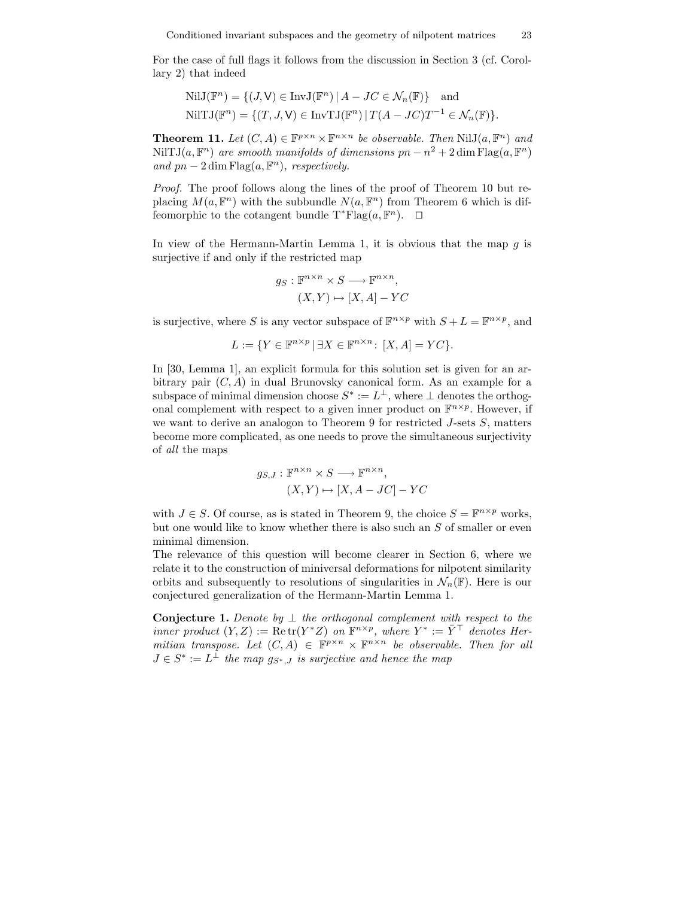For the case of full flags it follows from the discussion in Section 3 (cf. Corollary 2) that indeed

$$
\text{NilJ}(\mathbb{F}^n) = \{ (J, \mathsf{V}) \in \text{InvJ}(\mathbb{F}^n) \mid A - JC \in \mathcal{N}_n(\mathbb{F}) \} \text{ and}
$$
  
\n
$$
\text{NilTJ}(\mathbb{F}^n) = \{ (T, J, \mathsf{V}) \in \text{InvTJ}(\mathbb{F}^n) \mid T(A - JC)T^{-1} \in \mathcal{N}_n(\mathbb{F}) \}.
$$

**Theorem 11.** Let  $(C, A) \in \mathbb{F}^{p \times n} \times \mathbb{F}^{n \times n}$  be observable. Then  $NilJ(a, \mathbb{F}^n)$  and NilTJ $(a, \mathbb{F}^n)$  are smooth manifolds of dimensions  $pn - n^2 + 2 \dim \mathrm{Flag}(a, \mathbb{F}^n)$ and  $pn-2\dim \mathrm{Flag}(a,\mathbb{F}^n)$ , respectively.

Proof. The proof follows along the lines of the proof of Theorem 10 but replacing  $M(a, \mathbb{F}^n)$  with the subbundle  $N(a, \mathbb{F}^n)$  from Theorem 6 which is diffeomorphic to the cotangent bundle  $T^*\text{Flag}(a,\mathbb{F}^n)$ .  $\Box$ 

In view of the Hermann-Martin Lemma 1, it is obvious that the map  $q$  is surjective if and only if the restricted map

$$
g_S: \mathbb{F}^{n \times n} \times S \longrightarrow \mathbb{F}^{n \times n},
$$

$$
(X, Y) \mapsto [X, A] - YC
$$

is surjective, where S is any vector subspace of  $\mathbb{F}^{n \times p}$  with  $S + L = \mathbb{F}^{n \times p}$ , and

$$
L := \{ Y \in \mathbb{F}^{n \times p} \mid \exists X \in \mathbb{F}^{n \times n} \colon [X, A] = YC \}.
$$

In [30, Lemma 1], an explicit formula for this solution set is given for an arbitrary pair  $(C, A)$  in dual Brunovsky canonical form. As an example for a subspace of minimal dimension choose  $S^* := L^{\perp}$ , where  $\perp$  denotes the orthogonal complement with respect to a given inner product on  $\mathbb{F}^{n \times p}$ . However, if we want to derive an analogon to Theorem 9 for restricted J-sets  $S$ , matters become more complicated, as one needs to prove the simultaneous surjectivity of all the maps

$$
g_{S,J}: \mathbb{F}^{n \times n} \times S \longrightarrow \mathbb{F}^{n \times n},
$$

$$
(X,Y) \mapsto [X, A - JC] - YC
$$

with  $J \in S$ . Of course, as is stated in Theorem 9, the choice  $S = \mathbb{F}^{n \times p}$  works, but one would like to know whether there is also such an S of smaller or even minimal dimension.

The relevance of this question will become clearer in Section 6, where we relate it to the construction of miniversal deformations for nilpotent similarity orbits and subsequently to resolutions of singularities in  $\mathcal{N}_n(\mathbb{F})$ . Here is our conjectured generalization of the Hermann-Martin Lemma 1.

Conjecture 1. Denote by  $\perp$  the orthogonal complement with respect to the inner product  $(Y, Z) := \text{Re } \text{tr}(Y^* Z)$  on  $\mathbb{F}^{n \times p}$ , where  $Y^* := \overline{Y}^\top$  denotes Hermitian transpose. Let  $(C, A) \in \mathbb{F}^{p \times n} \times \mathbb{F}^{n \times n}$  be observable. Then for all  $J \in S^* := L^{\perp}$  the map  $g_{S^*,J}$  is surjective and hence the map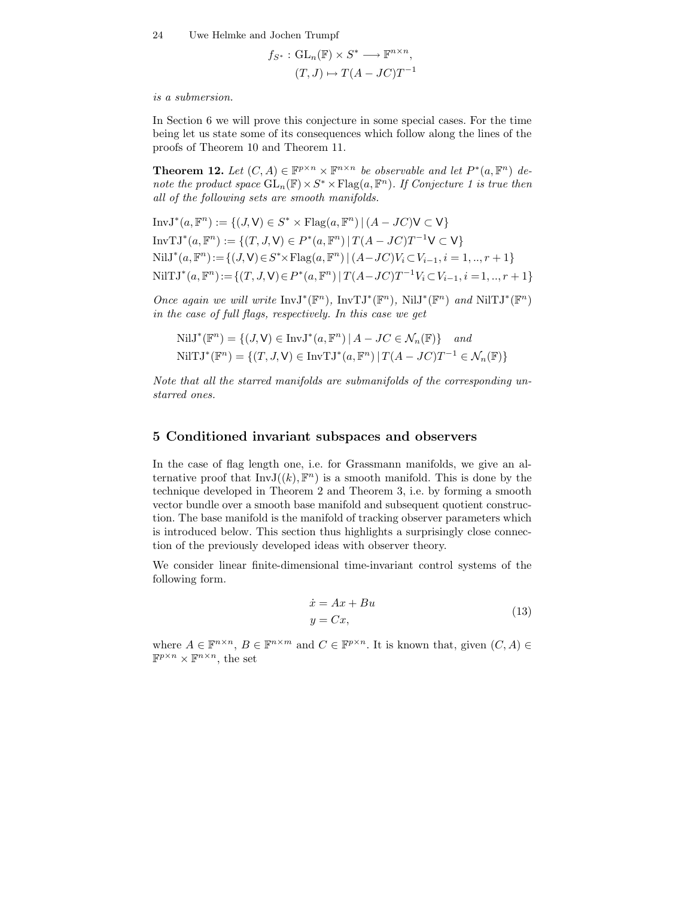$$
f_{S^*}: GL_n(\mathbb{F}) \times S^* \longrightarrow \mathbb{F}^{n \times n},
$$

$$
(T, J) \mapsto T(A - JC)T^{-1}
$$

is a submersion.

In Section 6 we will prove this conjecture in some special cases. For the time being let us state some of its consequences which follow along the lines of the proofs of Theorem 10 and Theorem 11.

**Theorem 12.** Let  $(C, A) \in \mathbb{F}^{p \times n} \times \mathbb{F}^{n \times n}$  be observable and let  $P^*(a, \mathbb{F}^n)$  denote the product space  $GL_n(\mathbb{F}) \times S^* \times Flag(a, \mathbb{F}^n)$ . If Conjecture 1 is true then all of the following sets are smooth manifolds.

$$
\begin{aligned} &\text{InvJ}^*(a, \mathbb{F}^n) := \{ (J, \mathsf{V}) \in S^* \times \text{Flag}(a, \mathbb{F}^n) \, | \, (A - JC) \mathsf{V} \subset \mathsf{V} \} \\ &\text{InvTJ}^*(a, \mathbb{F}^n) := \{ (T, J, \mathsf{V}) \in P^*(a, \mathbb{F}^n) \, | \, T(A - JC) T^{-1} \mathsf{V} \subset \mathsf{V} \} \\ &\text{NilJ}^*(a, \mathbb{F}^n) := \{ (J, \mathsf{V}) \in S^* \times \text{Flag}(a, \mathbb{F}^n) \, | \, (A - JC) V_i \subset V_{i-1}, i = 1, ..., r+1 \} \\ &\text{NilTJ}^*(a, \mathbb{F}^n) := \{ (T, J, \mathsf{V}) \in P^*(a, \mathbb{F}^n) \, | \, T(A - JC) T^{-1} V_i \subset V_{i-1}, i = 1, ..., r+1 \} \end{aligned}
$$

Once again we will write  $InvJ^*(\mathbb{F}^n)$ ,  $InvTJ^*(\mathbb{F}^n)$ ,  $NilJ^*(\mathbb{F}^n)$  and  $NilTJ^*(\mathbb{F}^n)$ in the case of full flags, respectively. In this case we get

$$
NilJ^*(\mathbb{F}^n) = \{ (J, \mathsf{V}) \in \text{InvJ}^*(a, \mathbb{F}^n) \mid A - JC \in \mathcal{N}_n(\mathbb{F}) \} \text{ and}
$$
  
NilTJ^\*(\mathbb{F}^n) = \{ (T, J, \mathsf{V}) \in \text{InvTJ}^\*(a, \mathbb{F}^n) \mid T(A - JC)T^{-1} \in \mathcal{N}\_n(\mathbb{F}) \}

Note that all the starred manifolds are submanifolds of the corresponding unstarred ones.

# 5 Conditioned invariant subspaces and observers

In the case of flag length one, i.e. for Grassmann manifolds, we give an alternative proof that  $InvJ((k), \mathbb{F}^n)$  is a smooth manifold. This is done by the technique developed in Theorem 2 and Theorem 3, i.e. by forming a smooth vector bundle over a smooth base manifold and subsequent quotient construction. The base manifold is the manifold of tracking observer parameters which is introduced below. This section thus highlights a surprisingly close connection of the previously developed ideas with observer theory.

We consider linear finite-dimensional time-invariant control systems of the following form.

$$
\begin{aligned}\n\dot{x} &= Ax + Bu \\
y &= Cx,\n\end{aligned} \tag{13}
$$

where  $A \in \mathbb{F}^{n \times n}$ ,  $B \in \mathbb{F}^{n \times m}$  and  $C \in \mathbb{F}^{p \times n}$ . It is known that, given  $(C, A) \in$  $\mathbb{F}^{p \times n} \times \mathbb{F}^{n \times n}$ , the set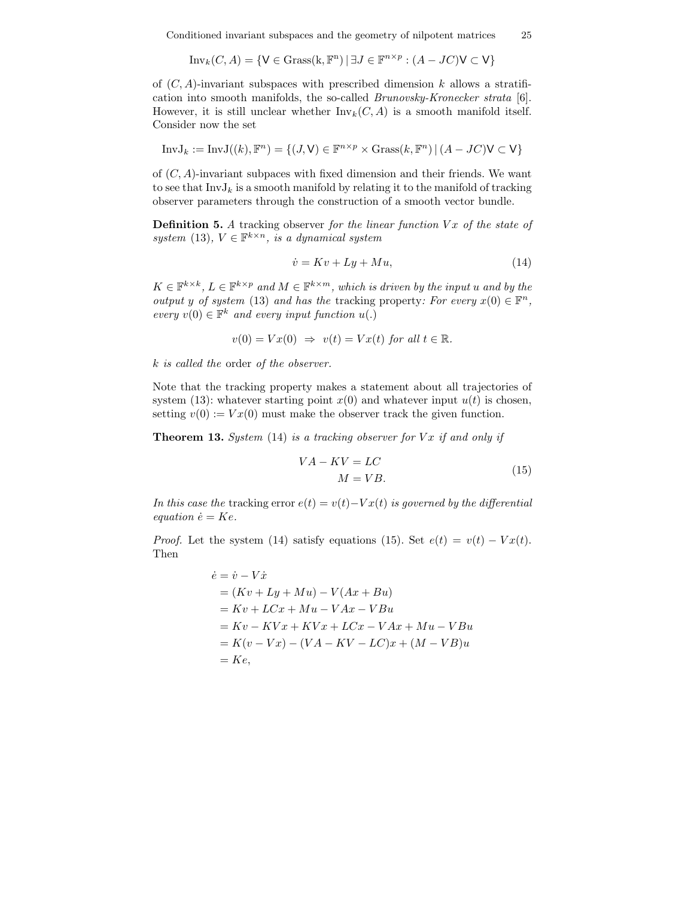Conditioned invariant subspaces and the geometry of nilpotent matrices 25

$$
\text{Inv}_k(C, A) = \{ \mathsf{V} \in \text{Grass}(k, \mathbb{F}^n) \mid \exists J \in \mathbb{F}^{n \times p} : (A - JC)\mathsf{V} \subset \mathsf{V} \}
$$

of  $(C, A)$ -invariant subspaces with prescribed dimension k allows a stratification into smooth manifolds, the so-called Brunovsky-Kronecker strata [6]. However, it is still unclear whether  $\text{Inv}_k(C, A)$  is a smooth manifold itself. Consider now the set

$$
\mathrm{InvJ}_k := \mathrm{InvJ}((k),\mathbb{F}^n) = \{ (J,\mathsf{V}) \in \mathbb{F}^{n \times p} \times \mathrm{Grass}(k,\mathbb{F}^n) \, | \, (A-JC)\mathsf{V} \subset \mathsf{V} \}
$$

of  $(C, A)$ -invariant subpaces with fixed dimension and their friends. We want to see that  $\text{InvJ}_k$  is a smooth manifold by relating it to the manifold of tracking observer parameters through the construction of a smooth vector bundle.

**Definition 5.** A tracking observer for the linear function  $Vx$  of the state of system (13),  $V \in \mathbb{F}^{k \times n}$ , is a dynamical system

$$
\dot{v} = Kv + Ly + Mu,\tag{14}
$$

 $K \in \mathbb{F}^{k \times k}$ ,  $L \in \mathbb{F}^{k \times p}$  and  $M \in \mathbb{F}^{k \times m}$ , which is driven by the input u and by the output y of system (13) and has the tracking property: For every  $x(0) \in \mathbb{F}^n$ , every  $v(0) \in \mathbb{F}^k$  and every input function  $u(.)$ 

$$
v(0) = Vx(0) \Rightarrow v(t) = Vx(t) \text{ for all } t \in \mathbb{R}.
$$

k is called the order of the observer.

Note that the tracking property makes a statement about all trajectories of system (13): whatever starting point  $x(0)$  and whatever input  $u(t)$  is chosen, setting  $v(0) := Vx(0)$  must make the observer track the given function.

**Theorem 13.** System (14) is a tracking observer for  $Vx$  if and only if

$$
VA - KV = LC
$$
  

$$
M = VB.
$$
 (15)

In this case the tracking error  $e(t) = v(t) - Vx(t)$  is governed by the differential equation  $\dot{e} = Ke$ .

*Proof.* Let the system (14) satisfy equations (15). Set  $e(t) = v(t) - Vx(t)$ . Then

$$
\begin{aligned}\n\dot{e} &= \dot{v} - V\dot{x} \\
&= (Kv + Ly + Mu) - V(Ax + Bu) \\
&= Kv + LCx + Mu - VAx - VBu \\
&= Kv - KVx + KVx + LCx - VAx + Mu - VBu \\
&= K(v - Vx) - (VA - KV - LC)x + (M - VB)u \\
&= Ke,\n\end{aligned}
$$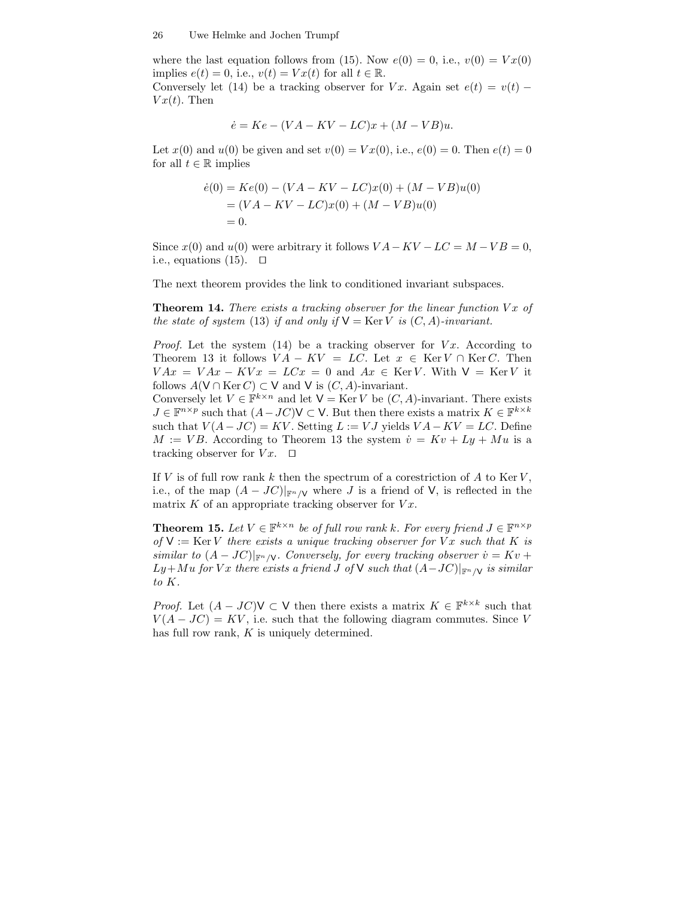where the last equation follows from (15). Now  $e(0) = 0$ , i.e.,  $v(0) = Vx(0)$ implies  $e(t) = 0$ , i.e.,  $v(t) = Vx(t)$  for all  $t \in \mathbb{R}$ . Conversely let (14) be a tracking observer for Vx. Again set  $e(t) = v(t)$  –  $Vx(t)$ . Then

$$
\dot{e} = Ke - (VA - KV - LC)x + (M - VB)u.
$$

Let  $x(0)$  and  $u(0)$  be given and set  $v(0) = Vx(0)$ , i.e.,  $e(0) = 0$ . Then  $e(t) = 0$ for all  $t \in \mathbb{R}$  implies

$$
\dot{e}(0) = Ke(0) - (VA - KV - LC)x(0) + (M - VB)u(0)
$$
  
= (VA - KV - LC)x(0) + (M - VB)u(0)  
= 0.

Since  $x(0)$  and  $u(0)$  were arbitrary it follows  $VA - KV - LC = M - VB = 0$ , i.e., equations  $(15)$ .  $\Box$ 

The next theorem provides the link to conditioned invariant subspaces.

**Theorem 14.** There exists a tracking observer for the linear function  $Vx$  of the state of system (13) if and only if  $V = \text{Ker } V$  is  $(C, A)$ -invariant.

*Proof.* Let the system  $(14)$  be a tracking observer for  $Vx$ . According to Theorem 13 it follows  $VA - KV = LC$ . Let  $x \in \text{Ker } V \cap \text{Ker } C$ . Then  $V Ax = V Ax - K V x = LC x = 0$  and  $Ax \in \text{Ker }V$ . With  $V = \text{Ker }V$  it follows  $A(V \cap \text{Ker } C) \subset V$  and V is  $(C, A)$ -invariant.

Conversely let  $V \in \mathbb{F}^{k \times n}$  and let  $\mathsf{V} = \mathrm{Ker} V$  be  $(C, A)$ -invariant. There exists  $J \in \mathbb{F}^{n \times p}$  such that  $(A - JC)\vee\subset\mathsf{V}$ . But then there exists a matrix  $K \in \mathbb{F}^{k \times k}$ such that  $V(A-JC) = KV$ . Setting  $L := VJ$  yields  $VA - KV = LC$ . Define  $M := VB$ . According to Theorem 13 the system  $\dot{v} = Kv + Ly + Mu$  is a tracking observer for  $Vx$ .  $\Box$ 

If  $V$  is of full row rank  $k$  then the spectrum of a corestriction of  $A$  to Ker  $V$ , i.e., of the map  $(A - JC)|_{\mathbb{F}^n/V}$  where J is a friend of V, is reflected in the matrix  $K$  of an appropriate tracking observer for  $Vx$ .

**Theorem 15.** Let  $V \in \mathbb{F}^{k \times n}$  be of full row rank k. For every friend  $J \in \mathbb{F}^{n \times p}$ of  $V := \text{Ker } V$  there exists a unique tracking observer for  $Vx$  such that K is similar to  $(A - JC)|_{\mathbb{F}^n/V}$ . Conversely, for every tracking observer  $\dot{v} = Kv +$ Ly+Mu for Vx there exists a friend J of V such that  $(A-JC)|_{\mathbb{F}^n/\mathcal{V}}$  is similar to K.

*Proof.* Let  $(A - JC)\vee\subset\vee$  then there exists a matrix  $K \in \mathbb{F}^{k \times k}$  such that  $V(A-JC) = KV$ , i.e. such that the following diagram commutes. Since V has full row rank,  $K$  is uniquely determined.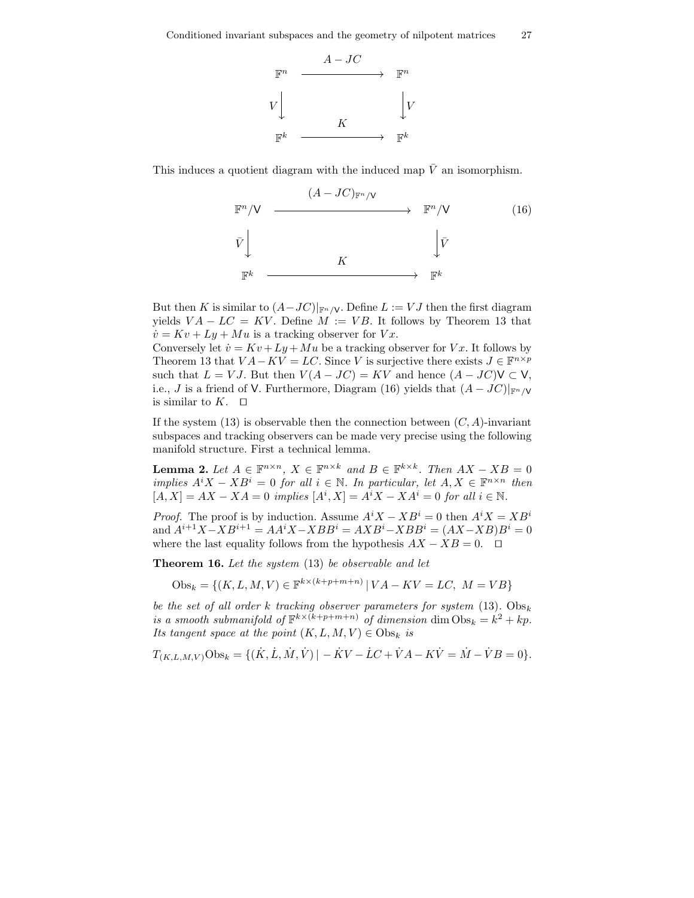

This induces a quotient diagram with the induced map  $\overline{V}$  an isomorphism.



But then K is similar to  $(A-JC)|_{\mathbb{F}^n/\mathsf{V}}$ . Define  $L := VJ$  then the first diagram yields  $VA - LC = KV$ . Define  $M := VB$ . It follows by Theorem 13 that  $\dot{v} = Kv + Ly + Mu$  is a tracking observer for  $Vx$ .

Conversely let  $\dot{v} = Kv + Ly + Mu$  be a tracking observer for Vx. It follows by Theorem 13 that  $VA - KV = LC$ . Since V is surjective there exists  $J \in \mathbb{F}^{n \times p}$ such that  $L = VJ$ . But then  $V(A - JC) = KV$  and hence  $(A - JC)V \subset V$ , i.e., *J* is a friend of V. Furthermore, Diagram (16) yields that  $(A - JC)|_{\mathbb{F}^n/V}$ is similar to  $K$ .  $\Box$ 

If the system  $(13)$  is observable then the connection between  $(C, A)$ -invariant subspaces and tracking observers can be made very precise using the following manifold structure. First a technical lemma.

**Lemma 2.** Let  $A \in \mathbb{F}^{n \times n}$ ,  $X \in \mathbb{F}^{n \times k}$  and  $B \in \mathbb{F}^{k \times k}$ . Then  $AX - XB = 0$ implies  $A^i X - X B^i = 0$  for all  $i \in \mathbb{N}$ . In particular, let  $A, X \in \mathbb{F}^{n \times n}$  then  $[A, X] = AX - XA = 0$  implies  $[A^i, X] = A^i X - X A^i = 0$  for all  $i \in \mathbb{N}$ .

*Proof.* The proof is by induction. Assume  $A^{i}X - XB^{i} = 0$  then  $A^{i}X = XB^{i}$ and  $A^{i+1}X-XB^{i+1} = AA^{i}X-XBB^{i} = AXB^{i}-XBB^{i} = (AX-XB)B^{i} = 0$ where the last equality follows from the hypothesis  $AX - XB = 0$ .  $\Box$ 

Theorem 16. Let the system (13) be observable and let

 $Obs_k = \{(K, L, M, V) \in \mathbb{F}^{k \times (k+p+m+n)} | VA - KV = LC, M = VB\}$ 

be the set of all order k tracking observer parameters for system  $(13)$ .  $Obs_k$ is a smooth submanifold of  $\mathbb{F}^{k\times (k+p+m+n)}$  of dimension dim  $\text{Obs}_k = k^2 + kp$ . Its tangent space at the point  $(K, L, M, V) \in \mathrm{Obs}_k$  is

$$
T_{(K,L,M,V)} \text{Obs}_k = \{ (\dot{K}, \dot{L}, \dot{M}, \dot{V}) \mid -\dot{K}V - \dot{L}C + \dot{V}A - K\dot{V} = \dot{M} - \dot{V}B = 0 \}.
$$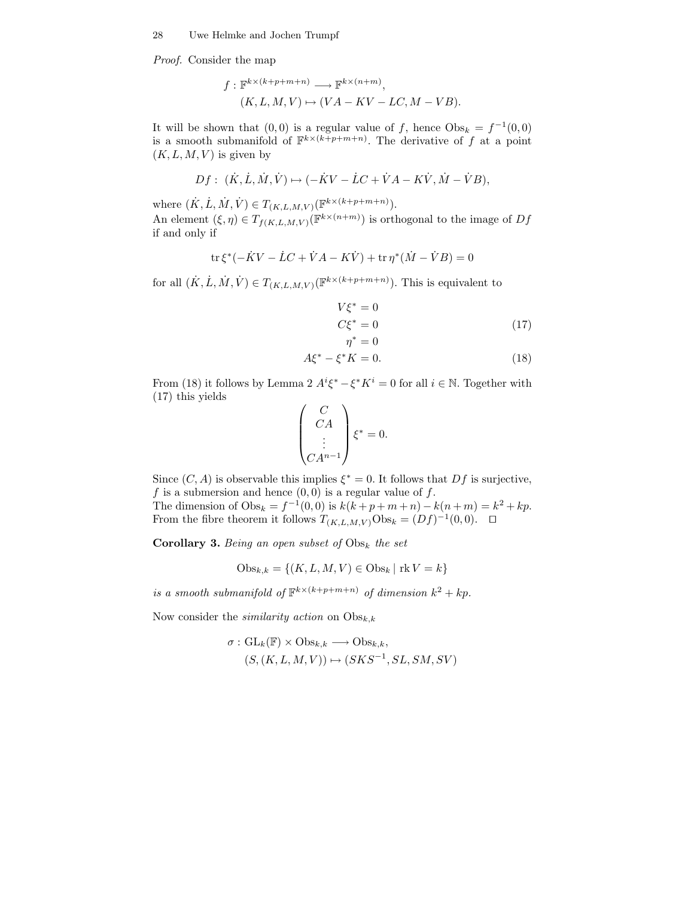Proof. Consider the map

$$
f: \mathbb{F}^{k \times (k+p+m+n)} \longrightarrow \mathbb{F}^{k \times (n+m)},
$$
  

$$
(K, L, M, V) \mapsto (VA - KV - LC, M - VB).
$$

It will be shown that  $(0,0)$  is a regular value of f, hence  $\text{Obs}_k = f^{-1}(0,0)$ is a smooth submanifold of  $\mathbb{F}^{k \times (k+p+m+n)}$ . The derivative of f at a point  $(K, L, M, V)$  is given by

$$
Df: (K, \dot{L}, \dot{M}, \dot{V}) \mapsto (-\dot{K}V - \dot{L}C + \dot{V}A - K\dot{V}, \dot{M} - \dot{V}B),
$$

where  $(\dot{K}, \dot{L}, \dot{M}, \dot{V}) \in T_{(K, L, M, V)}(\mathbb{F}^{k \times (k+p+m+n)})$ .

An element  $(\xi, \eta) \in T_{f(K,L,M,V)}(\mathbb{F}^{k \times (n+m)})$  is orthogonal to the image of  $Df$ if and only if

$$
\text{tr}\,\xi^*(-\dot{K}V - \dot{L}C + \dot{V}A - K\dot{V}) + \text{tr}\,\eta^*(\dot{M} - \dot{V}B) = 0
$$

for all  $(\dot{K}, \dot{L}, \dot{M}, \dot{V}) \in T_{(K, L, M, V)}(\mathbb{F}^{k \times (k+p+m+n)})$ . This is equivalent to

$$
V\xi^* = 0
$$
  
\n
$$
C\xi^* = 0
$$
  
\n
$$
\eta^* = 0
$$
\n(17)

$$
A\xi^* - \xi^* K = 0. \tag{18}
$$

From (18) it follows by Lemma 2  $A^{i}\xi^* - \xi^* K^{i} = 0$  for all  $i \in \mathbb{N}$ . Together with (17) this yields  $\sim$ 

$$
\begin{pmatrix} C \\ CA \\ \vdots \\ CA^{n-1} \end{pmatrix} \xi^* = 0.
$$

Since  $(C, A)$  is observable this implies  $\xi^* = 0$ . It follows that  $Df$  is surjective, f is a submersion and hence  $(0, 0)$  is a regular value of f. The dimension of  $\text{Obs}_k = f^{-1}(0,0)$  is  $k(k+p+m+n) - k(n+m) = k^2 + kp$ .

From the fibre theorem it follows  $T_{(K,L,M,V)} \text{Obs}_k = (Df)^{-1}(0,0)$ .  $\Box$ 

Corollary 3. Being an open subset of  $\mathrm{Obs}_k$  the set

$$
Obs_{k,k} = \{(K, L, M, V) \in Obs_k | \text{rk } V = k\}
$$

is a smooth submanifold of  $\mathbb{F}^{k \times (k+p+m+n)}$  of dimension  $k^2 + kp$ .

Now consider the *similarity action* on  $Obs_{k,k}$ 

$$
\sigma: GL_k(\mathbb{F}) \times \text{Obs}_{k,k} \longrightarrow \text{Obs}_{k,k},
$$

$$
(S, (K, L, M, V)) \mapsto (SKS^{-1}, SL, SM, SV)
$$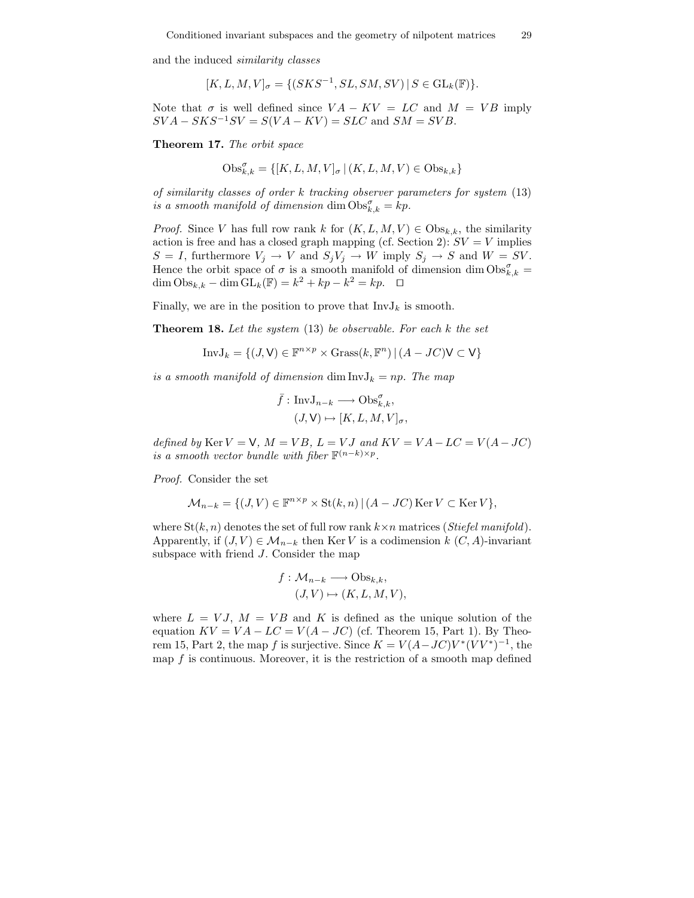and the induced similarity classes

$$
[K, L, M, V]_{\sigma} = \{ (SKS^{-1}, SL, SM, SV) \mid S \in GL_k(\mathbb{F}) \}.
$$

Note that  $\sigma$  is well defined since  $VA - KV = LC$  and  $M = VB$  imply  $SVA - SKS^{-1}SV = S(VA - KV) = SLC$  and  $SM = SVB$ .

Theorem 17. The orbit space

$$
\mathrm{Obs}_{k,k}^{\sigma}=\{[K,L,M,V]_{\sigma}\,|\,(K,L,M,V)\in \mathrm{Obs}_{k,k}\}
$$

of similarity classes of order k tracking observer parameters for system (13) is a smooth manifold of dimension dim  $\text{Obs}_{k,k}^{\sigma} = kp$ .

*Proof.* Since V has full row rank k for  $(K, L, M, V) \in \text{Obs}_{k,k}$ , the similarity action is free and has a closed graph mapping (cf. Section 2):  $SV = V$  implies  $S = I$ , furthermore  $V_j \to V$  and  $S_j V_j \to W$  imply  $S_j \to S$  and  $W = SV$ . Hence the orbit space of  $\sigma$  is a smooth manifold of dimension dim  $\text{Obs}_{k,k}^{\sigma} =$  $\dim \text{Obs}_{k,k} - \dim \text{GL}_k(\mathbb{F}) = k^2 + kp - k^2 = kp. \quad \Box$ 

Finally, we are in the position to prove that  $\text{InvJ}_k$  is smooth.

Theorem 18. Let the system (13) be observable. For each k the set

$$
InvJ_k = \{(J, V) \in \mathbb{F}^{n \times p} \times Grass(k, \mathbb{F}^n) | (A - JC)V \subset V\}
$$

is a smooth manifold of dimension dim  $\text{InvJ}_k = np$ . The map

$$
\bar{f}: \text{InvJ}_{n-k} \longrightarrow \text{Obs}_{k,k}^{\sigma}, (J, V) \mapsto [K, L, M, V]_{\sigma},
$$

defined by Ker  $V = V$ ,  $M = VB$ ,  $L = VJ$  and  $KV = VA - LC = V(A - JC)$ is a smooth vector bundle with fiber  $\mathbb{F}^{(n-k)\times p}$ .

Proof. Consider the set

$$
\mathcal{M}_{n-k} = \{ (J, V) \in \mathbb{F}^{n \times p} \times \text{St}(k, n) \, | \, (A - JC) \text{Ker } V \subset \text{Ker } V \},
$$

where  $St(k, n)$  denotes the set of full row rank  $k \times n$  matrices (*Stiefel manifold*). Apparently, if  $(J, V) \in \mathcal{M}_{n-k}$  then Ker V is a codimension k  $(C, A)$ -invariant subspace with friend J. Consider the map

$$
f: \mathcal{M}_{n-k} \longrightarrow \text{Obs}_{k,k},
$$

$$
(J, V) \mapsto (K, L, M, V),
$$

where  $L = VJ$ ,  $M = VB$  and K is defined as the unique solution of the equation  $KV = VA - LC = V(A - JC)$  (cf. Theorem 15, Part 1). By Theorem 15, Part 2, the map f is surjective. Since  $K = V(A - JC)V^*(VV^*)^{-1}$ , the map  $f$  is continuous. Moreover, it is the restriction of a smooth map defined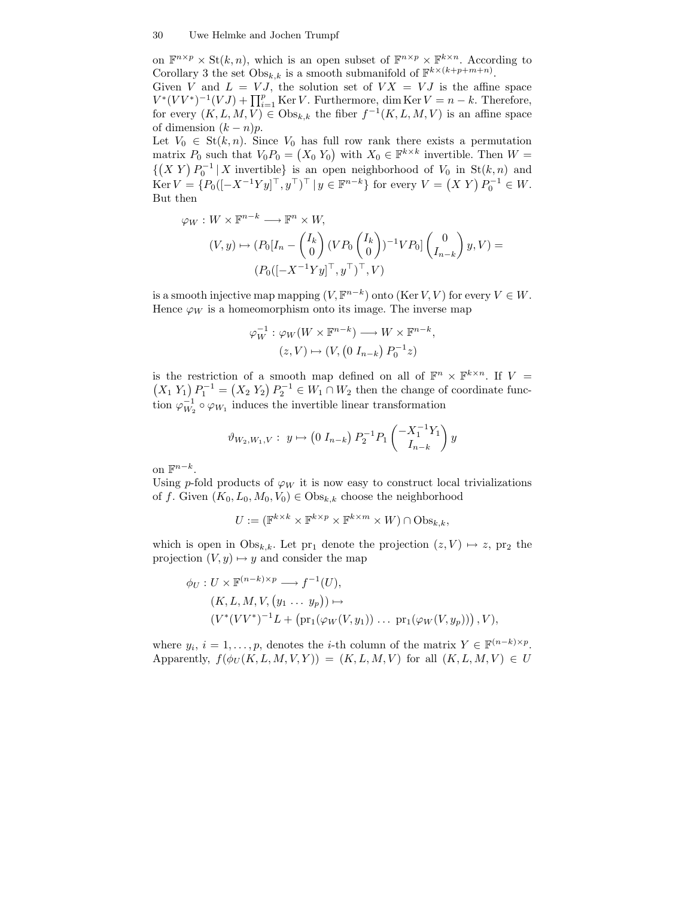on  $\mathbb{F}^{n \times p} \times \text{St}(k, n)$ , which is an open subset of  $\mathbb{F}^{n \times p} \times \mathbb{F}^{k \times n}$ . According to Corollary 3 the set  $\text{Obs}_{k,k}$  is a smooth submanifold of  $\mathbb{F}^{k \times (k+p+m+n)}$ .

Given V and  $L = VJ$ , the solution set of  $V X = VJ$  is the affine space  $V^*(VV^*)^{-1}(VJ) + \prod_{i=1}^p \text{Ker } V.$  Furthermore, dim Ker  $V = n - k$ . Therefore, for every  $(K, L, M, V) \in \text{Obs}_{k,k}$  the fiber  $f^{-1}(K, L, M, V)$  is an affine space of dimension  $(k - n)p$ .

Let  $V_0 \in St(k,n)$ . Since  $V_0$  has full row rank there exists a permutation matrix  $P_0$  such that  $V_0 P_0 = (X_0 Y_0)$  with  $X_0 \in \mathbb{F}^{k \times k}$  invertible. Then  $W =$  $\{(X Y) P_0^{-1} | X \text{ invertible}\}\$ is an open neighborhood of  $V_0$  in  $\text{St}(k,n)$  and  $\text{Ker } V = \{ P_0([-X^{-1}Y y]^\top, y^\top)^\top \mid y \in \mathbb{F}^{n-k} \}$  for every  $V = (X Y) P_0^{-1} \in W$ . But then

$$
\varphi_W : W \times \mathbb{F}^{n-k} \longrightarrow \mathbb{F}^n \times W,
$$
  

$$
(V, y) \mapsto (P_0[I_n - \binom{I_k}{0} (VP_0 \binom{I_k}{0})^{-1} VP_0] \binom{0}{I_{n-k}} y, V) =
$$
  

$$
(P_0([-X^{-1}Yy]^\top, y^\top)^\top, V)
$$

is a smooth injective map mapping  $(V, \mathbb{F}^{n-k})$  onto  $(\text{Ker } V, V)$  for every  $V \in W$ . Hence  $\varphi_W$  is a homeomorphism onto its image. The inverse map

$$
\varphi_W^{-1}: \varphi_W(W \times \mathbb{F}^{n-k}) \longrightarrow W \times \mathbb{F}^{n-k}
$$

$$
(z, V) \mapsto (V, (0, I_{n-k}), P_0^{-1}z)
$$

,

is the restriction of a smooth map defined on all of  $\mathbb{F}^n \times \mathbb{F}^{k \times n}$ . If  $V =$  $(X_1 Y_1) P_1^{-1} = (X_2 Y_2) P_2^{-1} \in W_1 \cap W_2$  then the change of coordinate function  $\varphi_{W_2}^{-1} \circ \varphi_{W_1}$  induces the invertible linear transformation

$$
\vartheta_{W_2,W_1,V}: y \mapsto (0 I_{n-k}) P_2^{-1} P_1 \begin{pmatrix} -X_1^{-1}Y_1 \\ I_{n-k} \end{pmatrix} y
$$

on  $\mathbb{F}^{n-k}$ .

Using p-fold products of  $\varphi_W$  it is now easy to construct local trivializations of f. Given  $(K_0, L_0, M_0, V_0) \in \mathrm{Obs}_{k,k}$  choose the neighborhood

$$
U := (\mathbb{F}^{k \times k} \times \mathbb{F}^{k \times p} \times \mathbb{F}^{k \times m} \times W) \cap \text{Obs}_{k,k},
$$

which is open in  $Obs_{k,k}$ . Let pr<sub>1</sub> denote the projection  $(z, V) \mapsto z$ , pr<sub>2</sub> the projection  $(V, y) \mapsto y$  and consider the map

$$
\phi_U: U \times \mathbb{F}^{(n-k) \times p} \longrightarrow f^{-1}(U),
$$
  
\n
$$
(K, L, M, V, (y_1 \dots y_p)) \mapsto
$$
  
\n
$$
(V^*(VV^*)^{-1}L + (\text{pr}_1(\varphi_W(V, y_1)) \dots \text{pr}_1(\varphi_W(V, y_p))) , V),
$$

where  $y_i$ ,  $i = 1, ..., p$ , denotes the *i*-th column of the matrix  $Y \in \mathbb{F}^{(n-k)\times p}$ . Apparently,  $f(\phi_U(K, L, M, V, Y)) = (K, L, M, V)$  for all  $(K, L, M, V) \in U$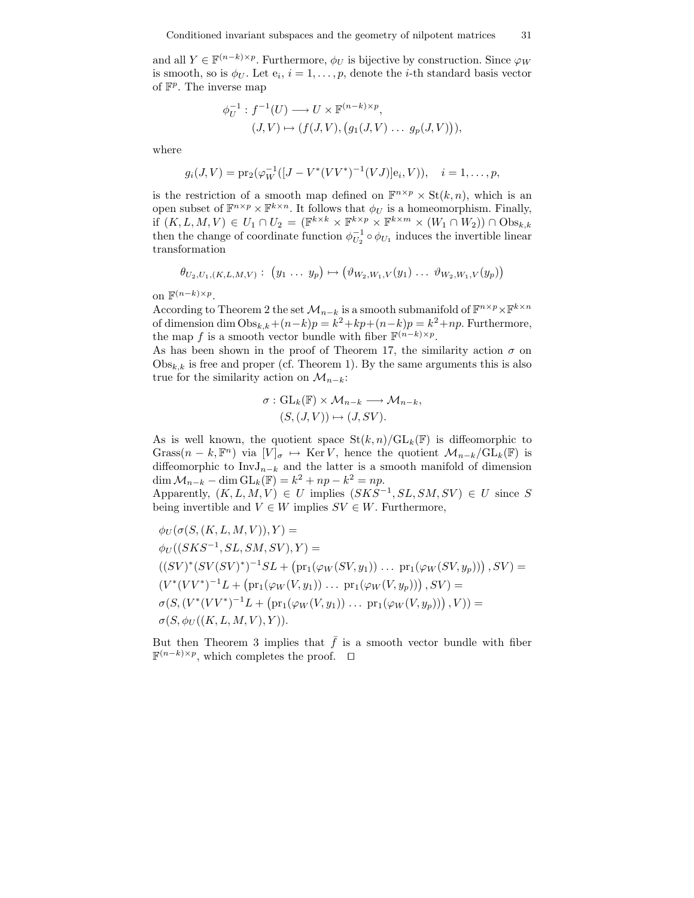and all  $Y \in \mathbb{F}^{(n-k)\times p}$ . Furthermore,  $\phi_U$  is bijective by construction. Since  $\varphi_W$ is smooth, so is  $\phi_U$ . Let  $e_i$ ,  $i = 1, \ldots, p$ , denote the *i*-th standard basis vector of  $\mathbb{F}^p$ . The inverse map

$$
\begin{aligned}\n\phi_U^{-1} : f^{-1}(U) &\longrightarrow U \times \mathbb{F}^{(n-k) \times p}, \\
(J, V) &\mapsto (f(J, V), (g_1(J, V) \dots g_p(J, V))),\n\end{aligned}
$$

where

$$
g_i(J, V) = pr_2(\varphi_W^{-1}([J - V^*(VV^*)^{-1}(VJ)]e_i, V)), \quad i = 1, ..., p,
$$

is the restriction of a smooth map defined on  $\mathbb{F}^{n \times p} \times \text{St}(k, n)$ , which is an open subset of  $\mathbb{F}^{n \times p} \times \mathbb{F}^{k \times n}$ . It follows that  $\phi_U$  is a homeomorphism. Finally,  $\overline{\text{if}}\ (K, L, M, V) \in U_1 \cap U_2 = (\mathbb{F}^{k \times k} \times \mathbb{F}^{k \times p} \times \mathbb{F}^{k \times m} \times (W_1 \cap W_2)) \cap \text{Obs}_{k,k}$ then the change of coordinate function  $\phi_{U_2}^{-1} \circ \phi_{U_1}$  induces the invertible linear transformation

$$
\theta_{U_2,U_1,(K,L,M,V)}: (y_1 \ldots y_p) \mapsto (\vartheta_{W_2,W_1,V}(y_1) \ldots \vartheta_{W_2,W_1,V}(y_p))
$$

on  $\mathbb{F}^{(n-k)\times p}$ .

According to Theorem 2 the set  $\mathcal{M}_{n-k}$  is a smooth submanifold of  $\mathbb{F}^{n \times p} \times \mathbb{F}^{k \times n}$ of dimension dim  $\text{Obs}_{k,k} + (n-k)p = k^2 + kp + (n-k)p = k^2 + np$ . Furthermore, the map f is a smooth vector bundle with fiber  $\mathbb{F}^{(n-k)\times p}$ .

As has been shown in the proof of Theorem 17, the similarity action  $\sigma$  on  $\text{Obs}_{k,k}$  is free and proper (cf. Theorem 1). By the same arguments this is also true for the similarity action on  $\mathcal{M}_{n-k}$ :

$$
\sigma: GL_k(\mathbb{F}) \times \mathcal{M}_{n-k} \longrightarrow \mathcal{M}_{n-k},
$$
  

$$
(S,(J,V)) \mapsto (J,SV).
$$

As is well known, the quotient space  $St(k, n)/GL_k(\mathbb{F})$  is diffeomorphic to Grass $(n - k, \mathbb{F}^n)$  via  $[V]_{\sigma} \mapsto \text{Ker } V$ , hence the quotient  $\mathcal{M}_{n-k}/\text{GL}_k(\mathbb{F})$  is diffeomorphic to InvJ<sub>n−k</sub> and the latter is a smooth manifold of dimension dim  $\mathcal{M}_{n-k}$  – dim  $\mathrm{GL}_k(\mathbb{F}) = k^2 + np - k^2 = np.$ 

Apparently,  $(K, L, M, V) \in U$  implies  $(SK\dot{S}^{-1}, SL, SM, SV) \in U$  since S being invertible and  $V \in W$  implies  $SV \in W$ . Furthermore,

$$
\phi_U(\sigma(S, (K, L, M, V)), Y) =
$$
  
\n
$$
\phi_U((SKS^{-1}, SL, SM, SV), Y) =
$$
  
\n
$$
((SV)^*(SV(SV)^*)^{-1}SL + (\text{pr}_1(\varphi_W(SV, y_1)) \dots \text{pr}_1(\varphi_W(SV, y_p))) , SV) =
$$
  
\n
$$
(V^*(VV^*)^{-1}L + (\text{pr}_1(\varphi_W(V, y_1)) \dots \text{pr}_1(\varphi_W(V, y_p))) , SV) =
$$
  
\n
$$
\sigma(S, (V^*(VV^*)^{-1}L + (\text{pr}_1(\varphi_W(V, y_1)) \dots \text{pr}_1(\varphi_W(V, y_p))) , V)) =
$$
  
\n
$$
\sigma(S, \phi_U((K, L, M, V), Y)).
$$

But then Theorem 3 implies that  $\bar{f}$  is a smooth vector bundle with fiber  $\mathbb{F}^{(n-k)\times p}$ , which completes the proof.  $\Box$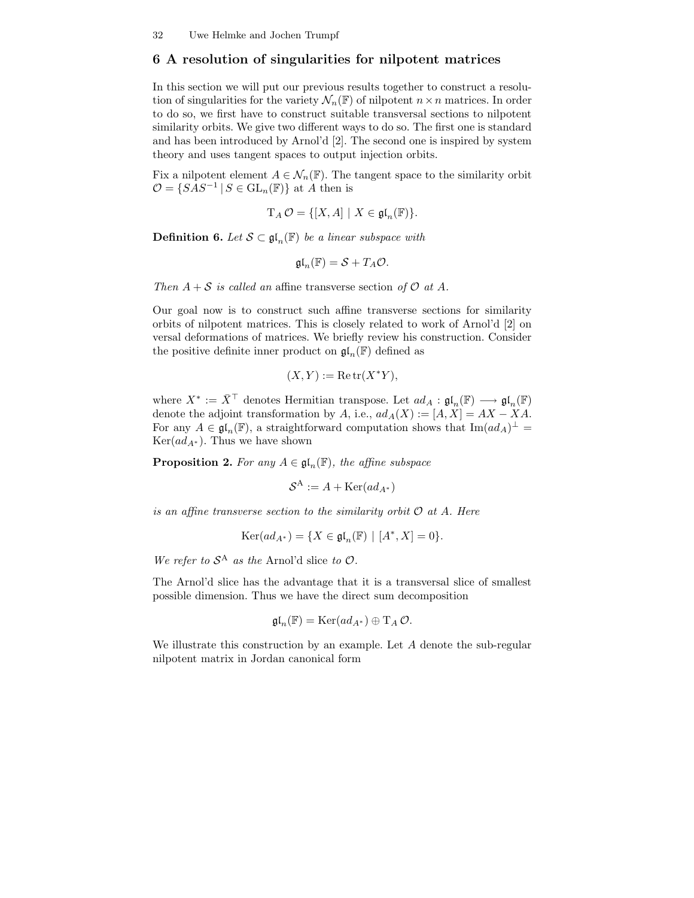# 6 A resolution of singularities for nilpotent matrices

In this section we will put our previous results together to construct a resolution of singularities for the variety  $\mathcal{N}_n(\mathbb{F})$  of nilpotent  $n \times n$  matrices. In order to do so, we first have to construct suitable transversal sections to nilpotent similarity orbits. We give two different ways to do so. The first one is standard and has been introduced by Arnol'd [2]. The second one is inspired by system theory and uses tangent spaces to output injection orbits.

Fix a nilpotent element  $A \in \mathcal{N}_n(\mathbb{F})$ . The tangent space to the similarity orbit  $\mathcal{O} = \{SAS^{-1} | S \in GL_n(\mathbb{F})\}$  at A then is

$$
\mathbf{T}_A\,\mathcal{O}=\{[X,A]\ |\ X\in\mathfrak{gl}_n(\mathbb{F})\}.
$$

**Definition 6.** Let  $S \subset \mathfrak{gl}_n(\mathbb{F})$  be a linear subspace with

$$
\mathfrak{gl}_n(\mathbb{F})=\mathcal{S}+T_A\mathcal{O}.
$$

Then  $A + S$  is called an affine transverse section of  $O$  at A.

Our goal now is to construct such affine transverse sections for similarity orbits of nilpotent matrices. This is closely related to work of Arnol'd [2] on versal deformations of matrices. We briefly review his construction. Consider the positive definite inner product on  $\mathfrak{gl}_n(\mathbb{F})$  defined as

$$
(X,Y) := \operatorname{Re} \operatorname{tr}(X^*Y),
$$

where  $X^* := \overline{X}^\top$  denotes Hermitian transpose. Let  $ad_A : \mathfrak{gl}_n(\mathbb{F}) \longrightarrow \mathfrak{gl}_n(\mathbb{F})$ denote the adjoint transformation by A, i.e.,  $ad_A(X) := [A, X] = AX - XA$ . For any  $A \in \mathfrak{gl}_n(\mathbb{F})$ , a straightforward computation shows that  $\text{Im}(ad_A)^{\perp} =$  $Ker(ad_{A^*})$ . Thus we have shown

**Proposition 2.** For any  $A \in \mathfrak{gl}_n(\mathbb{F})$ , the affine subspace

$$
\mathcal{S}^{\mathcal{A}} := A + \text{Ker}(ad_{A^*})
$$

is an affine transverse section to the similarity orbit  $\mathcal O$  at A. Here

$$
\operatorname{Ker}(ad_{A^*}) = \{ X \in \mathfrak{gl}_n(\mathbb{F}) \mid [A^*, X] = 0 \}.
$$

We refer to  $S^A$  as the Arnol'd slice to  $\mathcal{O}$ .

The Arnol'd slice has the advantage that it is a transversal slice of smallest possible dimension. Thus we have the direct sum decomposition

$$
\mathfrak{gl}_n(\mathbb{F})=\mathrm{Ker}(ad_{A^*})\oplus \mathrm{T}_A\,\mathcal{O}.
$$

We illustrate this construction by an example. Let A denote the sub-regular nilpotent matrix in Jordan canonical form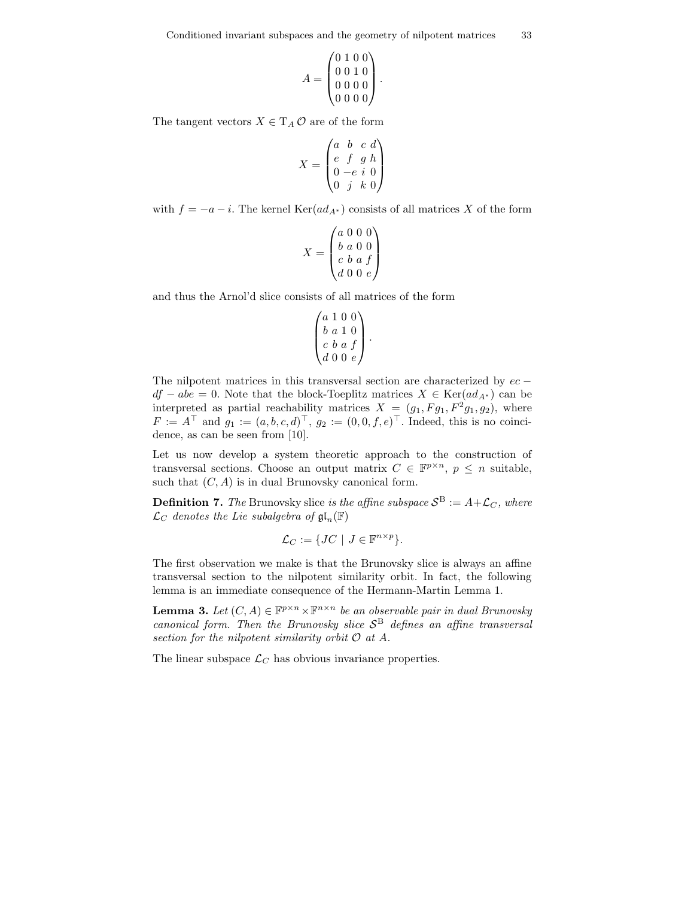$$
A = \begin{pmatrix} 0 & 1 & 0 & 0 \\ 0 & 0 & 1 & 0 \\ 0 & 0 & 0 & 0 \\ 0 & 0 & 0 & 0 \end{pmatrix}.
$$

The tangent vectors  $X\in\mathcal{T}_A\,\mathcal{O}$  are of the form

$$
X = \begin{pmatrix} a & b & c & d \\ e & f & g & h \\ 0 & -e & i & 0 \\ 0 & j & k & 0 \end{pmatrix}
$$

with  $f = -a - i$ . The kernel Ker( $ad_{A^*}$ ) consists of all matrices X of the form

$$
X = \begin{pmatrix} a & 0 & 0 & 0 \\ b & a & 0 & 0 \\ c & b & a & f \\ d & 0 & 0 & e \end{pmatrix}
$$

and thus the Arnol'd slice consists of all matrices of the form

$$
\begin{pmatrix} a & 1 & 0 & 0 \\ b & a & 1 & 0 \\ c & b & a & f \\ d & 0 & 0 & e \end{pmatrix}.
$$

The nilpotent matrices in this transversal section are characterized by  $ec$  $df - abe = 0$ . Note that the block-Toeplitz matrices  $X \in \text{Ker}(ad_{A^*})$  can be interpreted as partial reachability matrices  $X = (g_1, Fg_1, F^2g_1, g_2)$ , where  $F := A^{\top}$  and  $g_1 := (a, b, c, d)^{\top}$ ,  $g_2 := (0, 0, f, e)^{\top}$ . Indeed, this is no coincidence, as can be seen from [10].

Let us now develop a system theoretic approach to the construction of transversal sections. Choose an output matrix  $C \in \mathbb{F}^{p \times n}$ ,  $p \leq n$  suitable, such that  $(C, A)$  is in dual Brunovsky canonical form.

**Definition 7.** The Brunovsky slice is the affine subspace  $\mathcal{S}^{\text{B}} := A + \mathcal{L}_C$ , where  $\mathcal{L}_C$  denotes the Lie subalgebra of  $\mathfrak{gl}_n(\mathbb{F})$ 

$$
\mathcal{L}_C := \{ JC \mid J \in \mathbb{F}^{n \times p} \}.
$$

The first observation we make is that the Brunovsky slice is always an affine transversal section to the nilpotent similarity orbit. In fact, the following lemma is an immediate consequence of the Hermann-Martin Lemma 1.

**Lemma 3.** Let  $(C, A) \in \mathbb{F}^{p \times n} \times \mathbb{F}^{n \times n}$  be an observable pair in dual Brunovsky canonical form. Then the Brunovsky slice  $S^B$  defines an affine transversal section for the nilpotent similarity orbit  $\mathcal O$  at  $A$ .

The linear subspace  $\mathcal{L}_C$  has obvious invariance properties.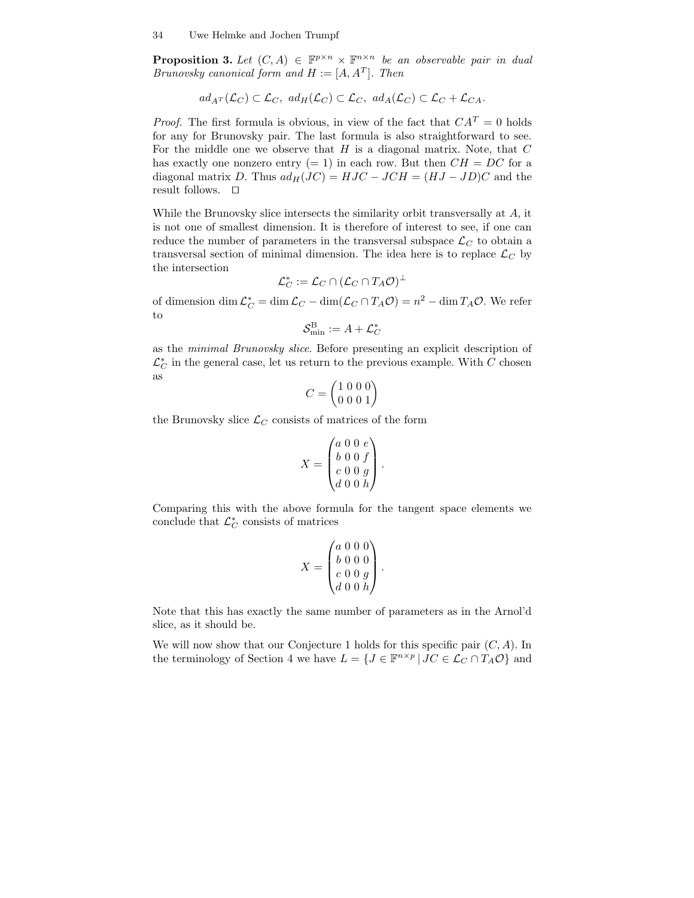**Proposition 3.** Let  $(C, A) \in \mathbb{F}^{p \times n} \times \mathbb{F}^{n \times n}$  be an observable pair in dual Brunovsky canonical form and  $H := [A, A^T]$ . Then

$$
ad_{A^{T}}(\mathcal{L}_{C}) \subset \mathcal{L}_{C}, ad_{H}(\mathcal{L}_{C}) \subset \mathcal{L}_{C}, ad_{A}(\mathcal{L}_{C}) \subset \mathcal{L}_{C} + \mathcal{L}_{CA}.
$$

*Proof.* The first formula is obvious, in view of the fact that  $CA^T = 0$  holds for any for Brunovsky pair. The last formula is also straightforward to see. For the middle one we observe that  $H$  is a diagonal matrix. Note, that  $C$ has exactly one nonzero entry  $(= 1)$  in each row. But then  $CH = DC$  for a diagonal matrix D. Thus  $ad_H(JC) = HJC - JCH = (HJ - JD)C$  and the result follows.  $\Box$ 

While the Brunovsky slice intersects the similarity orbit transversally at A, it is not one of smallest dimension. It is therefore of interest to see, if one can reduce the number of parameters in the transversal subspace  $\mathcal{L}_C$  to obtain a transversal section of minimal dimension. The idea here is to replace  $\mathcal{L}_C$  by the intersection

$$
\mathcal{L}_C^* := \mathcal{L}_C \cap (\mathcal{L}_C \cap T_A \mathcal{O})^\perp
$$

of dimension dim  $\mathcal{L}_{C}^* = \dim \mathcal{L}_{C} - \dim(\mathcal{L}_{C} \cap T_A \mathcal{O}) = n^2 - \dim T_A \mathcal{O}$ . We refer to

$$
\mathcal{S}_{\min}^{\mathrm{B}} := A + \mathcal{L}_C^*
$$

as the minimal Brunovsky slice. Before presenting an explicit description of  $\mathcal{L}_{C}^{*}$  in the general case, let us return to the previous example. With  $C$  chosen as

$$
C = \begin{pmatrix} 1 & 0 & 0 & 0 \\ 0 & 0 & 0 & 1 \end{pmatrix}
$$

the Brunovsky slice  $\mathcal{L}_C$  consists of matrices of the form

$$
X = \begin{pmatrix} a & 0 & 0 & e \\ b & 0 & 0 & f \\ c & 0 & 0 & g \\ d & 0 & 0 & h \end{pmatrix}.
$$

Comparing this with the above formula for the tangent space elements we conclude that  $\mathcal{L}_{C}^{*}$  consists of matrices

$$
X = \begin{pmatrix} a & 0 & 0 & 0 \\ b & 0 & 0 & 0 \\ c & 0 & 0 & g \\ d & 0 & 0 & h \end{pmatrix}.
$$

Note that this has exactly the same number of parameters as in the Arnol'd slice, as it should be.

We will now show that our Conjecture 1 holds for this specific pair  $(C, A)$ . In the terminology of Section 4 we have  $L = \{J \in \mathbb{F}^{n \times p} \mid JC \in \mathcal{L}_C \cap T_A \mathcal{O} \}$  and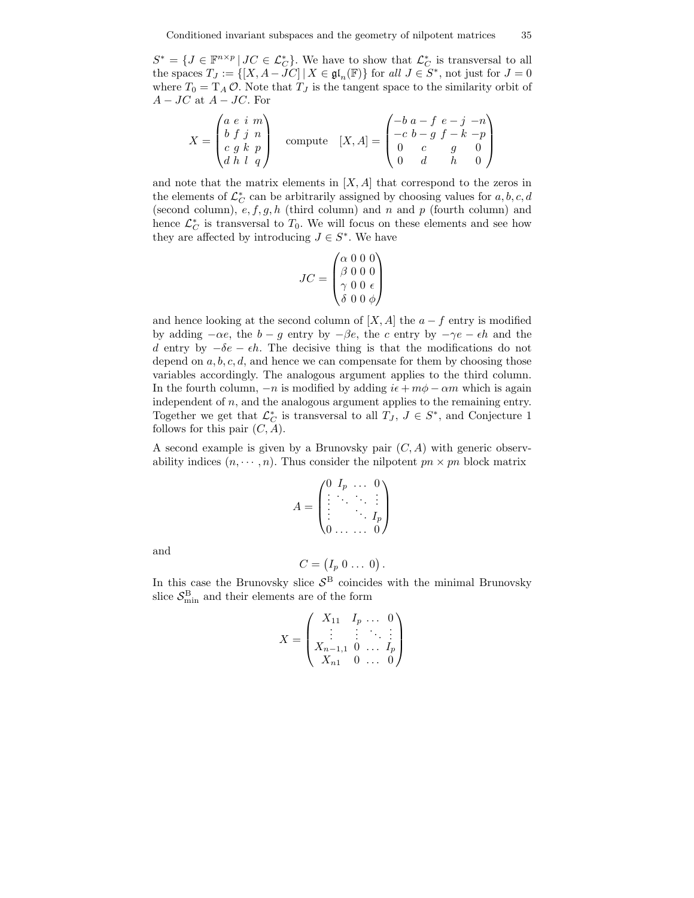$S^* = \{J \in \mathbb{F}^{n \times p} \mid JC \in \mathcal{L}_C^*\}$ . We have to show that  $\mathcal{L}_C^*$  is transversal to all the spaces  $T_J := \{ [X, A - JC] \mid X \in \mathfrak{gl}_n(\mathbb{F}) \}$  for all  $J \in S^*$ , not just for  $J = 0$ where  $T_0 = T_A \mathcal{O}$ . Note that  $T_J$  is the tangent space to the similarity orbit of  $A-JC$  at  $A-JC$ . For

$$
X = \begin{pmatrix} a & e & i & m \\ b & f & j & n \\ c & g & k & p \\ d & h & l & q \end{pmatrix}
$$
 compute  $[X, A] = \begin{pmatrix} -b & a - f & e - j & -n \\ -c & b - g & f - k & -p \\ 0 & c & g & 0 \\ 0 & d & h & 0 \end{pmatrix}$ 

and note that the matrix elements in  $[X, A]$  that correspond to the zeros in the elements of  $\mathcal{L}_{C}^{*}$  can be arbitrarily assigned by choosing values for  $a, b, c, d$ (second column),  $e, f, g, h$  (third column) and n and p (fourth column) and hence  $\mathcal{L}_{C}^{*}$  is transversal to  $T_{0}$ . We will focus on these elements and see how they are affected by introducing  $J \in S^*$ . We have

$$
JC = \begin{pmatrix} \alpha & 0 & 0 & 0 \\ \beta & 0 & 0 & 0 \\ \gamma & 0 & 0 & \epsilon \\ \delta & 0 & 0 & \phi \end{pmatrix}
$$

and hence looking at the second column of  $[X, A]$  the  $a - f$  entry is modified by adding  $-\alpha e$ , the  $b - g$  entry by  $-\beta e$ , the c entry by  $-\gamma e - \epsilon h$  and the d entry by  $-\delta e - \epsilon h$ . The decisive thing is that the modifications do not depend on  $a, b, c, d$ , and hence we can compensate for them by choosing those variables accordingly. The analogous argument applies to the third column. In the fourth column,  $-n$  is modified by adding  $i\epsilon + m\phi - \alpha m$  which is again independent of  $n$ , and the analogous argument applies to the remaining entry. Together we get that  $\mathcal{L}_{C}^{*}$  is transversal to all  $T_{J}$ ,  $J \in S^{*}$ , and Conjecture 1 follows for this pair  $(C, A)$ .

A second example is given by a Brunovsky pair  $(C, A)$  with generic observability indices  $(n, \dots, n)$ . Thus consider the nilpotent  $pn \times pn$  block matrix

$$
A = \begin{pmatrix} 0 & I_p & \dots & 0 \\ \vdots & \ddots & \ddots & \vdots \\ \vdots & & \ddots & I_p \\ 0 & \dots & \dots & 0 \end{pmatrix}
$$

and

$$
C=\left(I_p\;0\;\dots\;0\right).
$$

In this case the Brunovsky slice  $S^B$  coincides with the minimal Brunovsky slice  $S_{\text{min}}^{\text{B}}$  and their elements are of the form

$$
X = \begin{pmatrix} X_{11} & I_p & \dots & 0 \\ \vdots & \vdots & \ddots & \vdots \\ X_{n-1,1} & 0 & \dots & I_p \\ X_{n1} & 0 & \dots & 0 \end{pmatrix}
$$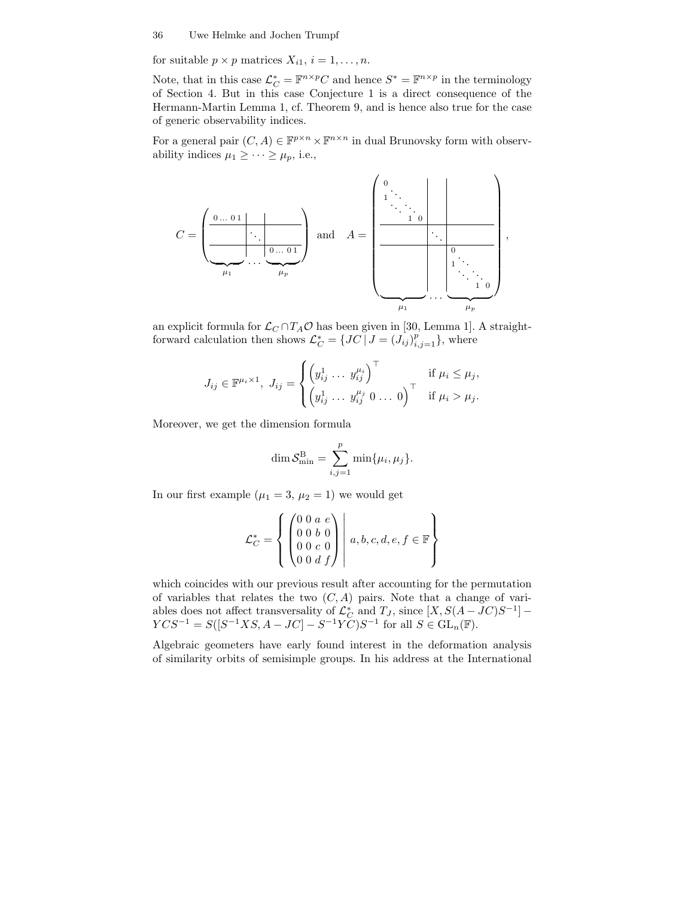for suitable  $p \times p$  matrices  $X_{i1}$ ,  $i = 1, \ldots, n$ .

Note, that in this case  $\mathcal{L}_C^* = \mathbb{F}^{n \times p}C$  and hence  $S^* = \mathbb{F}^{n \times p}$  in the terminology of Section 4. But in this case Conjecture 1 is a direct consequence of the Hermann-Martin Lemma 1, cf. Theorem 9, and is hence also true for the case of generic observability indices.

For a general pair  $(C, A) \in \mathbb{F}^{p \times n} \times \mathbb{F}^{n \times n}$  in dual Brunovsky form with observability indices  $\mu_1 \geq \cdots \geq \mu_p$ , i.e.,



an explicit formula for  $\mathcal{L}_C \cap T_A \mathcal{O}$  has been given in [30, Lemma 1]. A straightforward calculation then shows  $\mathcal{L}_{C}^{*} = \{JC \mid J = (J_{ij})_{i,j=1}^{p} \}$ , where

$$
J_{ij} \in \mathbb{F}^{\mu_i \times 1}, J_{ij} = \begin{cases} \left( y_{ij}^1 \cdots y_{ij}^{\mu_i} \right)^\top & \text{if } \mu_i \le \mu_j, \\ \left( y_{ij}^1 \cdots y_{ij}^{\mu_j} \ 0 \cdots \ 0 \right)^\top & \text{if } \mu_i > \mu_j. \end{cases}
$$

Moreover, we get the dimension formula

$$
\dim \mathcal{S}_{\min}^{\mathrm{B}} = \sum_{i,j=1}^{p} \min \{ \mu_i, \mu_j \}.
$$

In our first example  $(\mu_1 = 3, \mu_2 = 1)$  we would get

$$
\mathcal{L}_C^* = \left\{ \begin{pmatrix} 0 & 0 & a & e \\ 0 & 0 & b & 0 \\ 0 & 0 & c & 0 \\ 0 & 0 & d & f \end{pmatrix} \middle| \ a, b, c, d, e, f \in \mathbb{F} \right\}
$$

which coincides with our previous result after accounting for the permutation of variables that relates the two  $(C, A)$  pairs. Note that a change of variables does not affect transversality of  $\mathcal{L}_{C}^{*}$  and  $T_{J}$ , since  $[X, S(A - \overline{J}C)S^{-1}]$  –  $YCS^{-1} = S([S^{-1}XS, A - JC] - S^{-1}YC)S^{-1}$  for all  $S \in GL_n(\mathbb{F})$ .

Algebraic geometers have early found interest in the deformation analysis of similarity orbits of semisimple groups. In his address at the International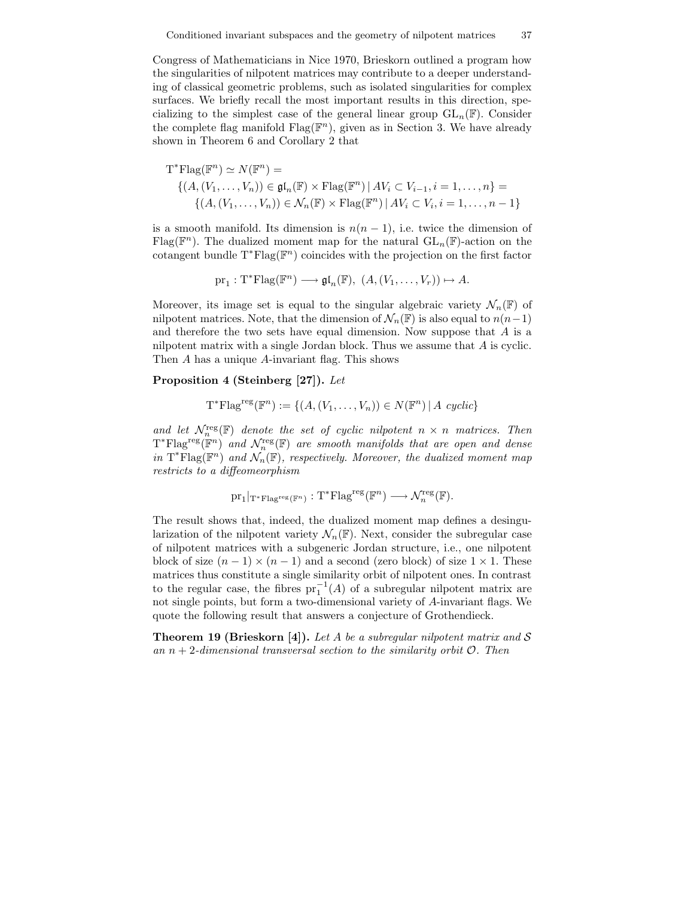Congress of Mathematicians in Nice 1970, Brieskorn outlined a program how the singularities of nilpotent matrices may contribute to a deeper understanding of classical geometric problems, such as isolated singularities for complex surfaces. We briefly recall the most important results in this direction, specializing to the simplest case of the general linear group  $GL_n(\mathbb{F})$ . Consider the complete flag manifold  $Flag(\mathbb{F}^n)$ , given as in Section 3. We have already shown in Theorem 6 and Corollary 2 that

$$
T^*Flag(\mathbb{F}^n) \simeq N(\mathbb{F}^n) =
$$
  
{ $(A, (V_1, ..., V_n)) \in \mathfrak{gl}_n(\mathbb{F}) \times Flag(\mathbb{F}^n) | AV_i \subset V_{i-1}, i = 1, ..., n$ } =  
{ $(A, (V_1, ..., V_n)) \in \mathcal{N}_n(\mathbb{F}) \times Flag(\mathbb{F}^n) | AV_i \subset V_i, i = 1, ..., n-1$ }

is a smooth manifold. Its dimension is  $n(n-1)$ , i.e. twice the dimension of Flag( $\mathbb{F}^n$ ). The dualized moment map for the natural  $\text{GL}_n(\mathbb{F})$ -action on the cotangent bundle  $T^*\text{Flag}(\mathbb{F}^n)$  coincides with the projection on the first factor

 $pr_1: T^*Flag(\mathbb{F}^n) \longrightarrow \mathfrak{gl}_n(\mathbb{F}), \ (A,(V_1,\ldots,V_r)) \mapsto A.$ 

Moreover, its image set is equal to the singular algebraic variety  $\mathcal{N}_n(\mathbb{F})$  of nilpotent matrices. Note, that the dimension of  $\mathcal{N}_n(\mathbb{F})$  is also equal to  $n(n-1)$ and therefore the two sets have equal dimension. Now suppose that  $A$  is a nilpotent matrix with a single Jordan block. Thus we assume that A is cyclic. Then A has a unique A-invariant flag. This shows

# Proposition 4 (Steinberg [27]). Let

$$
T^*\mathrm{Flag}^{\mathrm{reg}}(\mathbb{F}^n) := \{ (A, (V_1, \dots, V_n)) \in N(\mathbb{F}^n) \mid A \text{ cyclic} \}
$$

and let  $\mathcal{N}_n^{\text{reg}}(\mathbb{F})$  denote the set of cyclic nilpotent  $n \times n$  matrices. Then  $T^*$ Flag<sup>reg</sup>( $\mathbb{F}^n$ ) and  $\mathcal{N}_n^{\text{reg}}(\mathbb{F})$  are smooth manifolds that are open and dense in  $T^*\overline{\text{Flag}}(\mathbb{F}^n)$  and  $\mathcal{N}_n(\mathbb{F})$ , respectively. Moreover, the dualized moment map restricts to a diffeomeorphism

$$
\mathrm{pr}_1|_{\mathrm{T}^*\mathrm{Flag}^{\mathrm{reg}}(\mathbb{F}^n)}: \mathrm{T}^*\mathrm{Flag}^{\mathrm{reg}}(\mathbb{F}^n)\longrightarrow \mathcal{N}_n^{\mathrm{reg}}(\mathbb{F}).
$$

The result shows that, indeed, the dualized moment map defines a desingularization of the nilpotent variety  $\mathcal{N}_n(\mathbb{F})$ . Next, consider the subregular case of nilpotent matrices with a subgeneric Jordan structure, i.e., one nilpotent block of size  $(n-1) \times (n-1)$  and a second (zero block) of size  $1 \times 1$ . These matrices thus constitute a single similarity orbit of nilpotent ones. In contrast to the regular case, the fibres  $pr_1^{-1}(A)$  of a subregular nilpotent matrix are not single points, but form a two-dimensional variety of A-invariant flags. We quote the following result that answers a conjecture of Grothendieck.

**Theorem 19 (Brieskorn [4]).** Let A be a subregular nilpotent matrix and  $S$ an  $n + 2$ -dimensional transversal section to the similarity orbit  $\mathcal{O}$ . Then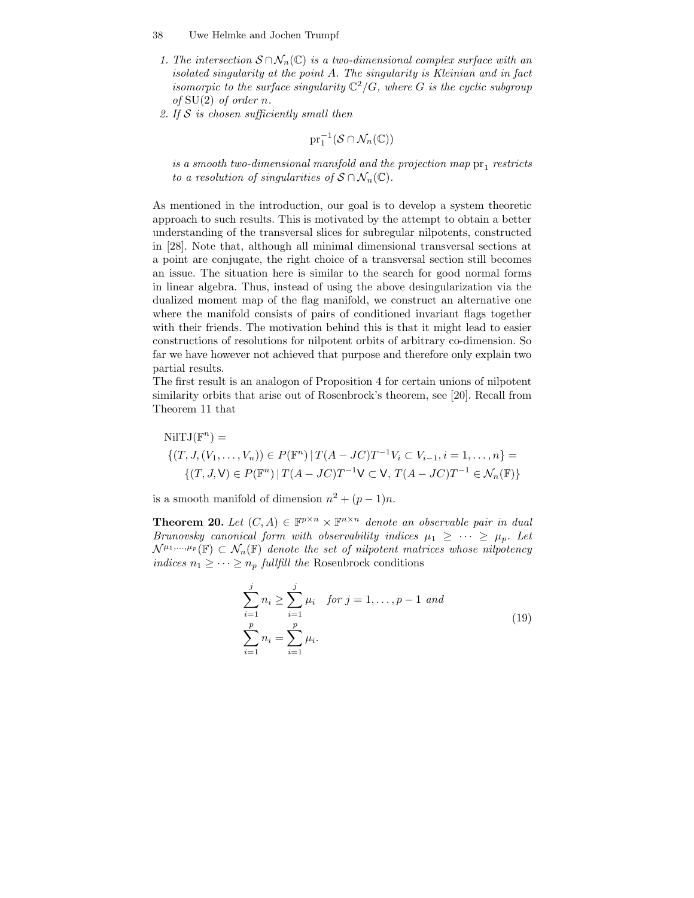- 1. The intersection  $S \cap \mathcal{N}_n(\mathbb{C})$  is a two-dimensional complex surface with an isolated singularity at the point A. The singularity is Kleinian and in fact isomorpic to the surface singularity  $\mathbb{C}^2/G$ , where G is the cyclic subgroup of  $SU(2)$  of order n.
- 2. If S is chosen sufficiently small then

$$
\mathrm{pr}_1^{-1}(\mathcal{S}\cap\mathcal{N}_n(\mathbb{C}))
$$

is a smooth two-dimensional manifold and the projection map  $\mathrm{pr}_1$  restricts to a resolution of singularities of  $S \cap \mathcal{N}_n(\mathbb{C})$ .

As mentioned in the introduction, our goal is to develop a system theoretic approach to such results. This is motivated by the attempt to obtain a better understanding of the transversal slices for subregular nilpotents, constructed in [28]. Note that, although all minimal dimensional transversal sections at a point are conjugate, the right choice of a transversal section still becomes an issue. The situation here is similar to the search for good normal forms in linear algebra. Thus, instead of using the above desingularization via the dualized moment map of the flag manifold, we construct an alternative one where the manifold consists of pairs of conditioned invariant flags together with their friends. The motivation behind this is that it might lead to easier constructions of resolutions for nilpotent orbits of arbitrary co-dimension. So far we have however not achieved that purpose and therefore only explain two partial results.

The first result is an analogon of Proposition 4 for certain unions of nilpotent similarity orbits that arise out of Rosenbrock's theorem, see [20]. Recall from Theorem 11 that

NilTJ(
$$
\mathbb{F}^n
$$
) =  
\n
$$
\{(T, J, (V_1, ..., V_n)) \in P(\mathbb{F}^n) | T(A - JC)T^{-1}V_i \subset V_{i-1}, i = 1, ..., n\} = \{(T, J, V) \in P(\mathbb{F}^n) | T(A - JC)T^{-1}V \subset V, T(A - JC)T^{-1} \in \mathcal{N}_n(\mathbb{F})\}
$$

is a smooth manifold of dimension  $n^2 + (p-1)n$ .

**Theorem 20.** Let  $(C, A) \in \mathbb{F}^{p \times n} \times \mathbb{F}^{n \times n}$  denote an observable pair in dual Brunovsky canonical form with observability indices  $\mu_1 \geq \cdots \geq \mu_p$ . Let  $\mathcal{N}^{\mu_1,\dots,\mu_p}(\mathbb{F}) \subset \mathcal{N}_n(\mathbb{F})$  denote the set of nilpotent matrices whose nilpotency indices  $n_1 \geq \cdots \geq n_p$  fullfill the Rosenbrock conditions

$$
\sum_{i=1}^{j} n_i \ge \sum_{i=1}^{j} \mu_i \quad \text{for } j = 1, \dots, p-1 \text{ and}
$$
\n
$$
\sum_{i=1}^{p} n_i = \sum_{i=1}^{p} \mu_i.
$$
\n(19)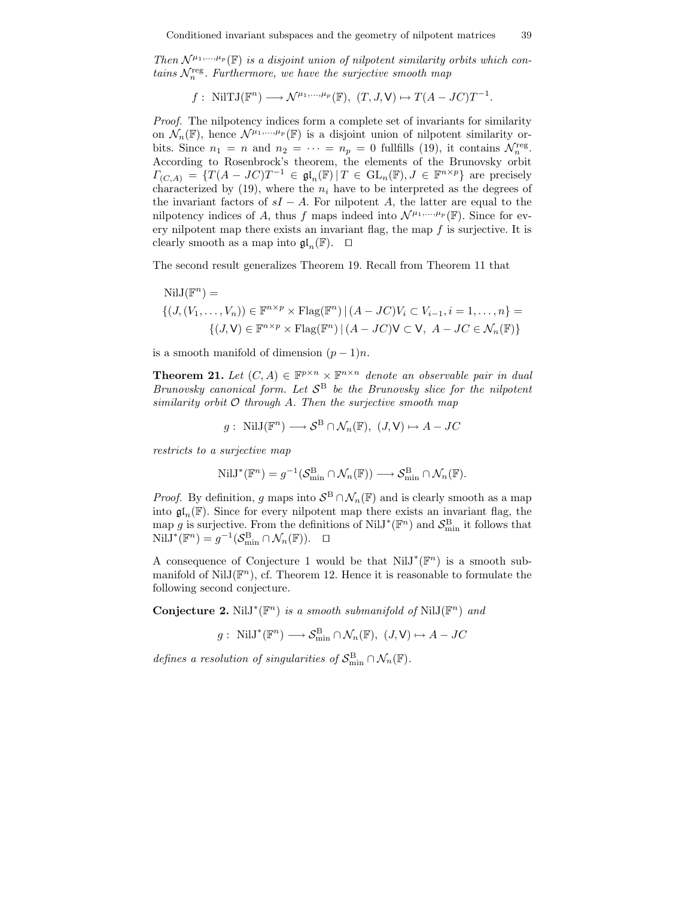Then  $\mathcal{N}^{\mu_1,...,\mu_p}(\mathbb{F})$  is a disjoint union of nilpotent similarity orbits which contains  $\mathcal{N}_n^{\text{reg}}$ . Furthermore, we have the surjective smooth map

$$
f: \text{NilTJ}(\mathbb{F}^n) \longrightarrow \mathcal{N}^{\mu_1,\dots,\mu_p}(\mathbb{F}), (T, J, V) \mapsto T(A - JC)T^{-1}.
$$

Proof. The nilpotency indices form a complete set of invariants for similarity on  $\mathcal{N}_n(\mathbb{F})$ , hence  $\mathcal{N}^{\mu_1,\dots,\mu_p}(\mathbb{F})$  is a disjoint union of nilpotent similarity orbits. Since  $n_1 = n$  and  $n_2 = \cdots = n_p = 0$  fullfills (19), it contains  $\mathcal{N}_n^{\text{reg}}$ . According to Rosenbrock's theorem, the elements of the Brunovsky orbit  $\Gamma_{(C,A)} = \{T(A-JC)T^{-1} \in \mathfrak{gl}_n(\mathbb{F}) \mid T \in \mathrm{GL}_n(\mathbb{F}), J \in \mathbb{F}^{n \times p}\}\$ are precisely characterized by (19), where the  $n_i$  have to be interpreted as the degrees of the invariant factors of  $sI - A$ . For nilpotent A, the latter are equal to the nilpotency indices of A, thus f maps indeed into  $\mathcal{N}^{\mu_1,\dots,\mu_p}(\mathbb{F})$ . Since for every nilpotent map there exists an invariant flag, the map  $f$  is surjective. It is clearly smooth as a map into  $\mathfrak{gl}_n(\mathbb{F})$ .  $\Box$ 

The second result generalizes Theorem 19. Recall from Theorem 11 that

NilJ(
$$
\mathbb{F}^n
$$
) =  
\n
$$
\{(J,(V_1,\ldots,V_n)) \in \mathbb{F}^{n \times p} \times \text{Flag}(\mathbb{F}^n) | (A - JC)V_i \subset V_{i-1}, i = 1,\ldots,n\} =
$$
\n
$$
\{(J,V) \in \mathbb{F}^{n \times p} \times \text{Flag}(\mathbb{F}^n) | (A - JC)V \subset V, A - JC \in \mathcal{N}_n(\mathbb{F})\}
$$

is a smooth manifold of dimension  $(p-1)n$ .

**Theorem 21.** Let  $(C, A) \in \mathbb{F}^{p \times n} \times \mathbb{F}^{n \times n}$  denote an observable pair in dual Brunovsky canonical form. Let  $S^B$  be the Brunovsky slice for the nilpotent  $similarity \ orbit \ O \ through \ A.$  Then the surjective smooth map

$$
g: \text{ NilJ}(\mathbb{F}^n) \longrightarrow \mathcal{S}^{\mathcal{B}} \cap \mathcal{N}_n(\mathbb{F}), (J, \mathsf{V}) \mapsto A - JC
$$

restricts to a surjective map

$$
\mathrm{NilJ}^*(\mathbb{F}^n) = g^{-1}(\mathcal{S}_{\min}^{\mathrm{B}} \cap \mathcal{N}_n(\mathbb{F})) \longrightarrow \mathcal{S}_{\min}^{\mathrm{B}} \cap \mathcal{N}_n(\mathbb{F}).
$$

*Proof.* By definition, g maps into  $S^B \cap \mathcal{N}_n(\mathbb{F})$  and is clearly smooth as a map into  $\mathfrak{gl}_n(\mathbb{F})$ . Since for every nilpotent map there exists an invariant flag, the map g is surjective. From the definitions of NilJ<sup>\*</sup>( $\mathbb{F}^n$ ) and  $\mathcal{S}_{\min}^{\text{B}}$  it follows that  $\text{NilJ}^*(\mathbb{F}^n) = g^{-1}(\mathcal{S}_{\text{min}}^{\text{B}} \cap \mathcal{N}_n(\mathbb{F}))$ .  $\Box$ 

A consequence of Conjecture 1 would be that  $NilJ^*(\mathbb{F}^n)$  is a smooth submanifold of Nil $J(\mathbb{F}^n)$ , cf. Theorem 12. Hence it is reasonable to formulate the following second conjecture.

Conjecture 2. NilJ<sup>\*</sup>( $\mathbb{F}^n$ ) is a smooth submanifold of NilJ( $\mathbb{F}^n$ ) and

 $g: \text{ NilJ}^*(\mathbb{F}^n) \longrightarrow \mathcal{S}_{\min}^{\text{B}} \cap \mathcal{N}_n(\mathbb{F}), (J, \mathsf{V}) \mapsto A - JC$ 

defines a resolution of singularities of  $S_{\min}^{\text{B}} \cap \mathcal{N}_n(\mathbb{F})$ .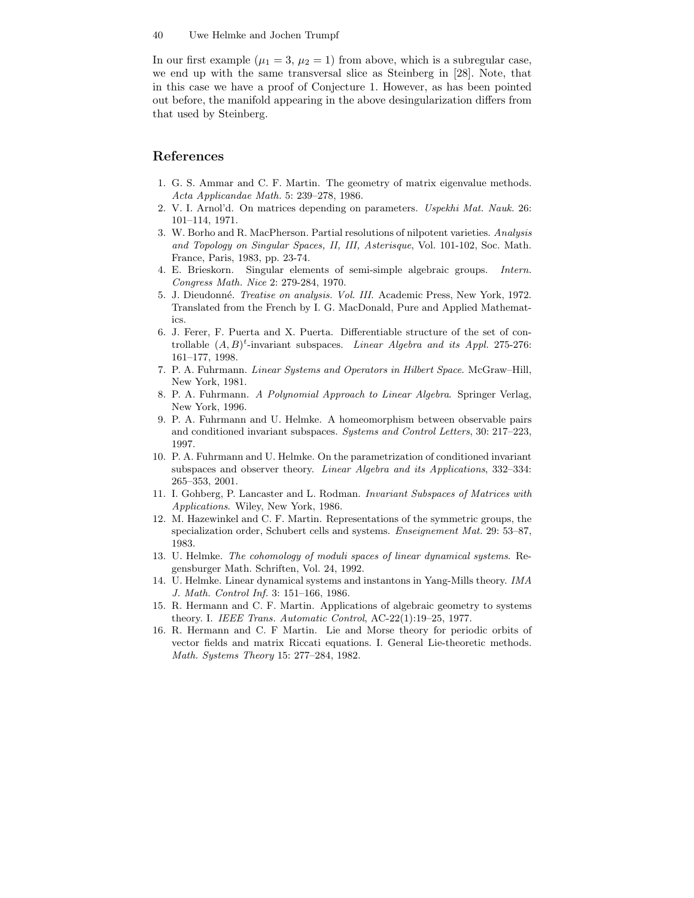In our first example  $(\mu_1 = 3, \mu_2 = 1)$  from above, which is a subregular case, we end up with the same transversal slice as Steinberg in [28]. Note, that in this case we have a proof of Conjecture 1. However, as has been pointed out before, the manifold appearing in the above desingularization differs from that used by Steinberg.

# References

- 1. G. S. Ammar and C. F. Martin. The geometry of matrix eigenvalue methods. Acta Applicandae Math. 5: 239–278, 1986.
- 2. V. I. Arnol'd. On matrices depending on parameters. Uspekhi Mat. Nauk. 26: 101–114, 1971.
- 3. W. Borho and R. MacPherson. Partial resolutions of nilpotent varieties. Analysis and Topology on Singular Spaces, II, III, Asterisque, Vol. 101-102, Soc. Math. France, Paris, 1983, pp. 23-74.
- 4. E. Brieskorn. Singular elements of semi-simple algebraic groups. Intern. Congress Math. Nice 2: 279-284, 1970.
- 5. J. Dieudonn´e. Treatise on analysis. Vol. III. Academic Press, New York, 1972. Translated from the French by I. G. MacDonald, Pure and Applied Mathematics.
- 6. J. Ferer, F. Puerta and X. Puerta. Differentiable structure of the set of controllable  $(A, B)^t$ -invariant subspaces. *Linear Algebra and its Appl.* 275-276: 161–177, 1998.
- 7. P. A. Fuhrmann. Linear Systems and Operators in Hilbert Space. McGraw–Hill, New York, 1981.
- 8. P. A. Fuhrmann. A Polynomial Approach to Linear Algebra. Springer Verlag, New York, 1996.
- 9. P. A. Fuhrmann and U. Helmke. A homeomorphism between observable pairs and conditioned invariant subspaces. Systems and Control Letters, 30: 217–223, 1997.
- 10. P. A. Fuhrmann and U. Helmke. On the parametrization of conditioned invariant subspaces and observer theory. Linear Algebra and its Applications, 332–334: 265–353, 2001.
- 11. I. Gohberg, P. Lancaster and L. Rodman. Invariant Subspaces of Matrices with Applications. Wiley, New York, 1986.
- 12. M. Hazewinkel and C. F. Martin. Representations of the symmetric groups, the specialization order, Schubert cells and systems. Enseignement Mat. 29: 53–87, 1983.
- 13. U. Helmke. The cohomology of moduli spaces of linear dynamical systems. Regensburger Math. Schriften, Vol. 24, 1992.
- 14. U. Helmke. Linear dynamical systems and instantons in Yang-Mills theory. IMA J. Math. Control Inf. 3: 151–166, 1986.
- 15. R. Hermann and C. F. Martin. Applications of algebraic geometry to systems theory. I. IEEE Trans. Automatic Control, AC-22(1):19–25, 1977.
- 16. R. Hermann and C. F Martin. Lie and Morse theory for periodic orbits of vector fields and matrix Riccati equations. I. General Lie-theoretic methods. Math. Systems Theory 15: 277–284, 1982.